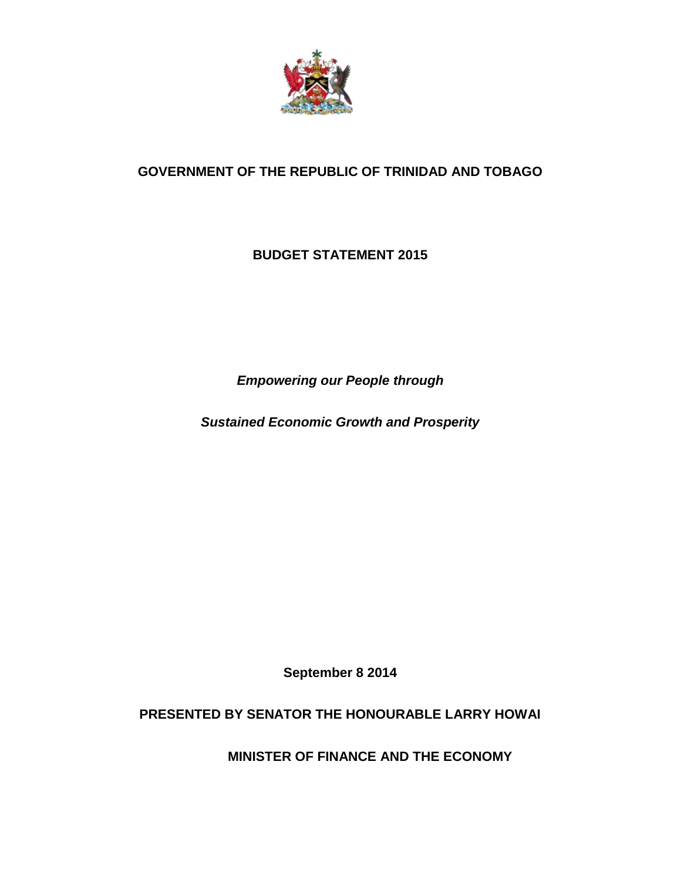

# **GOVERNMENT OF THE REPUBLIC OF TRINIDAD AND TOBAGO**

## **BUDGET STATEMENT 2015**

*Empowering our People through* 

*Sustained Economic Growth and Prosperity*

**September 8 2014**

### **PRESENTED BY SENATOR THE HONOURABLE LARRY HOWAI**

 **MINISTER OF FINANCE AND THE ECONOMY**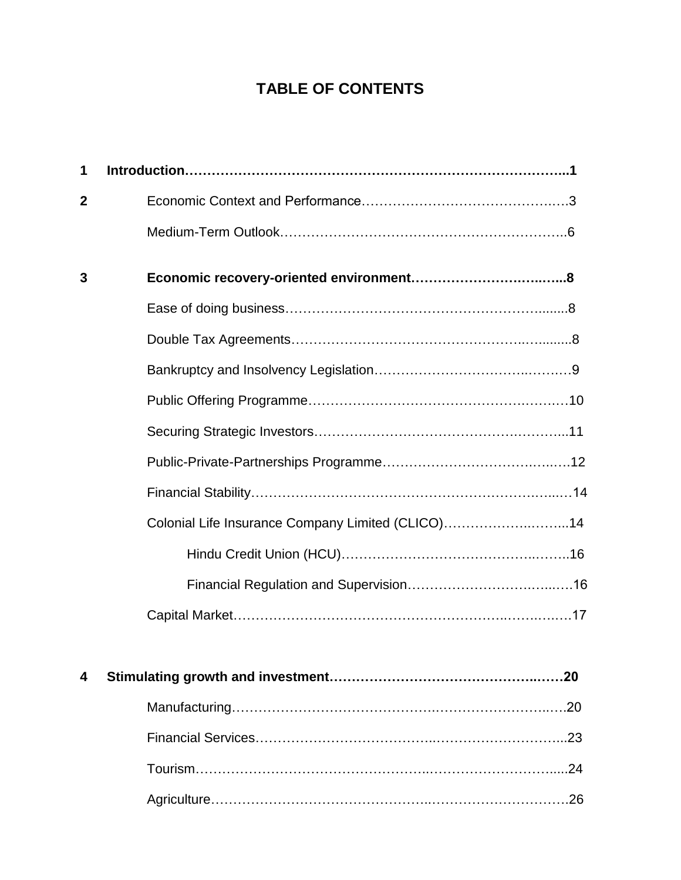# **TABLE OF CONTENTS**

| 1 |                                                   |
|---|---------------------------------------------------|
| 2 |                                                   |
|   |                                                   |
| 3 |                                                   |
|   |                                                   |
|   |                                                   |
|   |                                                   |
|   |                                                   |
|   |                                                   |
|   |                                                   |
|   |                                                   |
|   | Colonial Life Insurance Company Limited (CLICO)14 |
|   |                                                   |
|   |                                                   |
|   |                                                   |
|   |                                                   |
| 4 |                                                   |
|   | .20                                               |
|   |                                                   |
|   |                                                   |
|   |                                                   |

Agriculture…………………………………………..………………………….26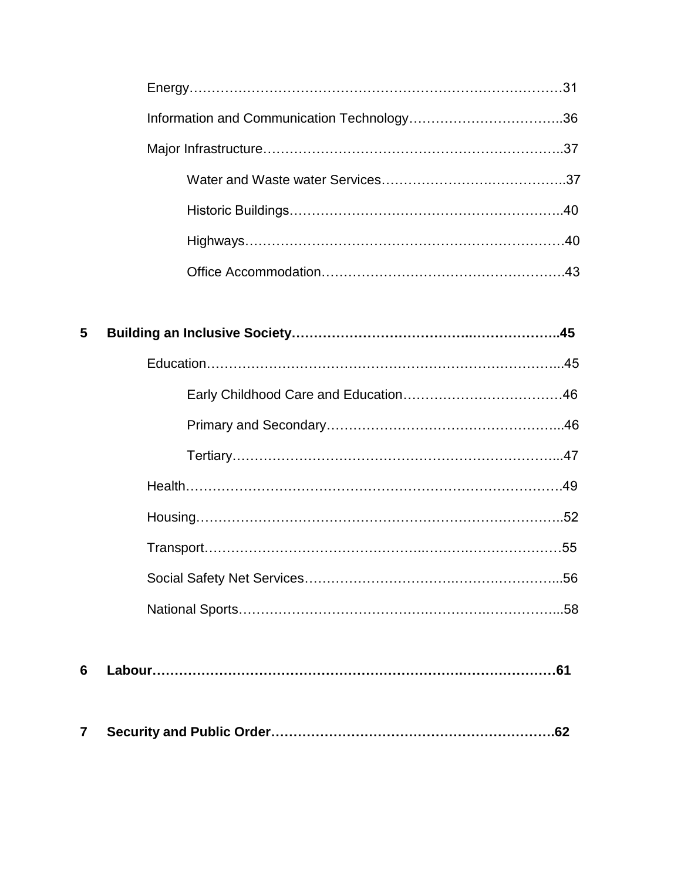| 5 |  |
|---|--|
|   |  |
|   |  |
|   |  |
|   |  |
|   |  |
|   |  |
|   |  |
|   |  |
|   |  |
| 6 |  |
| 7 |  |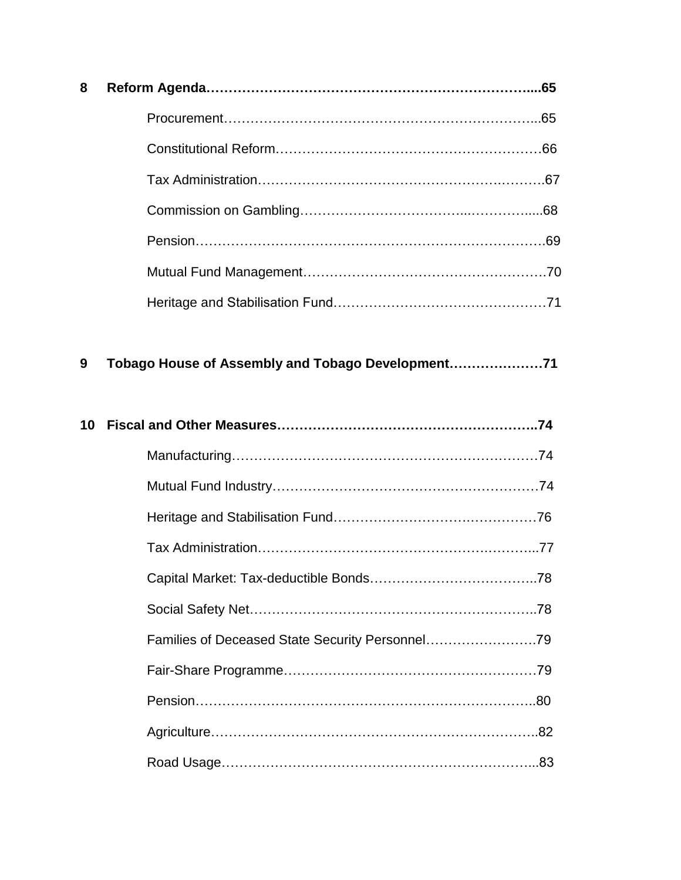| 8 |  |
|---|--|
|   |  |
|   |  |
|   |  |
|   |  |
|   |  |
|   |  |
|   |  |

| 9 |  | Tobago House of Assembly and Tobago Development |  |
|---|--|-------------------------------------------------|--|
|   |  |                                                 |  |

| 10 |  |
|----|--|
|    |  |
|    |  |
|    |  |
|    |  |
|    |  |
|    |  |
|    |  |
|    |  |
|    |  |
|    |  |
|    |  |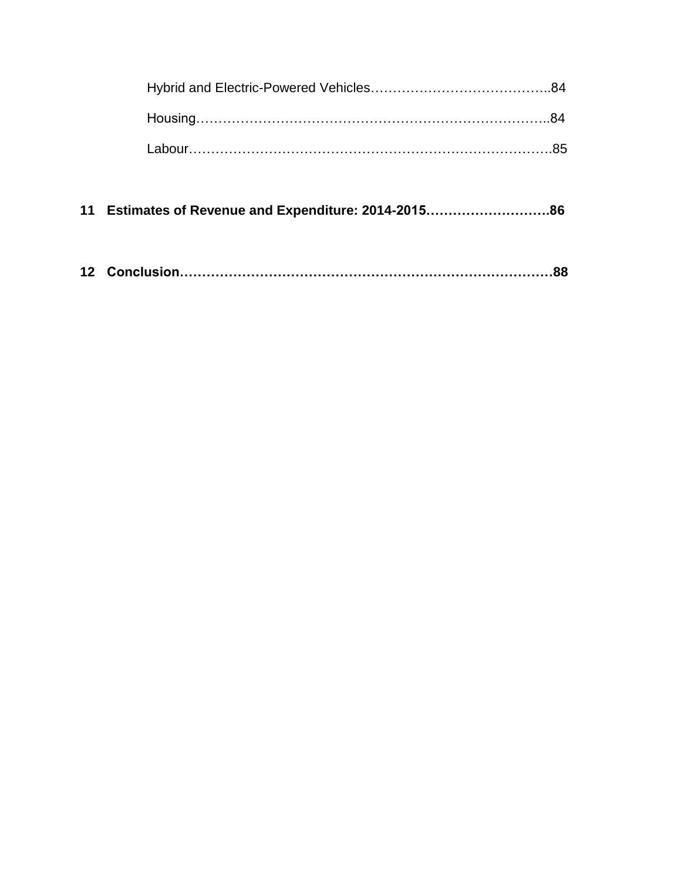| 11 Estimates of Revenue and Expenditure: 2014-201586 |  |
|------------------------------------------------------|--|
|                                                      |  |
|                                                      |  |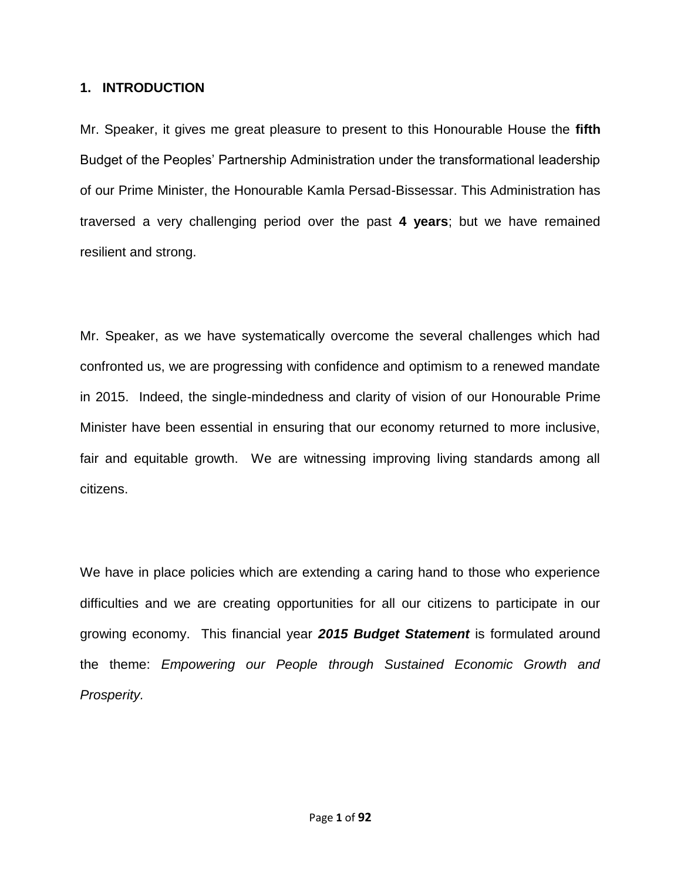#### **1. INTRODUCTION**

Mr. Speaker, it gives me great pleasure to present to this Honourable House the **fifth**  Budget of the Peoples' Partnership Administration under the transformational leadership of our Prime Minister, the Honourable Kamla Persad-Bissessar. This Administration has traversed a very challenging period over the past **4 years**; but we have remained resilient and strong.

Mr. Speaker, as we have systematically overcome the several challenges which had confronted us, we are progressing with confidence and optimism to a renewed mandate in 2015. Indeed, the single-mindedness and clarity of vision of our Honourable Prime Minister have been essential in ensuring that our economy returned to more inclusive, fair and equitable growth. We are witnessing improving living standards among all citizens.

We have in place policies which are extending a caring hand to those who experience difficulties and we are creating opportunities for all our citizens to participate in our growing economy. This financial year *2015 Budget Statement* is formulated around the theme: *Empowering our People through Sustained Economic Growth and Prosperity.*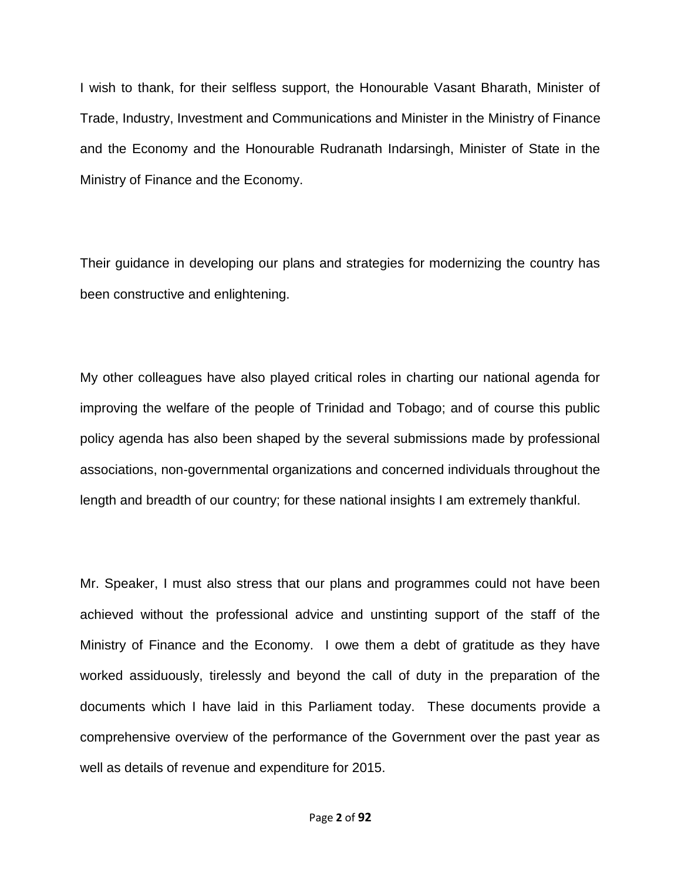I wish to thank, for their selfless support, the Honourable Vasant Bharath, Minister of Trade, Industry, Investment and Communications and Minister in the Ministry of Finance and the Economy and the Honourable Rudranath Indarsingh, Minister of State in the Ministry of Finance and the Economy.

Their guidance in developing our plans and strategies for modernizing the country has been constructive and enlightening.

My other colleagues have also played critical roles in charting our national agenda for improving the welfare of the people of Trinidad and Tobago; and of course this public policy agenda has also been shaped by the several submissions made by professional associations, non-governmental organizations and concerned individuals throughout the length and breadth of our country; for these national insights I am extremely thankful.

Mr. Speaker, I must also stress that our plans and programmes could not have been achieved without the professional advice and unstinting support of the staff of the Ministry of Finance and the Economy. I owe them a debt of gratitude as they have worked assiduously, tirelessly and beyond the call of duty in the preparation of the documents which I have laid in this Parliament today. These documents provide a comprehensive overview of the performance of the Government over the past year as well as details of revenue and expenditure for 2015.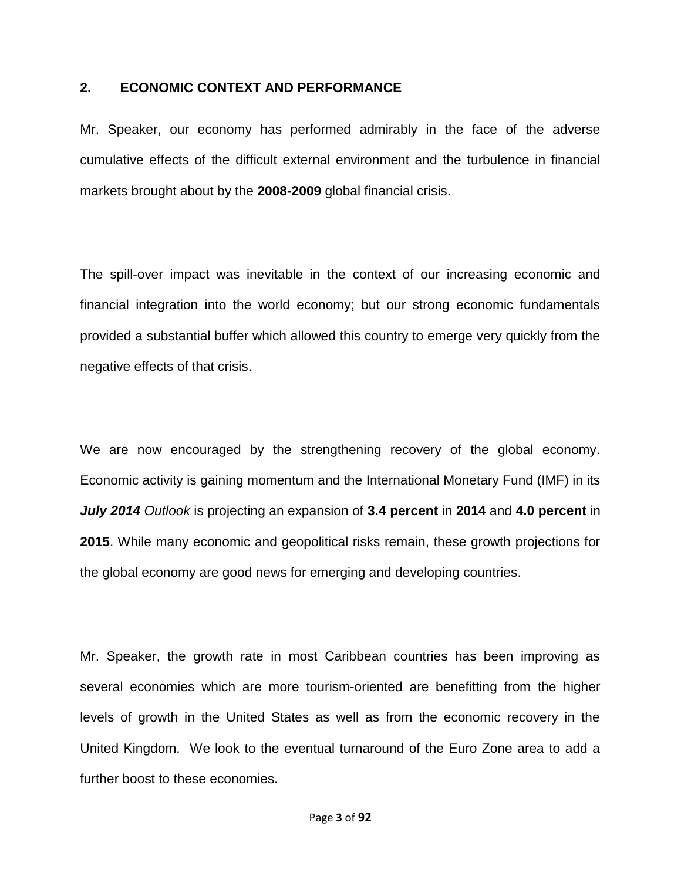#### **2. ECONOMIC CONTEXT AND PERFORMANCE**

Mr. Speaker, our economy has performed admirably in the face of the adverse cumulative effects of the difficult external environment and the turbulence in financial markets brought about by the **2008-2009** global financial crisis.

The spill-over impact was inevitable in the context of our increasing economic and financial integration into the world economy; but our strong economic fundamentals provided a substantial buffer which allowed this country to emerge very quickly from the negative effects of that crisis.

We are now encouraged by the strengthening recovery of the global economy. Economic activity is gaining momentum and the International Monetary Fund (IMF) in its *July 2014 Outlook* is projecting an expansion of **3.4 percent** in **2014** and **4.0 percent** in **2015**. While many economic and geopolitical risks remain, these growth projections for the global economy are good news for emerging and developing countries.

Mr. Speaker, the growth rate in most Caribbean countries has been improving as several economies which are more tourism-oriented are benefitting from the higher levels of growth in the United States as well as from the economic recovery in the United Kingdom. We look to the eventual turnaround of the Euro Zone area to add a further boost to these economies.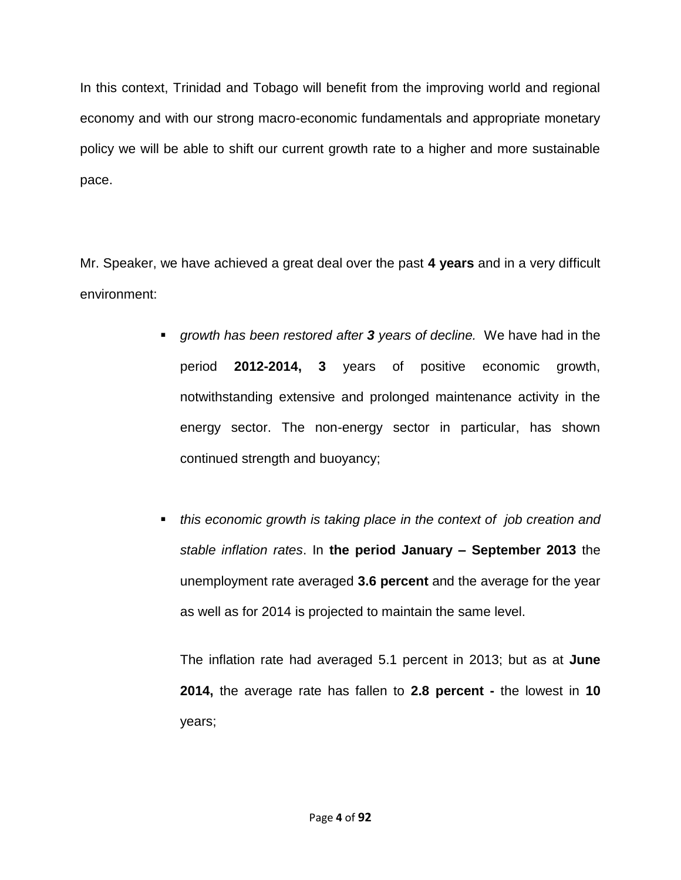In this context, Trinidad and Tobago will benefit from the improving world and regional economy and with our strong macro-economic fundamentals and appropriate monetary policy we will be able to shift our current growth rate to a higher and more sustainable pace.

Mr. Speaker, we have achieved a great deal over the past **4 years** and in a very difficult environment:

- *growth has been restored after 3 years of decline.* We have had in the period **2012-2014, 3** years of positive economic growth, notwithstanding extensive and prolonged maintenance activity in the energy sector. The non-energy sector in particular, has shown continued strength and buoyancy;
- *this economic growth is taking place in the context of job creation and stable inflation rates*. In **the period January – September 2013** the unemployment rate averaged **3.6 percent** and the average for the year as well as for 2014 is projected to maintain the same level.

The inflation rate had averaged 5.1 percent in 2013; but as at **June 2014,** the average rate has fallen to **2.8 percent -** the lowest in **10** years;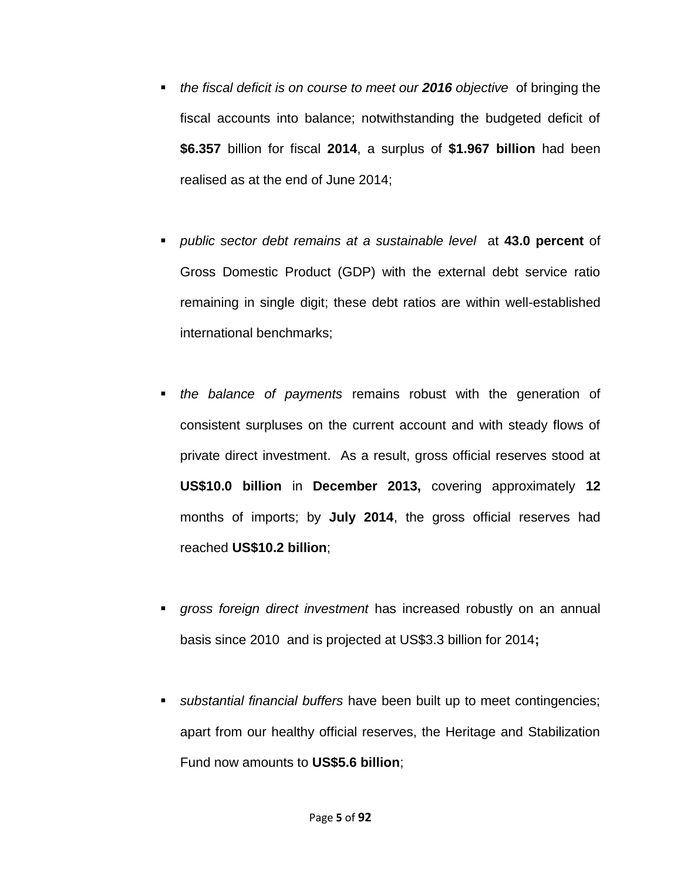- *the fiscal deficit is on course to meet our 2016 objective* of bringing the fiscal accounts into balance; notwithstanding the budgeted deficit of **\$6.357** billion for fiscal **2014**, a surplus of **\$1.967 billion** had been realised as at the end of June 2014;
- *public sector debt remains at a sustainable level* at **43.0 percent** of Gross Domestic Product (GDP) with the external debt service ratio remaining in single digit; these debt ratios are within well-established international benchmarks;
- *the balance of payments* remains robust with the generation of consistent surpluses on the current account and with steady flows of private direct investment. As a result, gross official reserves stood at **US\$10.0 billion** in **December 2013,** covering approximately **12** months of imports; by **July 2014**, the gross official reserves had reached **US\$10.2 billion**;
- *gross foreign direct investment* has increased robustly on an annual basis since 2010 and is projected at US\$3.3 billion for 2014**;**
- *substantial financial buffers* have been built up to meet contingencies; apart from our healthy official reserves, the Heritage and Stabilization Fund now amounts to **US\$5.6 billion**;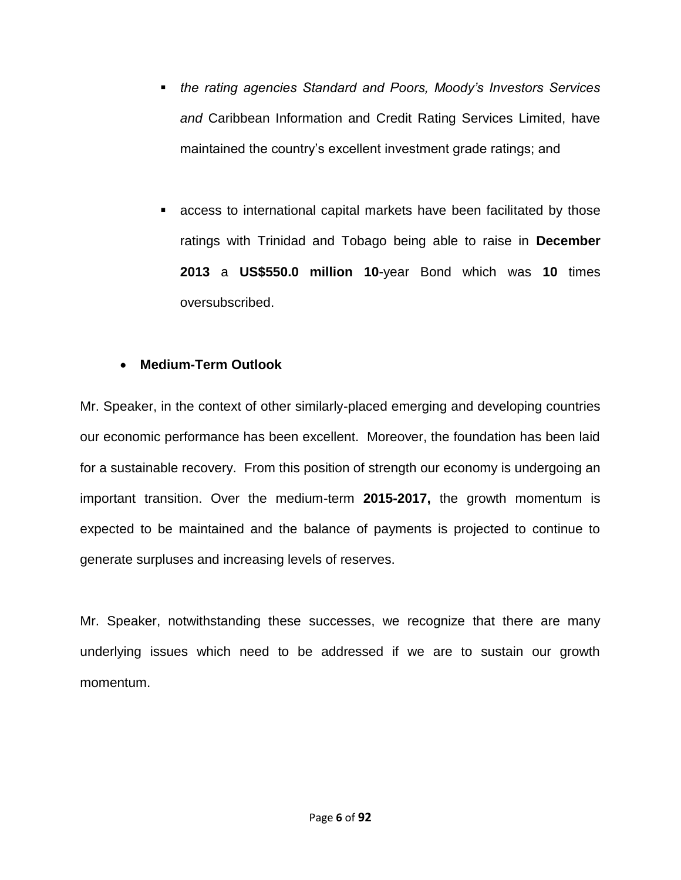- *the rating agencies Standard and Poors, Moody's Investors Services and* Caribbean Information and Credit Rating Services Limited, have maintained the country's excellent investment grade ratings; and
- access to international capital markets have been facilitated by those ratings with Trinidad and Tobago being able to raise in **December 2013** a **US\$550.0 million 10**-year Bond which was **10** times oversubscribed.

### **Medium-Term Outlook**

Mr. Speaker, in the context of other similarly-placed emerging and developing countries our economic performance has been excellent. Moreover, the foundation has been laid for a sustainable recovery. From this position of strength our economy is undergoing an important transition. Over the medium-term **2015-2017,** the growth momentum is expected to be maintained and the balance of payments is projected to continue to generate surpluses and increasing levels of reserves.

Mr. Speaker, notwithstanding these successes, we recognize that there are many underlying issues which need to be addressed if we are to sustain our growth momentum.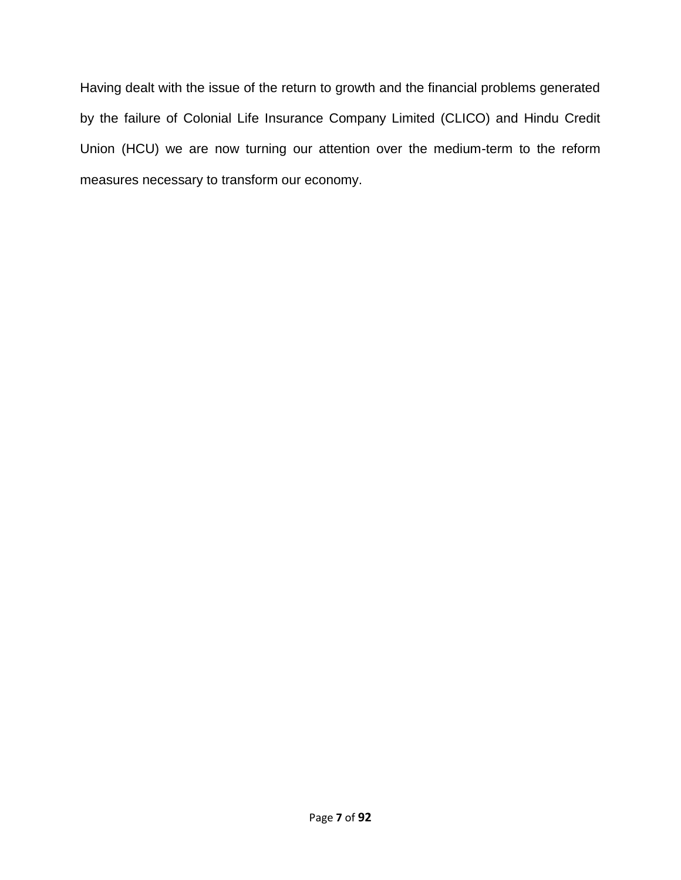Having dealt with the issue of the return to growth and the financial problems generated by the failure of Colonial Life Insurance Company Limited (CLICO) and Hindu Credit Union (HCU) we are now turning our attention over the medium-term to the reform measures necessary to transform our economy.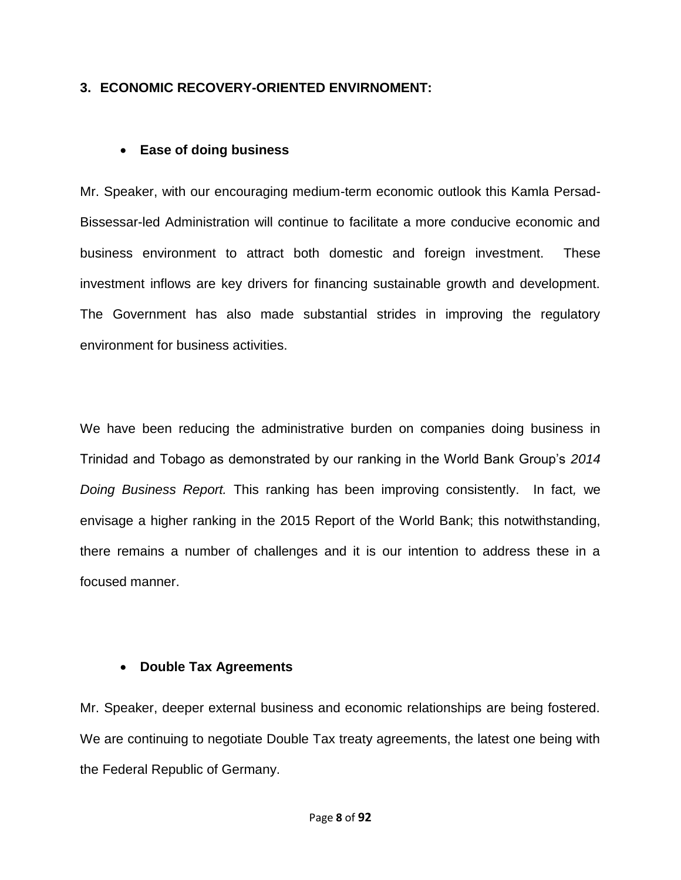### **3. ECONOMIC RECOVERY-ORIENTED ENVIRNOMENT:**

#### **Ease of doing business**

Mr. Speaker, with our encouraging medium-term economic outlook this Kamla Persad-Bissessar-led Administration will continue to facilitate a more conducive economic and business environment to attract both domestic and foreign investment. These investment inflows are key drivers for financing sustainable growth and development. The Government has also made substantial strides in improving the regulatory environment for business activities.

We have been reducing the administrative burden on companies doing business in Trinidad and Tobago as demonstrated by our ranking in the World Bank Group's *2014 Doing Business Report.* This ranking has been improving consistently. In fact*,* we envisage a higher ranking in the 2015 Report of the World Bank; this notwithstanding, there remains a number of challenges and it is our intention to address these in a focused manner.

### **Double Tax Agreements**

Mr. Speaker, deeper external business and economic relationships are being fostered. We are continuing to negotiate Double Tax treaty agreements, the latest one being with the Federal Republic of Germany.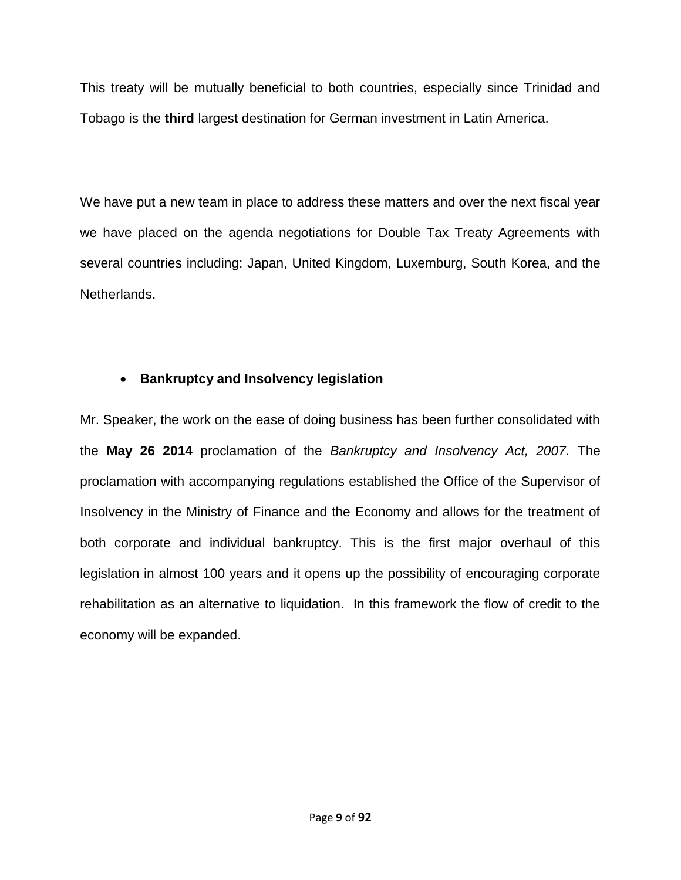This treaty will be mutually beneficial to both countries, especially since Trinidad and Tobago is the **third** largest destination for German investment in Latin America.

We have put a new team in place to address these matters and over the next fiscal year we have placed on the agenda negotiations for Double Tax Treaty Agreements with several countries including: Japan, United Kingdom, Luxemburg, South Korea, and the Netherlands.

### **Bankruptcy and Insolvency legislation**

Mr. Speaker, the work on the ease of doing business has been further consolidated with the **May 26 2014** proclamation of the *Bankruptcy and Insolvency Act, 2007.* The proclamation with accompanying regulations established the Office of the Supervisor of Insolvency in the Ministry of Finance and the Economy and allows for the treatment of both corporate and individual bankruptcy. This is the first major overhaul of this legislation in almost 100 years and it opens up the possibility of encouraging corporate rehabilitation as an alternative to liquidation. In this framework the flow of credit to the economy will be expanded.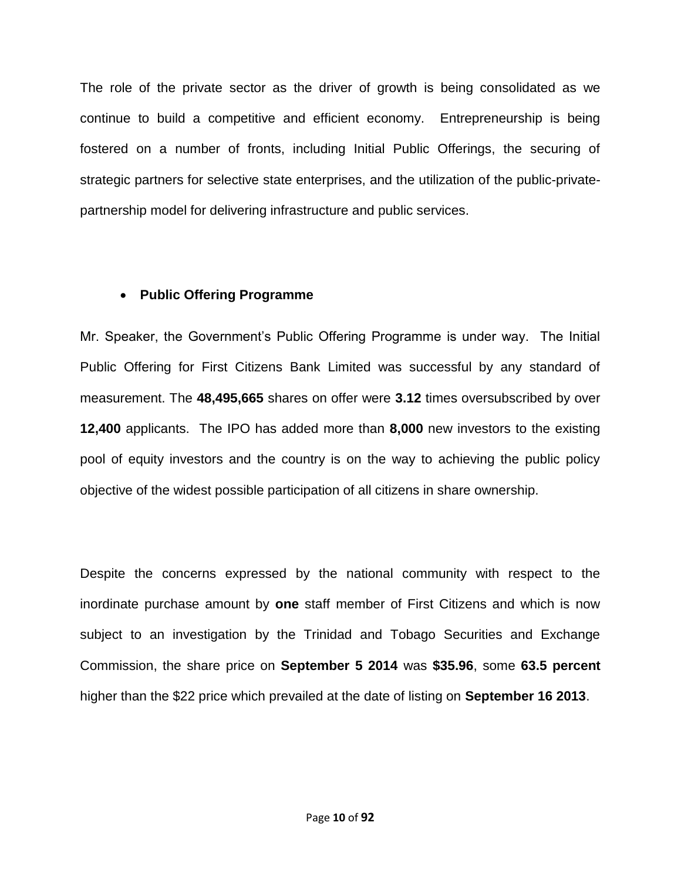The role of the private sector as the driver of growth is being consolidated as we continue to build a competitive and efficient economy. Entrepreneurship is being fostered on a number of fronts, including Initial Public Offerings, the securing of strategic partners for selective state enterprises, and the utilization of the public-privatepartnership model for delivering infrastructure and public services.

### **Public Offering Programme**

Mr. Speaker, the Government's Public Offering Programme is under way. The Initial Public Offering for First Citizens Bank Limited was successful by any standard of measurement. The **48,495,665** shares on offer were **3.12** times oversubscribed by over **12,400** applicants. The IPO has added more than **8,000** new investors to the existing pool of equity investors and the country is on the way to achieving the public policy objective of the widest possible participation of all citizens in share ownership.

Despite the concerns expressed by the national community with respect to the inordinate purchase amount by **one** staff member of First Citizens and which is now subject to an investigation by the Trinidad and Tobago Securities and Exchange Commission, the share price on **September 5 2014** was **\$35.96**, some **63.5 percent** higher than the \$22 price which prevailed at the date of listing on **September 16 2013**.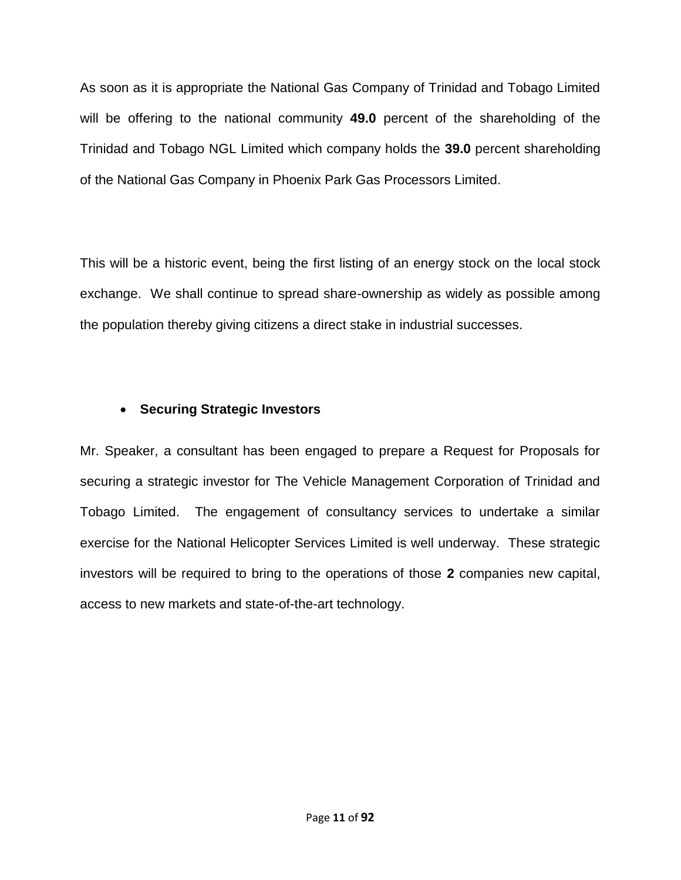As soon as it is appropriate the National Gas Company of Trinidad and Tobago Limited will be offering to the national community **49.0** percent of the shareholding of the Trinidad and Tobago NGL Limited which company holds the **39.0** percent shareholding of the National Gas Company in Phoenix Park Gas Processors Limited.

This will be a historic event, being the first listing of an energy stock on the local stock exchange. We shall continue to spread share-ownership as widely as possible among the population thereby giving citizens a direct stake in industrial successes.

### **Securing Strategic Investors**

Mr. Speaker, a consultant has been engaged to prepare a Request for Proposals for securing a strategic investor for The Vehicle Management Corporation of Trinidad and Tobago Limited. The engagement of consultancy services to undertake a similar exercise for the National Helicopter Services Limited is well underway. These strategic investors will be required to bring to the operations of those **2** companies new capital, access to new markets and state-of-the-art technology.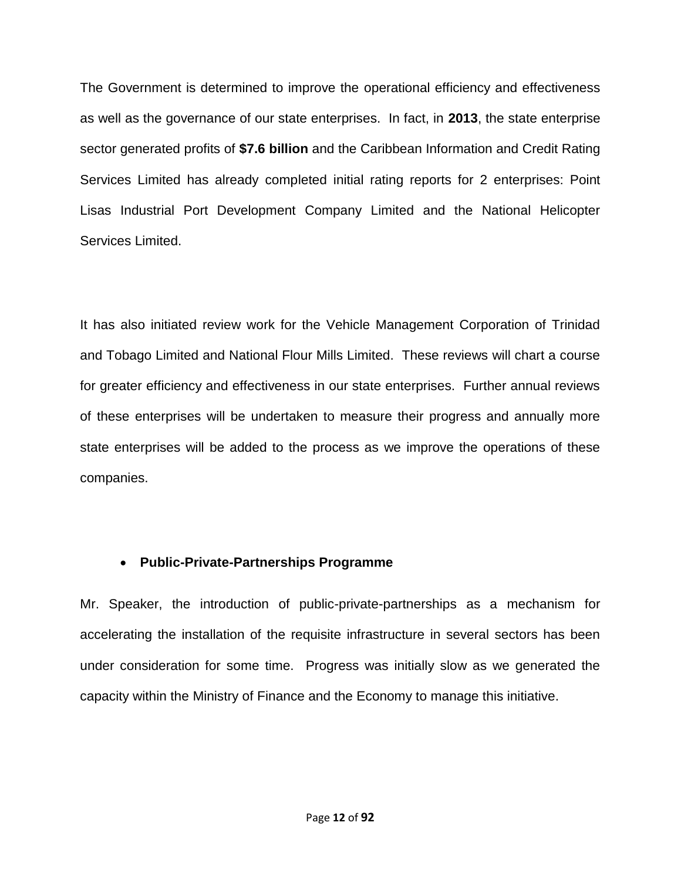The Government is determined to improve the operational efficiency and effectiveness as well as the governance of our state enterprises. In fact, in **2013**, the state enterprise sector generated profits of **\$7.6 billion** and the Caribbean Information and Credit Rating Services Limited has already completed initial rating reports for 2 enterprises: Point Lisas Industrial Port Development Company Limited and the National Helicopter Services Limited.

It has also initiated review work for the Vehicle Management Corporation of Trinidad and Tobago Limited and National Flour Mills Limited. These reviews will chart a course for greater efficiency and effectiveness in our state enterprises. Further annual reviews of these enterprises will be undertaken to measure their progress and annually more state enterprises will be added to the process as we improve the operations of these companies.

### **Public-Private-Partnerships Programme**

Mr. Speaker, the introduction of public-private-partnerships as a mechanism for accelerating the installation of the requisite infrastructure in several sectors has been under consideration for some time. Progress was initially slow as we generated the capacity within the Ministry of Finance and the Economy to manage this initiative.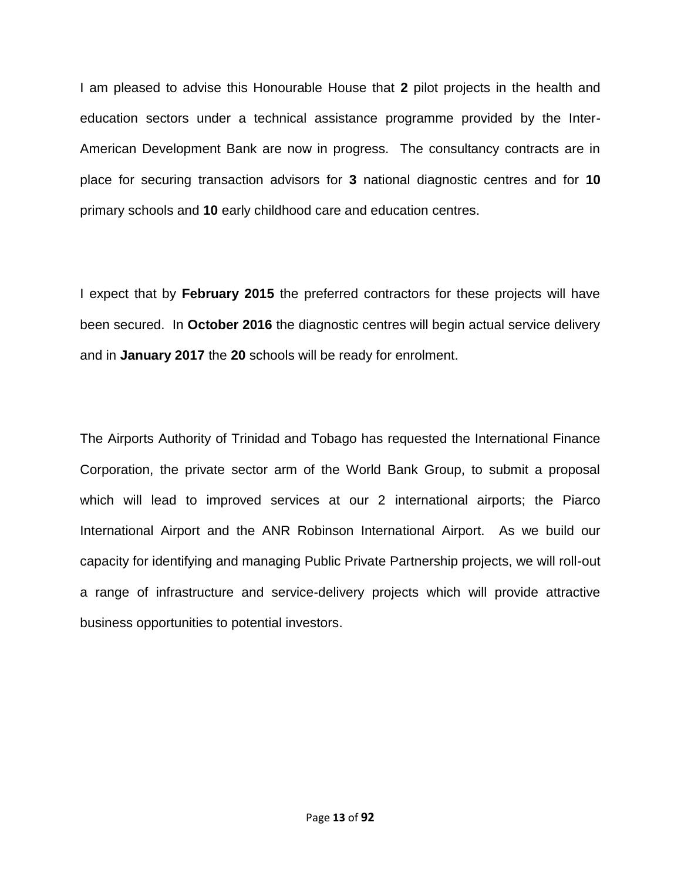I am pleased to advise this Honourable House that **2** pilot projects in the health and education sectors under a technical assistance programme provided by the Inter-American Development Bank are now in progress. The consultancy contracts are in place for securing transaction advisors for **3** national diagnostic centres and for **10** primary schools and **10** early childhood care and education centres.

I expect that by **February 2015** the preferred contractors for these projects will have been secured. In **October 2016** the diagnostic centres will begin actual service delivery and in **January 2017** the **20** schools will be ready for enrolment.

The Airports Authority of Trinidad and Tobago has requested the International Finance Corporation, the private sector arm of the World Bank Group, to submit a proposal which will lead to improved services at our 2 international airports; the Piarco International Airport and the ANR Robinson International Airport. As we build our capacity for identifying and managing Public Private Partnership projects, we will roll-out a range of infrastructure and service-delivery projects which will provide attractive business opportunities to potential investors.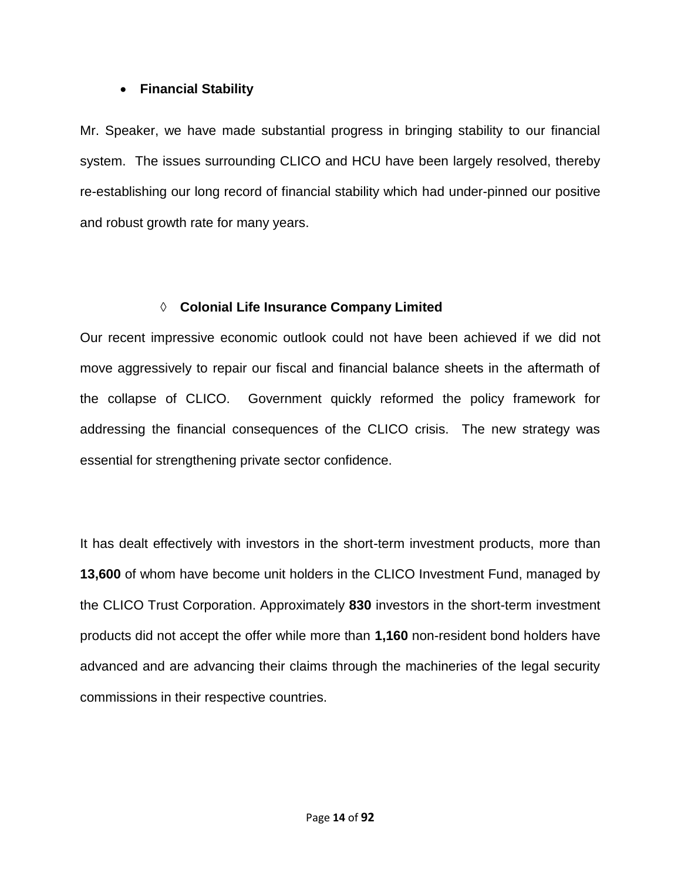### **Financial Stability**

Mr. Speaker, we have made substantial progress in bringing stability to our financial system. The issues surrounding CLICO and HCU have been largely resolved, thereby re-establishing our long record of financial stability which had under-pinned our positive and robust growth rate for many years.

### **Colonial Life Insurance Company Limited**

Our recent impressive economic outlook could not have been achieved if we did not move aggressively to repair our fiscal and financial balance sheets in the aftermath of the collapse of CLICO. Government quickly reformed the policy framework for addressing the financial consequences of the CLICO crisis. The new strategy was essential for strengthening private sector confidence.

It has dealt effectively with investors in the short-term investment products, more than **13,600** of whom have become unit holders in the CLICO Investment Fund, managed by the CLICO Trust Corporation. Approximately **830** investors in the short-term investment products did not accept the offer while more than **1,160** non-resident bond holders have advanced and are advancing their claims through the machineries of the legal security commissions in their respective countries.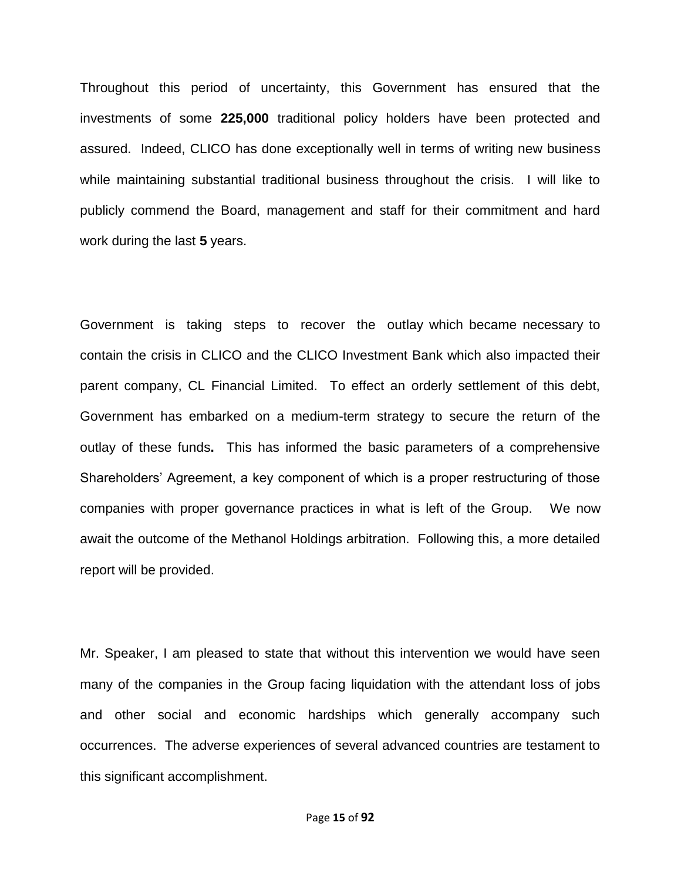Throughout this period of uncertainty, this Government has ensured that the investments of some **225,000** traditional policy holders have been protected and assured. Indeed, CLICO has done exceptionally well in terms of writing new business while maintaining substantial traditional business throughout the crisis. I will like to publicly commend the Board, management and staff for their commitment and hard work during the last **5** years.

Government is taking steps to recover the outlay which became necessary to contain the crisis in CLICO and the CLICO Investment Bank which also impacted their parent company, CL Financial Limited. To effect an orderly settlement of this debt, Government has embarked on a medium-term strategy to secure the return of the outlay of these funds**.** This has informed the basic parameters of a comprehensive Shareholders' Agreement, a key component of which is a proper restructuring of those companies with proper governance practices in what is left of the Group. We now await the outcome of the Methanol Holdings arbitration. Following this, a more detailed report will be provided.

Mr. Speaker, I am pleased to state that without this intervention we would have seen many of the companies in the Group facing liquidation with the attendant loss of jobs and other social and economic hardships which generally accompany such occurrences. The adverse experiences of several advanced countries are testament to this significant accomplishment.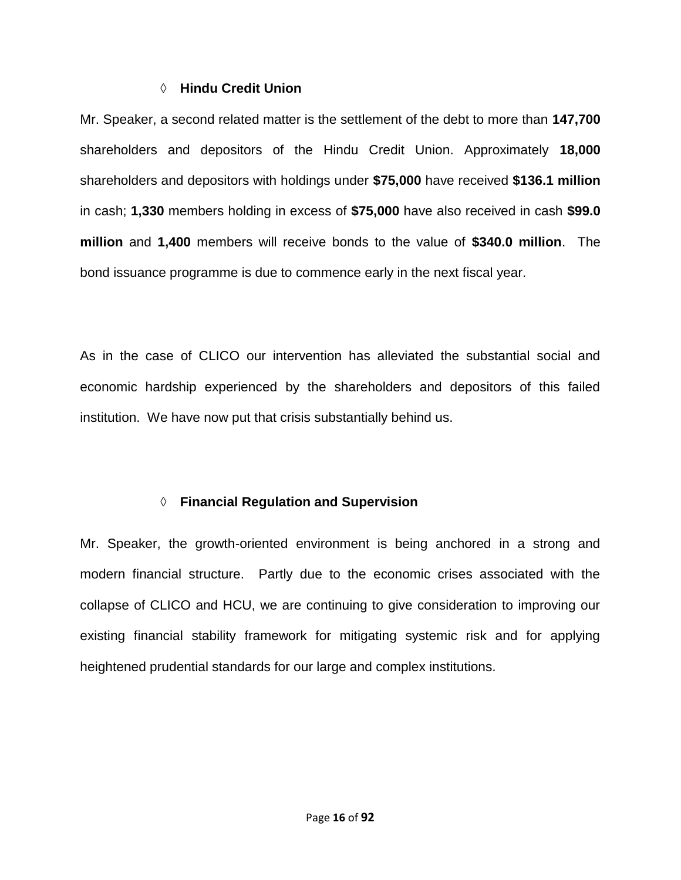#### **Hindu Credit Union**

Mr. Speaker, a second related matter is the settlement of the debt to more than **147,700** shareholders and depositors of the Hindu Credit Union. Approximately **18,000** shareholders and depositors with holdings under **\$75,000** have received **\$136.1 million**  in cash; **1,330** members holding in excess of **\$75,000** have also received in cash **\$99.0 million** and **1,400** members will receive bonds to the value of **\$340.0 million**. The bond issuance programme is due to commence early in the next fiscal year.

As in the case of CLICO our intervention has alleviated the substantial social and economic hardship experienced by the shareholders and depositors of this failed institution. We have now put that crisis substantially behind us.

### **Financial Regulation and Supervision**

Mr. Speaker, the growth-oriented environment is being anchored in a strong and modern financial structure. Partly due to the economic crises associated with the collapse of CLICO and HCU, we are continuing to give consideration to improving our existing financial stability framework for mitigating systemic risk and for applying heightened prudential standards for our large and complex institutions.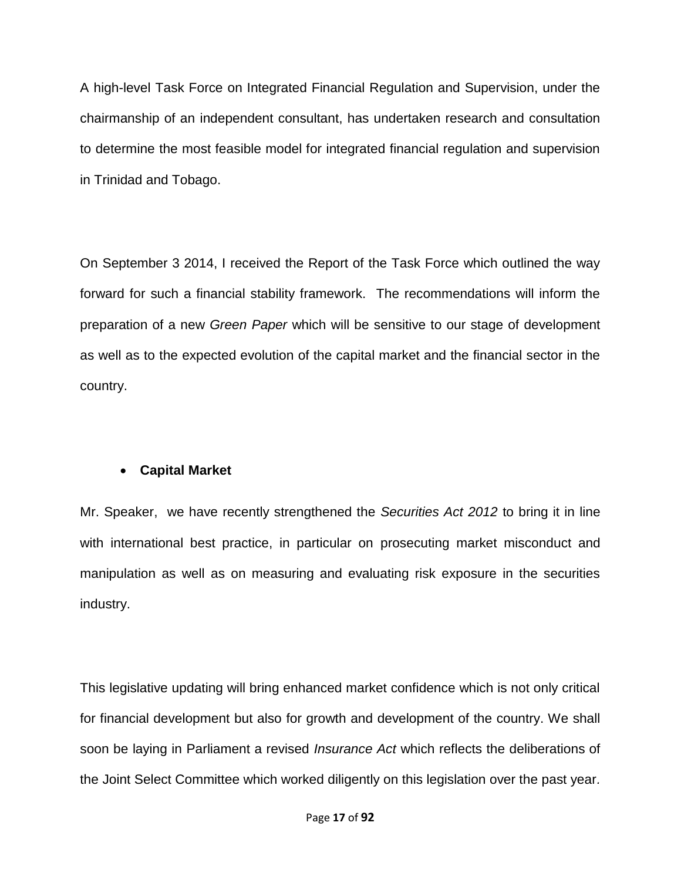A high-level Task Force on Integrated Financial Regulation and Supervision, under the chairmanship of an independent consultant, has undertaken research and consultation to determine the most feasible model for integrated financial regulation and supervision in Trinidad and Tobago.

On September 3 2014, I received the Report of the Task Force which outlined the way forward for such a financial stability framework. The recommendations will inform the preparation of a new *Green Paper* which will be sensitive to our stage of development as well as to the expected evolution of the capital market and the financial sector in the country.

### **Capital Market**

Mr. Speaker, we have recently strengthened the *Securities Act 2012* to bring it in line with international best practice, in particular on prosecuting market misconduct and manipulation as well as on measuring and evaluating risk exposure in the securities industry.

This legislative updating will bring enhanced market confidence which is not only critical for financial development but also for growth and development of the country. We shall soon be laying in Parliament a revised *Insurance Act* which reflects the deliberations of the Joint Select Committee which worked diligently on this legislation over the past year*.*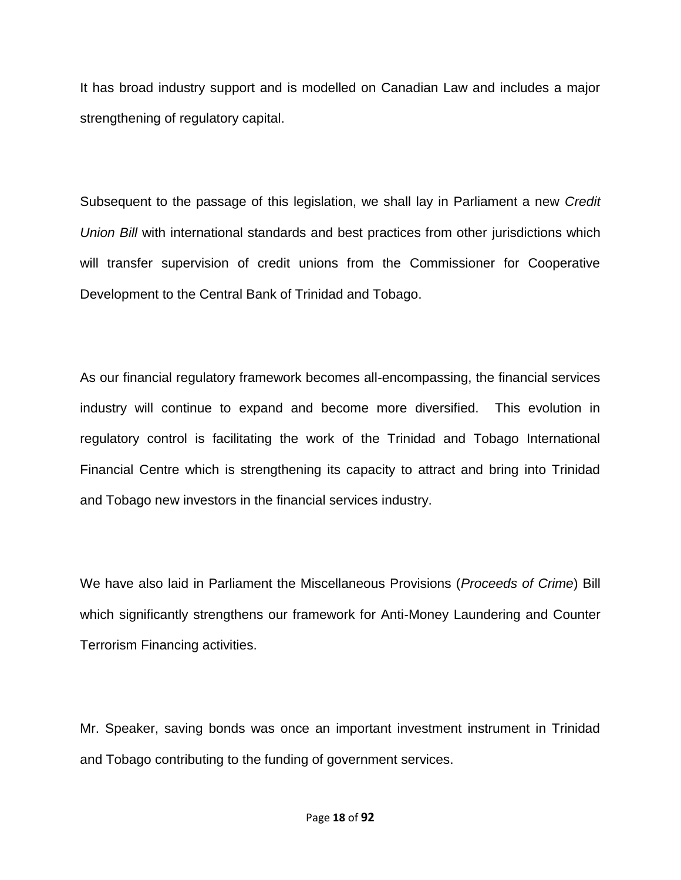It has broad industry support and is modelled on Canadian Law and includes a major strengthening of regulatory capital.

Subsequent to the passage of this legislation, we shall lay in Parliament a new *Credit Union Bill* with international standards and best practices from other jurisdictions which will transfer supervision of credit unions from the Commissioner for Cooperative Development to the Central Bank of Trinidad and Tobago.

As our financial regulatory framework becomes all-encompassing, the financial services industry will continue to expand and become more diversified. This evolution in regulatory control is facilitating the work of the Trinidad and Tobago International Financial Centre which is strengthening its capacity to attract and bring into Trinidad and Tobago new investors in the financial services industry.

We have also laid in Parliament the Miscellaneous Provisions (*Proceeds of Crime*) Bill which significantly strengthens our framework for Anti-Money Laundering and Counter Terrorism Financing activities.

Mr. Speaker, saving bonds was once an important investment instrument in Trinidad and Tobago contributing to the funding of government services.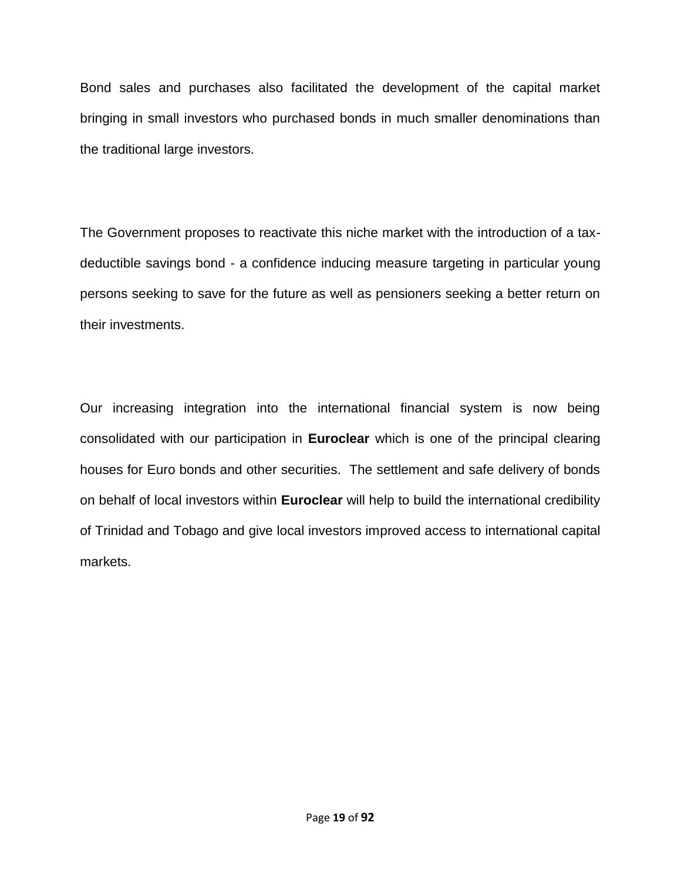Bond sales and purchases also facilitated the development of the capital market bringing in small investors who purchased bonds in much smaller denominations than the traditional large investors.

The Government proposes to reactivate this niche market with the introduction of a taxdeductible savings bond - a confidence inducing measure targeting in particular young persons seeking to save for the future as well as pensioners seeking a better return on their investments.

Our increasing integration into the international financial system is now being consolidated with our participation in **Euroclear** which is one of the principal clearing houses for Euro bonds and other securities. The settlement and safe delivery of bonds on behalf of local investors within **Euroclear** will help to build the international credibility of Trinidad and Tobago and give local investors improved access to international capital markets.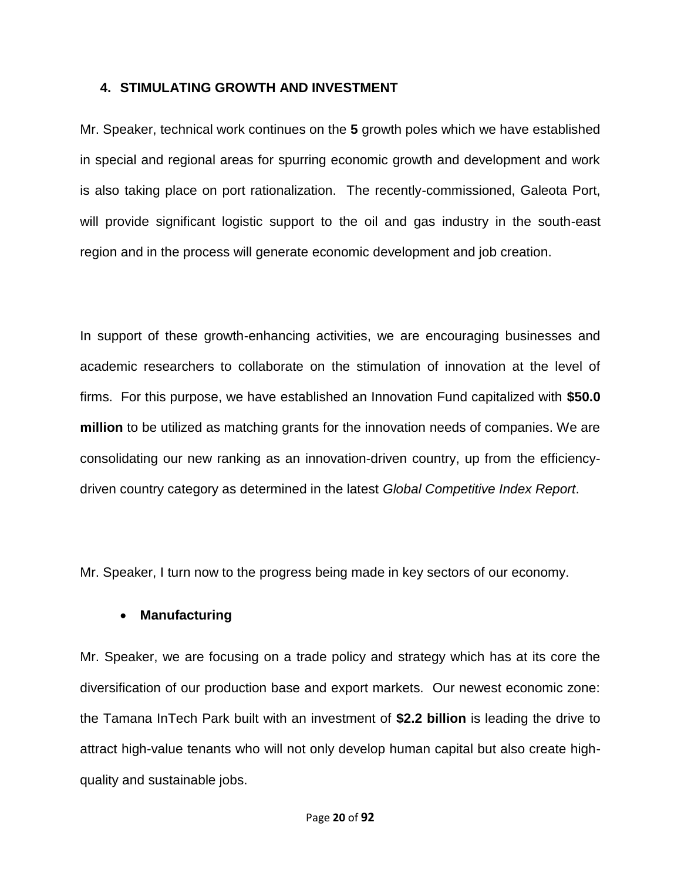#### **4. STIMULATING GROWTH AND INVESTMENT**

Mr. Speaker, technical work continues on the **5** growth poles which we have established in special and regional areas for spurring economic growth and development and work is also taking place on port rationalization. The recently-commissioned, Galeota Port, will provide significant logistic support to the oil and gas industry in the south-east region and in the process will generate economic development and job creation.

In support of these growth-enhancing activities, we are encouraging businesses and academic researchers to collaborate on the stimulation of innovation at the level of firms. For this purpose, we have established an Innovation Fund capitalized with **\$50.0 million** to be utilized as matching grants for the innovation needs of companies. We are consolidating our new ranking as an innovation-driven country, up from the efficiencydriven country category as determined in the latest *Global Competitive Index Report*.

Mr. Speaker, I turn now to the progress being made in key sectors of our economy.

#### **Manufacturing**

Mr. Speaker, we are focusing on a trade policy and strategy which has at its core the diversification of our production base and export markets. Our newest economic zone: the Tamana InTech Park built with an investment of **\$2.2 billion** is leading the drive to attract high-value tenants who will not only develop human capital but also create highquality and sustainable jobs.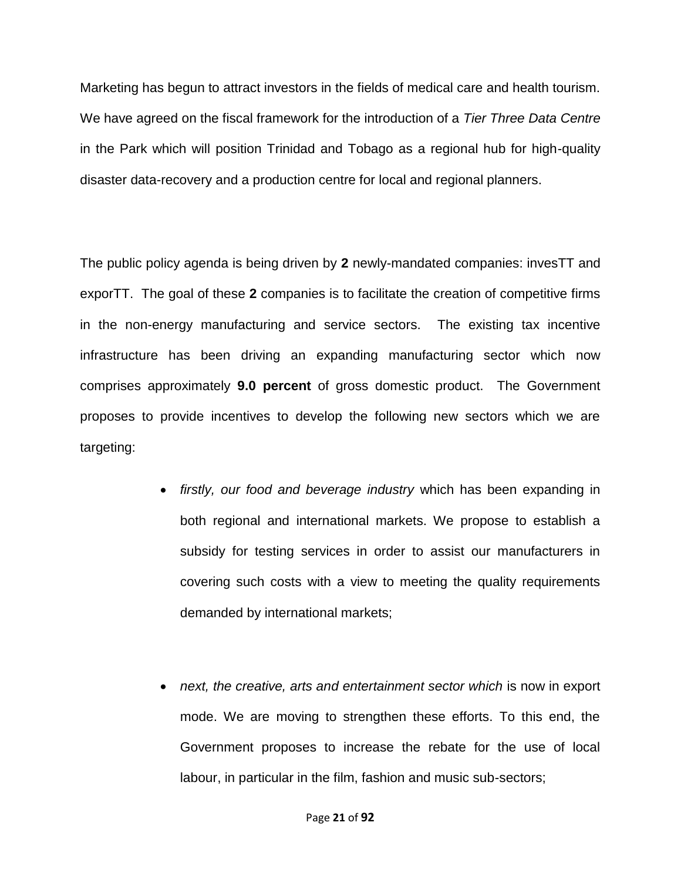Marketing has begun to attract investors in the fields of medical care and health tourism. We have agreed on the fiscal framework for the introduction of a *Tier Three Data Centre* in the Park which will position Trinidad and Tobago as a regional hub for high-quality disaster data-recovery and a production centre for local and regional planners.

The public policy agenda is being driven by **2** newly-mandated companies: invesTT and exporTT. The goal of these **2** companies is to facilitate the creation of competitive firms in the non-energy manufacturing and service sectors.The existing tax incentive infrastructure has been driving an expanding manufacturing sector which now comprises approximately **9.0 percent** of gross domestic product. The Government proposes to provide incentives to develop the following new sectors which we are targeting:

- *firstly, our food and beverage industry* which has been expanding in both regional and international markets. We propose to establish a subsidy for testing services in order to assist our manufacturers in covering such costs with a view to meeting the quality requirements demanded by international markets;
- *next, the creative, arts and entertainment sector which* is now in export mode. We are moving to strengthen these efforts. To this end, the Government proposes to increase the rebate for the use of local labour, in particular in the film, fashion and music sub-sectors;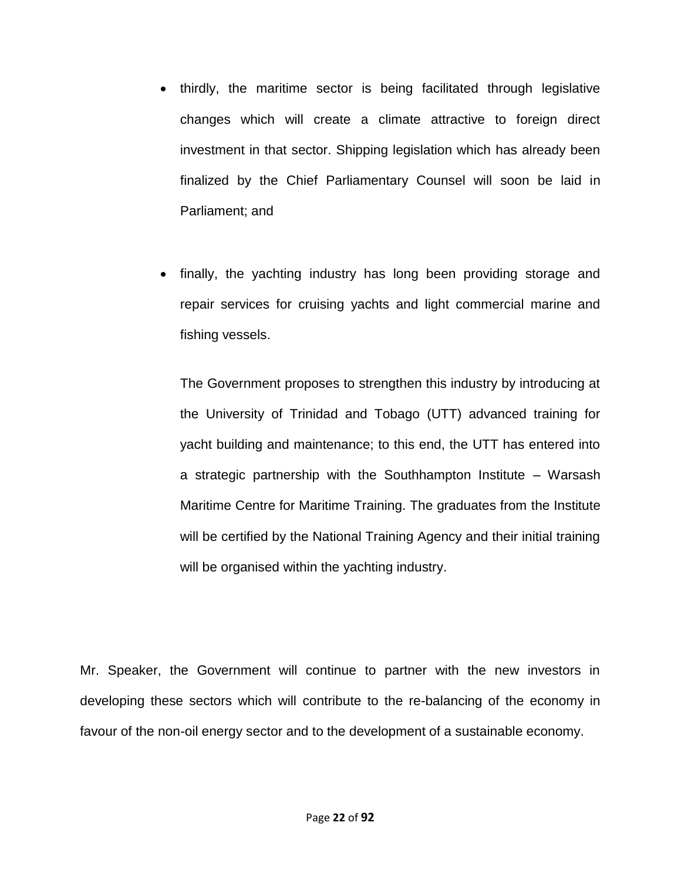- thirdly, the maritime sector is being facilitated through legislative changes which will create a climate attractive to foreign direct investment in that sector. Shipping legislation which has already been finalized by the Chief Parliamentary Counsel will soon be laid in Parliament; and
- finally, the yachting industry has long been providing storage and repair services for cruising yachts and light commercial marine and fishing vessels.

The Government proposes to strengthen this industry by introducing at the University of Trinidad and Tobago (UTT) advanced training for yacht building and maintenance; to this end, the UTT has entered into a strategic partnership with the Southhampton Institute – Warsash Maritime Centre for Maritime Training. The graduates from the Institute will be certified by the National Training Agency and their initial training will be organised within the yachting industry.

Mr. Speaker, the Government will continue to partner with the new investors in developing these sectors which will contribute to the re-balancing of the economy in favour of the non-oil energy sector and to the development of a sustainable economy.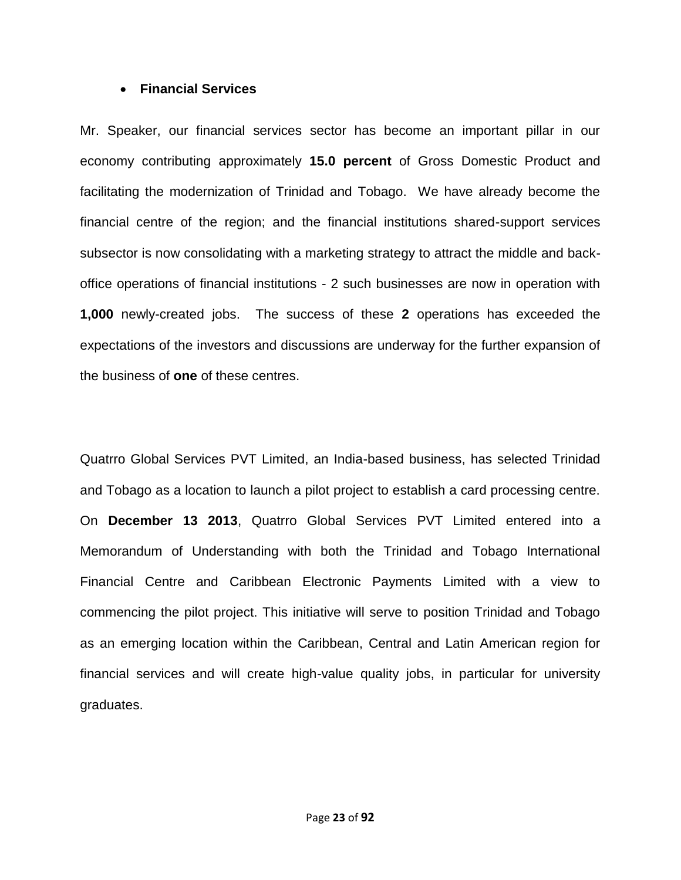#### **Financial Services**

Mr. Speaker, our financial services sector has become an important pillar in our economy contributing approximately **15.0 percent** of Gross Domestic Product and facilitating the modernization of Trinidad and Tobago. We have already become the financial centre of the region; and the financial institutions shared-support services subsector is now consolidating with a marketing strategy to attract the middle and backoffice operations of financial institutions - 2 such businesses are now in operation with **1,000** newly-created jobs. The success of these **2** operations has exceeded the expectations of the investors and discussions are underway for the further expansion of the business of **one** of these centres.

Quatrro Global Services PVT Limited, an India-based business, has selected Trinidad and Tobago as a location to launch a pilot project to establish a card processing centre. On **December 13 2013**, Quatrro Global Services PVT Limited entered into a Memorandum of Understanding with both the Trinidad and Tobago International Financial Centre and Caribbean Electronic Payments Limited with a view to commencing the pilot project. This initiative will serve to position Trinidad and Tobago as an emerging location within the Caribbean, Central and Latin American region for financial services and will create high-value quality jobs, in particular for university graduates.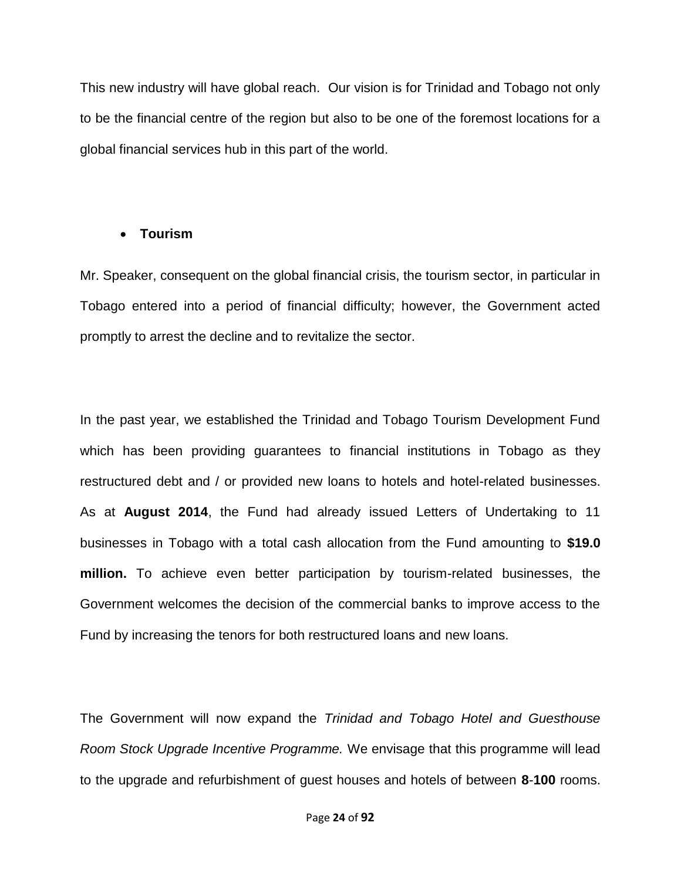This new industry will have global reach. Our vision is for Trinidad and Tobago not only to be the financial centre of the region but also to be one of the foremost locations for a global financial services hub in this part of the world.

#### **Tourism**

Mr. Speaker, consequent on the global financial crisis, the tourism sector, in particular in Tobago entered into a period of financial difficulty; however, the Government acted promptly to arrest the decline and to revitalize the sector.

In the past year, we established the Trinidad and Tobago Tourism Development Fund which has been providing guarantees to financial institutions in Tobago as they restructured debt and / or provided new loans to hotels and hotel-related businesses. As at **August 2014**, the Fund had already issued Letters of Undertaking to 11 businesses in Tobago with a total cash allocation from the Fund amounting to **\$19.0 million.** To achieve even better participation by tourism-related businesses, the Government welcomes the decision of the commercial banks to improve access to the Fund by increasing the tenors for both restructured loans and new loans.

The Government will now expand the *Trinidad and Tobago Hotel and Guesthouse Room Stock Upgrade Incentive Programme.* We envisage that this programme will lead to the upgrade and refurbishment of guest houses and hotels of between **8**-**100** rooms.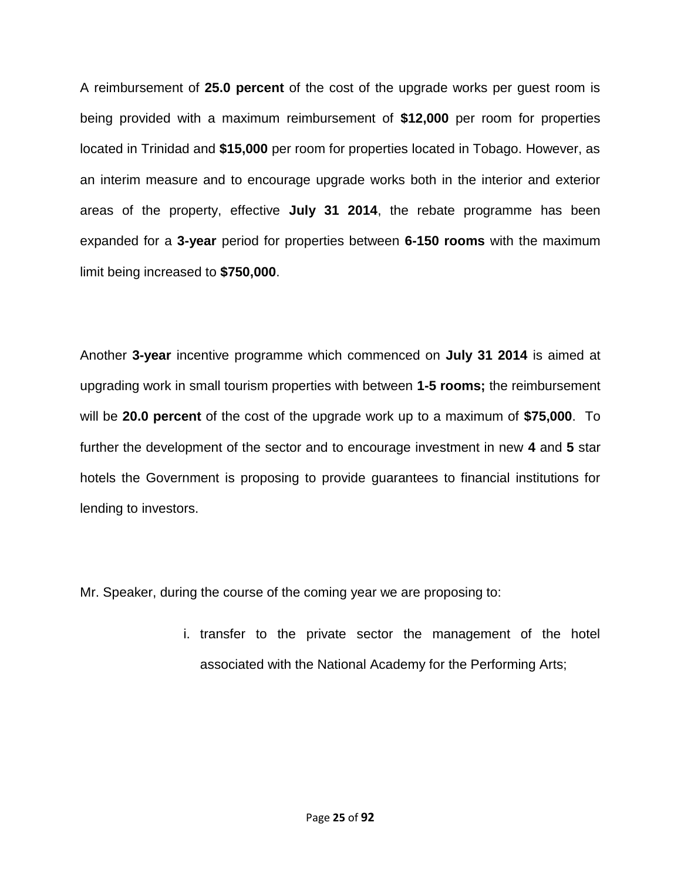A reimbursement of **25.0 percent** of the cost of the upgrade works per guest room is being provided with a maximum reimbursement of **\$12,000** per room for properties located in Trinidad and **\$15,000** per room for properties located in Tobago. However, as an interim measure and to encourage upgrade works both in the interior and exterior areas of the property, effective **July 31 2014**, the rebate programme has been expanded for a **3-year** period for properties between **6-150 rooms** with the maximum limit being increased to **\$750,000**.

Another **3-year** incentive programme which commenced on **July 31 2014** is aimed at upgrading work in small tourism properties with between **1-5 rooms;** the reimbursement will be **20.0 percent** of the cost of the upgrade work up to a maximum of **\$75,000**. To further the development of the sector and to encourage investment in new **4** and **5** star hotels the Government is proposing to provide guarantees to financial institutions for lending to investors.

Mr. Speaker, during the course of the coming year we are proposing to:

i. transfer to the private sector the management of the hotel associated with the National Academy for the Performing Arts;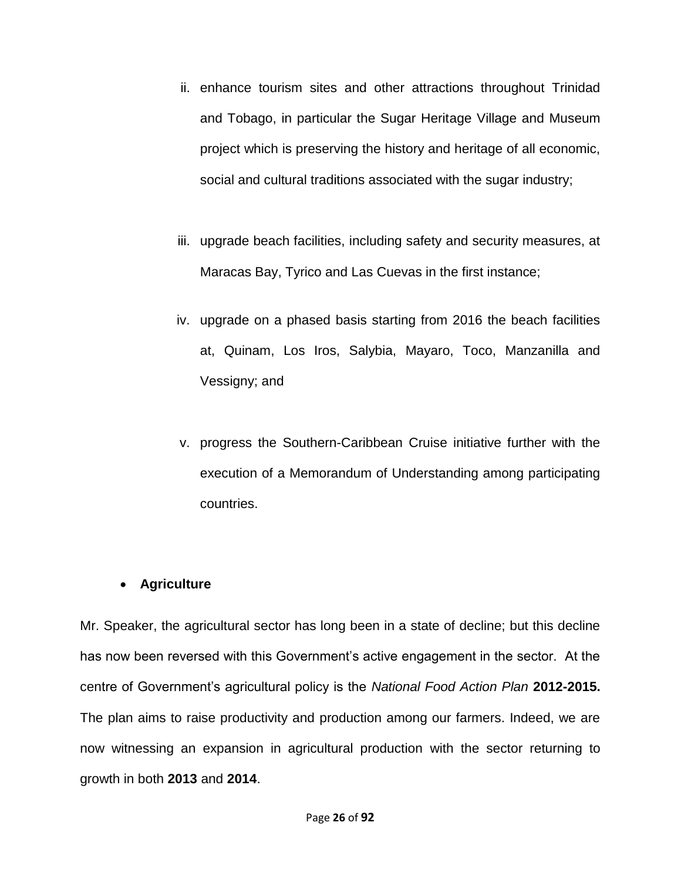- ii. enhance tourism sites and other attractions throughout Trinidad and Tobago, in particular the Sugar Heritage Village and Museum project which is preserving the history and heritage of all economic, social and cultural traditions associated with the sugar industry;
- iii. upgrade beach facilities, including safety and security measures, at Maracas Bay, Tyrico and Las Cuevas in the first instance;
- iv. upgrade on a phased basis starting from 2016 the beach facilities at, Quinam, Los Iros, Salybia, Mayaro, Toco, Manzanilla and Vessigny; and
- v. progress the Southern-Caribbean Cruise initiative further with the execution of a Memorandum of Understanding among participating countries.

### **Agriculture**

Mr. Speaker, the agricultural sector has long been in a state of decline; but this decline has now been reversed with this Government's active engagement in the sector. At the centre of Government's agricultural policy is the *National Food Action Plan* **2012-2015.** The plan aims to raise productivity and production among our farmers. Indeed, we are now witnessing an expansion in agricultural production with the sector returning to growth in both **2013** and **2014**.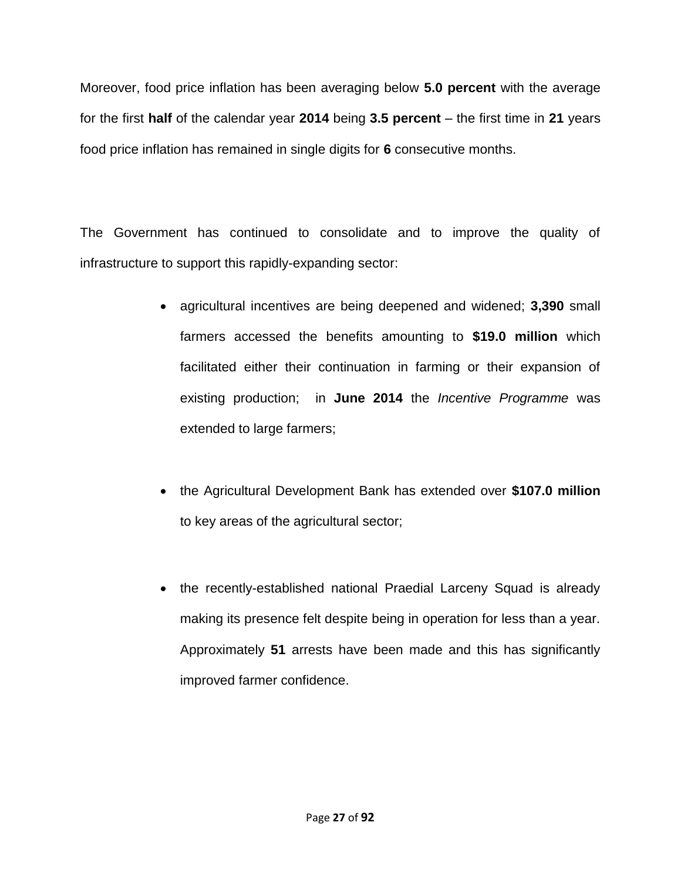Moreover, food price inflation has been averaging below **5.0 percent** with the average for the first **half** of the calendar year **2014** being **3.5 percent** – the first time in **21** years food price inflation has remained in single digits for **6** consecutive months.

The Government has continued to consolidate and to improve the quality of infrastructure to support this rapidly-expanding sector:

- agricultural incentives are being deepened and widened; **3,390** small farmers accessed the benefits amounting to **\$19.0 million** which facilitated either their continuation in farming or their expansion of existing production; in **June 2014** the *Incentive Programme* was extended to large farmers;
- the Agricultural Development Bank has extended over **\$107.0 million** to key areas of the agricultural sector;
- the recently-established national Praedial Larceny Squad is already making its presence felt despite being in operation for less than a year. Approximately **51** arrests have been made and this has significantly improved farmer confidence.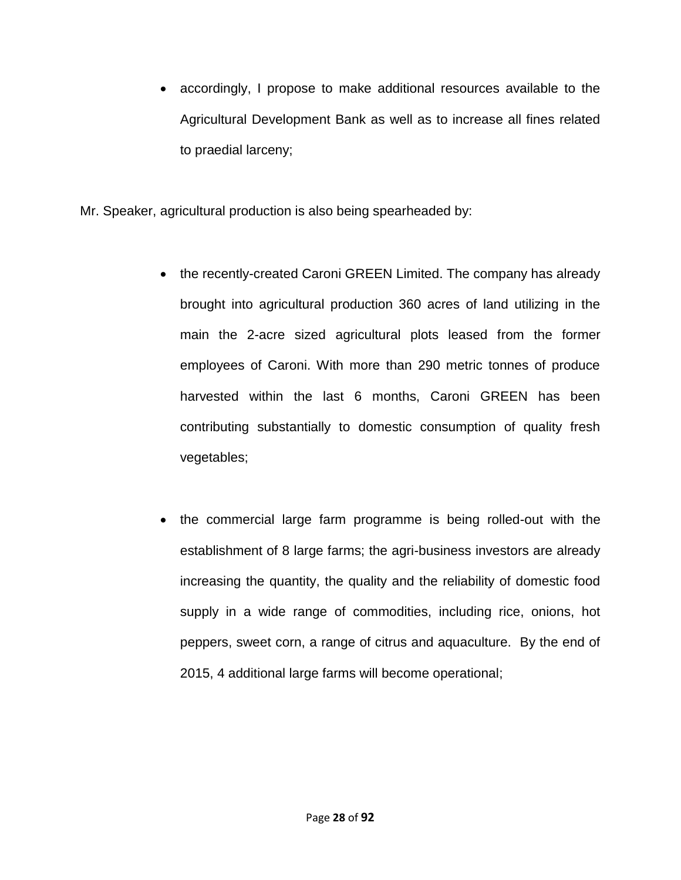accordingly, I propose to make additional resources available to the Agricultural Development Bank as well as to increase all fines related to praedial larceny;

Mr. Speaker, agricultural production is also being spearheaded by:

- the recently-created Caroni GREEN Limited. The company has already brought into agricultural production 360 acres of land utilizing in the main the 2-acre sized agricultural plots leased from the former employees of Caroni. With more than 290 metric tonnes of produce harvested within the last 6 months, Caroni GREEN has been contributing substantially to domestic consumption of quality fresh vegetables;
- the commercial large farm programme is being rolled-out with the establishment of 8 large farms; the agri-business investors are already increasing the quantity, the quality and the reliability of domestic food supply in a wide range of commodities, including rice, onions, hot peppers, sweet corn, a range of citrus and aquaculture. By the end of 2015, 4 additional large farms will become operational;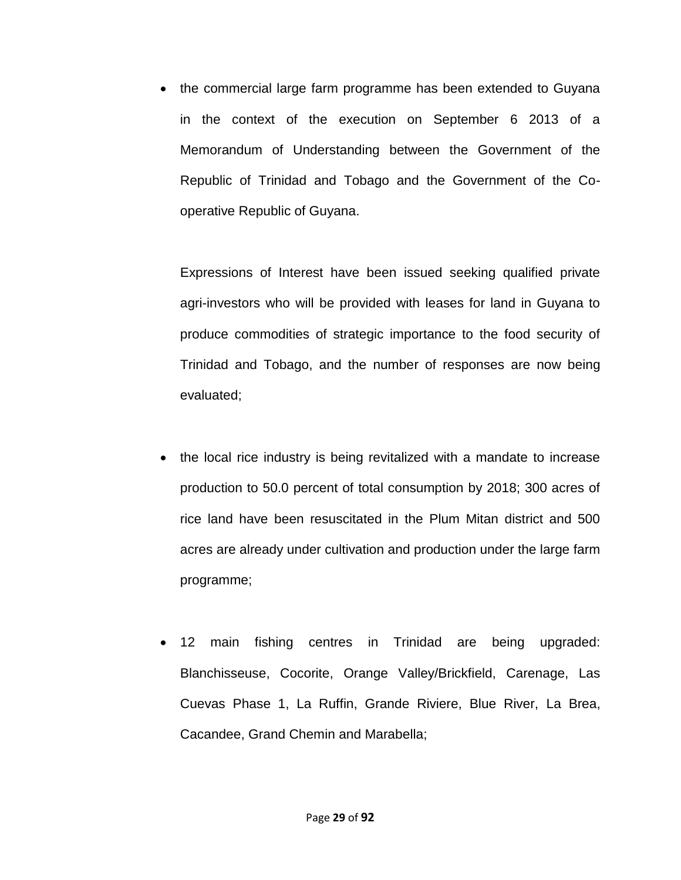the commercial large farm programme has been extended to Guyana in the context of the execution on September 6 2013 of a Memorandum of Understanding between the Government of the Republic of Trinidad and Tobago and the Government of the Cooperative Republic of Guyana.

Expressions of Interest have been issued seeking qualified private agri-investors who will be provided with leases for land in Guyana to produce commodities of strategic importance to the food security of Trinidad and Tobago, and the number of responses are now being evaluated;

- the local rice industry is being revitalized with a mandate to increase production to 50.0 percent of total consumption by 2018; 300 acres of rice land have been resuscitated in the Plum Mitan district and 500 acres are already under cultivation and production under the large farm programme;
- 12 main fishing centres in Trinidad are being upgraded: Blanchisseuse, Cocorite, Orange Valley/Brickfield, Carenage, Las Cuevas Phase 1, La Ruffin, Grande Riviere, Blue River, La Brea, Cacandee, Grand Chemin and Marabella;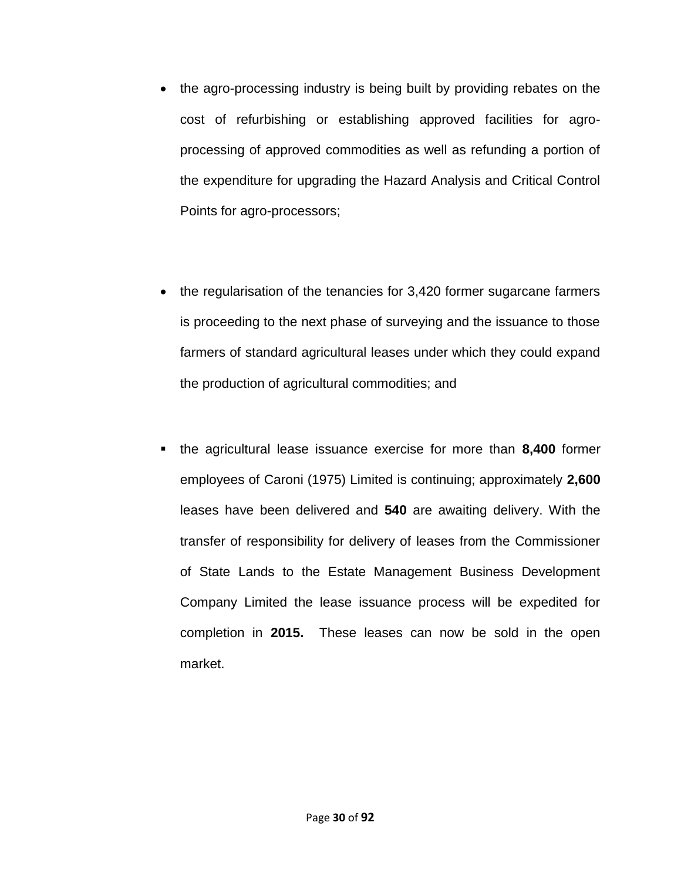- the agro-processing industry is being built by providing rebates on the cost of refurbishing or establishing approved facilities for agroprocessing of approved commodities as well as refunding a portion of the expenditure for upgrading the Hazard Analysis and Critical Control Points for agro-processors;
- the regularisation of the tenancies for 3,420 former sugarcane farmers is proceeding to the next phase of surveying and the issuance to those farmers of standard agricultural leases under which they could expand the production of agricultural commodities; and
- the agricultural lease issuance exercise for more than **8,400** former employees of Caroni (1975) Limited is continuing; approximately **2,600** leases have been delivered and **540** are awaiting delivery. With the transfer of responsibility for delivery of leases from the Commissioner of State Lands to the Estate Management Business Development Company Limited the lease issuance process will be expedited for completion in **2015.** These leases can now be sold in the open market.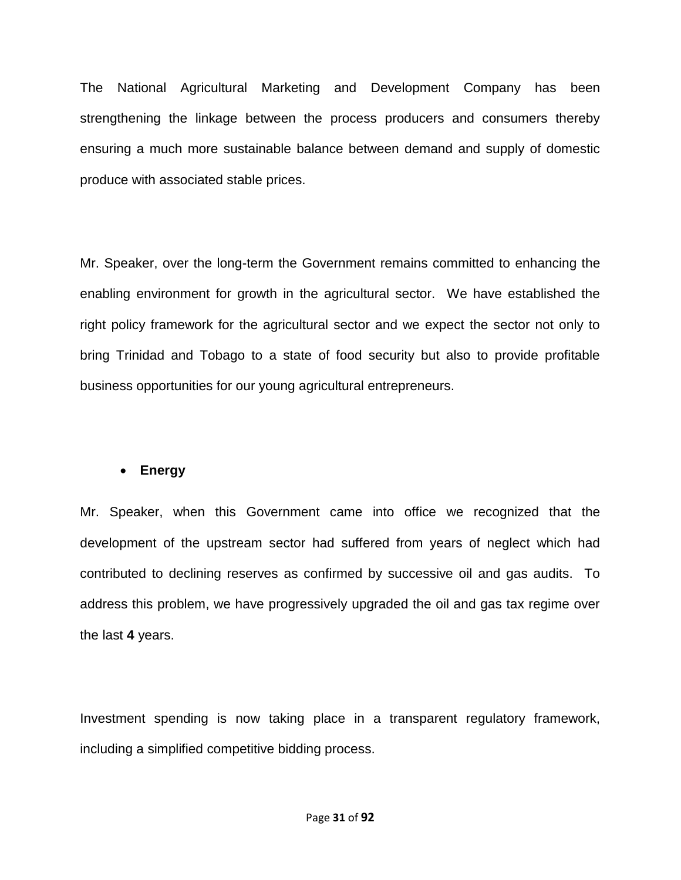The National Agricultural Marketing and Development Company has been strengthening the linkage between the process producers and consumers thereby ensuring a much more sustainable balance between demand and supply of domestic produce with associated stable prices.

Mr. Speaker, over the long-term the Government remains committed to enhancing the enabling environment for growth in the agricultural sector. We have established the right policy framework for the agricultural sector and we expect the sector not only to bring Trinidad and Tobago to a state of food security but also to provide profitable business opportunities for our young agricultural entrepreneurs.

### **Energy**

Mr. Speaker, when this Government came into office we recognized that the development of the upstream sector had suffered from years of neglect which had contributed to declining reserves as confirmed by successive oil and gas audits. To address this problem, we have progressively upgraded the oil and gas tax regime over the last **4** years.

Investment spending is now taking place in a transparent regulatory framework, including a simplified competitive bidding process.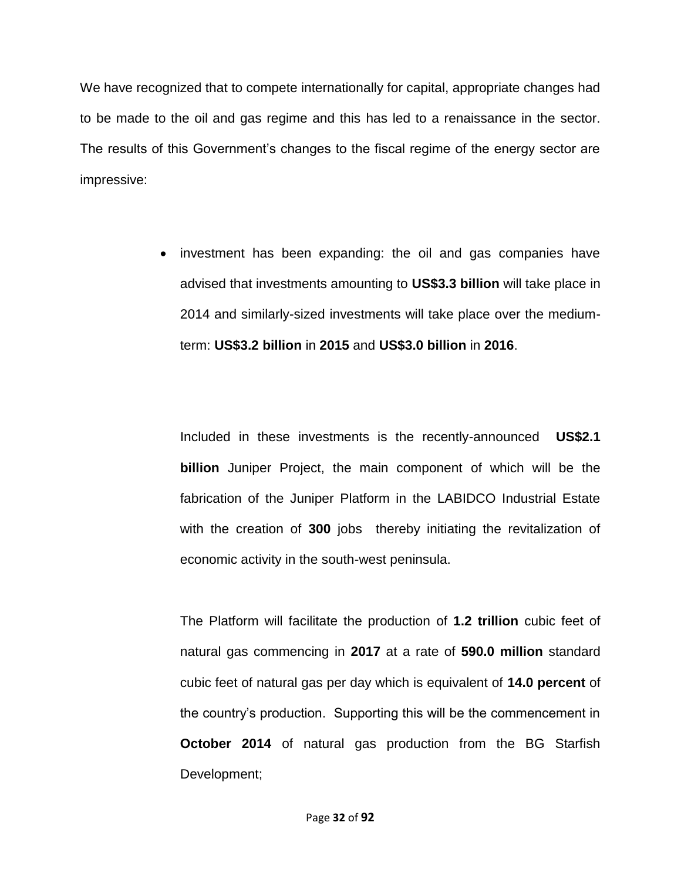We have recognized that to compete internationally for capital, appropriate changes had to be made to the oil and gas regime and this has led to a renaissance in the sector. The results of this Government's changes to the fiscal regime of the energy sector are impressive:

> • investment has been expanding: the oil and gas companies have advised that investments amounting to **US\$3.3 billion** will take place in 2014 and similarly-sized investments will take place over the mediumterm: **US\$3.2 billion** in **2015** and **US\$3.0 billion** in **2016**.

Included in these investments is the recently-announced **US\$2.1 billion** Juniper Project, the main component of which will be the fabrication of the Juniper Platform in the LABIDCO Industrial Estate with the creation of **300** jobs thereby initiating the revitalization of economic activity in the south-west peninsula.

The Platform will facilitate the production of **1.2 trillion** cubic feet of natural gas commencing in **2017** at a rate of **590.0 million** standard cubic feet of natural gas per day which is equivalent of **14.0 percent** of the country's production. Supporting this will be the commencement in **October 2014** of natural gas production from the BG Starfish Development;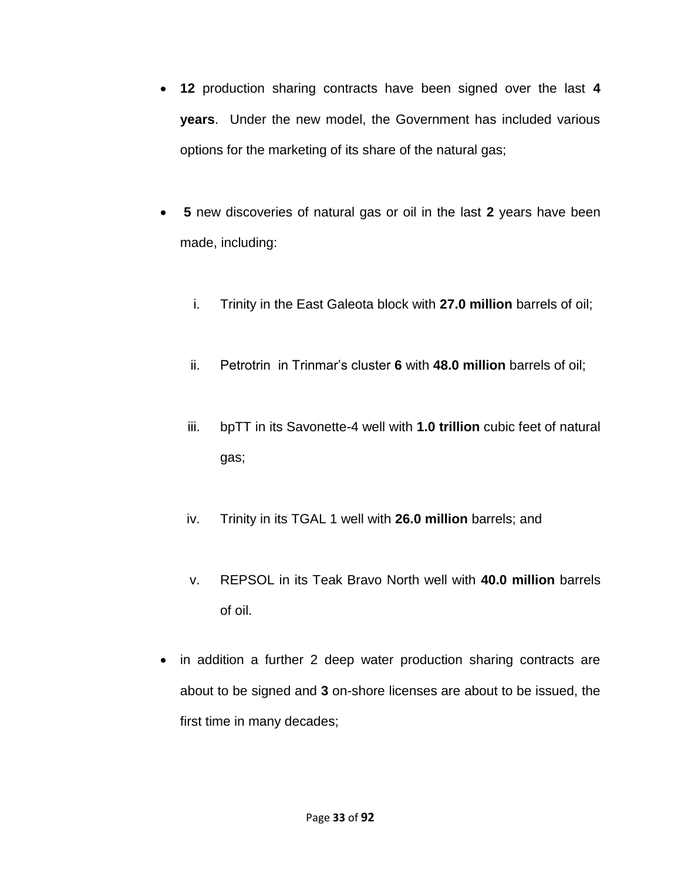- **12** production sharing contracts have been signed over the last **4 years**. Under the new model, the Government has included various options for the marketing of its share of the natural gas;
- **5** new discoveries of natural gas or oil in the last **2** years have been made, including:
	- i. Trinity in the East Galeota block with **27.0 million** barrels of oil;
	- ii. Petrotrin in Trinmar's cluster **6** with **48.0 million** barrels of oil;
	- iii. bpTT in its Savonette-4 well with **1.0 trillion** cubic feet of natural gas;
	- iv. Trinity in its TGAL 1 well with **26.0 million** barrels; and
	- v. REPSOL in its Teak Bravo North well with **40.0 million** barrels of oil.
- in addition a further 2 deep water production sharing contracts are about to be signed and **3** on-shore licenses are about to be issued, the first time in many decades;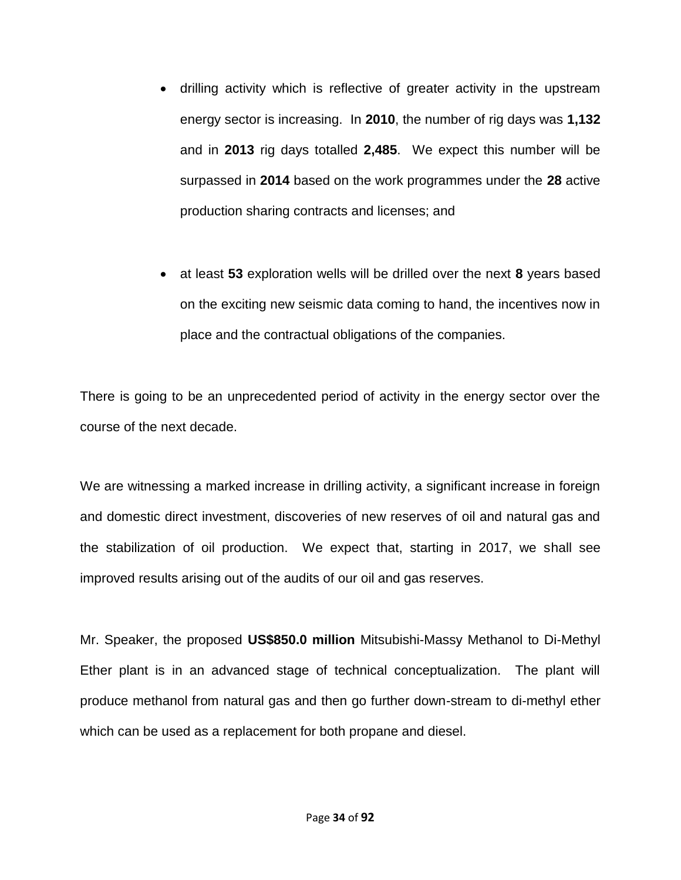- drilling activity which is reflective of greater activity in the upstream energy sector is increasing. In **2010**, the number of rig days was **1,132** and in **2013** rig days totalled **2,485**. We expect this number will be surpassed in **2014** based on the work programmes under the **28** active production sharing contracts and licenses; and
- at least **53** exploration wells will be drilled over the next **8** years based on the exciting new seismic data coming to hand, the incentives now in place and the contractual obligations of the companies.

There is going to be an unprecedented period of activity in the energy sector over the course of the next decade.

We are witnessing a marked increase in drilling activity, a significant increase in foreign and domestic direct investment, discoveries of new reserves of oil and natural gas and the stabilization of oil production. We expect that, starting in 2017, we shall see improved results arising out of the audits of our oil and gas reserves.

Mr. Speaker, the proposed **US\$850.0 million** Mitsubishi-Massy Methanol to Di-Methyl Ether plant is in an advanced stage of technical conceptualization. The plant will produce methanol from natural gas and then go further down-stream to di-methyl ether which can be used as a replacement for both propane and diesel.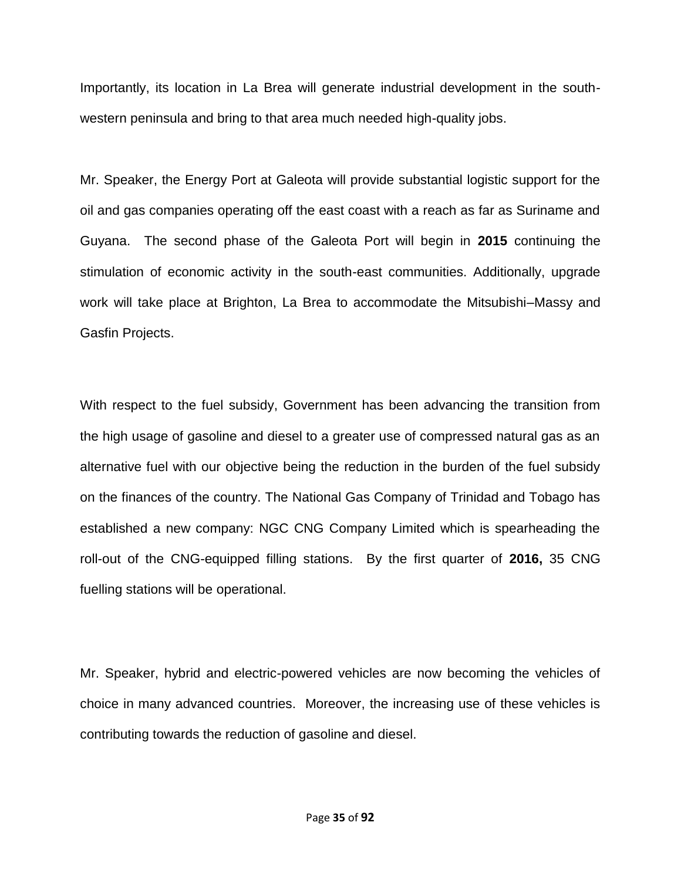Importantly, its location in La Brea will generate industrial development in the southwestern peninsula and bring to that area much needed high-quality jobs.

Mr. Speaker, the Energy Port at Galeota will provide substantial logistic support for the oil and gas companies operating off the east coast with a reach as far as Suriname and Guyana. The second phase of the Galeota Port will begin in **2015** continuing the stimulation of economic activity in the south-east communities. Additionally, upgrade work will take place at Brighton, La Brea to accommodate the Mitsubishi–Massy and Gasfin Projects.

With respect to the fuel subsidy, Government has been advancing the transition from the high usage of gasoline and diesel to a greater use of compressed natural gas as an alternative fuel with our objective being the reduction in the burden of the fuel subsidy on the finances of the country. The National Gas Company of Trinidad and Tobago has established a new company: NGC CNG Company Limited which is spearheading the roll-out of the CNG-equipped filling stations. By the first quarter of **2016,** 35 CNG fuelling stations will be operational.

Mr. Speaker, hybrid and electric-powered vehicles are now becoming the vehicles of choice in many advanced countries. Moreover, the increasing use of these vehicles is contributing towards the reduction of gasoline and diesel.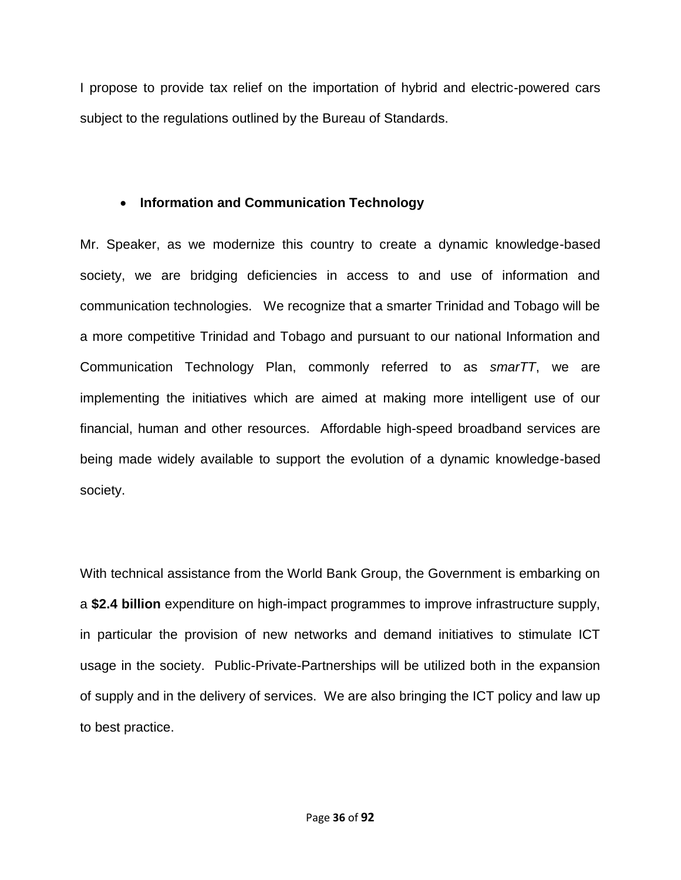I propose to provide tax relief on the importation of hybrid and electric-powered cars subject to the regulations outlined by the Bureau of Standards.

# **Information and Communication Technology**

Mr. Speaker, as we modernize this country to create a dynamic knowledge-based society, we are bridging deficiencies in access to and use of information and communication technologies. We recognize that a smarter Trinidad and Tobago will be a more competitive Trinidad and Tobago and pursuant to our national Information and Communication Technology Plan, commonly referred to as *smarTT*, we are implementing the initiatives which are aimed at making more intelligent use of our financial, human and other resources. Affordable high-speed broadband services are being made widely available to support the evolution of a dynamic knowledge-based society.

With technical assistance from the World Bank Group, the Government is embarking on a **\$2.4 billion** expenditure on high-impact programmes to improve infrastructure supply, in particular the provision of new networks and demand initiatives to stimulate ICT usage in the society. Public-Private-Partnerships will be utilized both in the expansion of supply and in the delivery of services. We are also bringing the ICT policy and law up to best practice.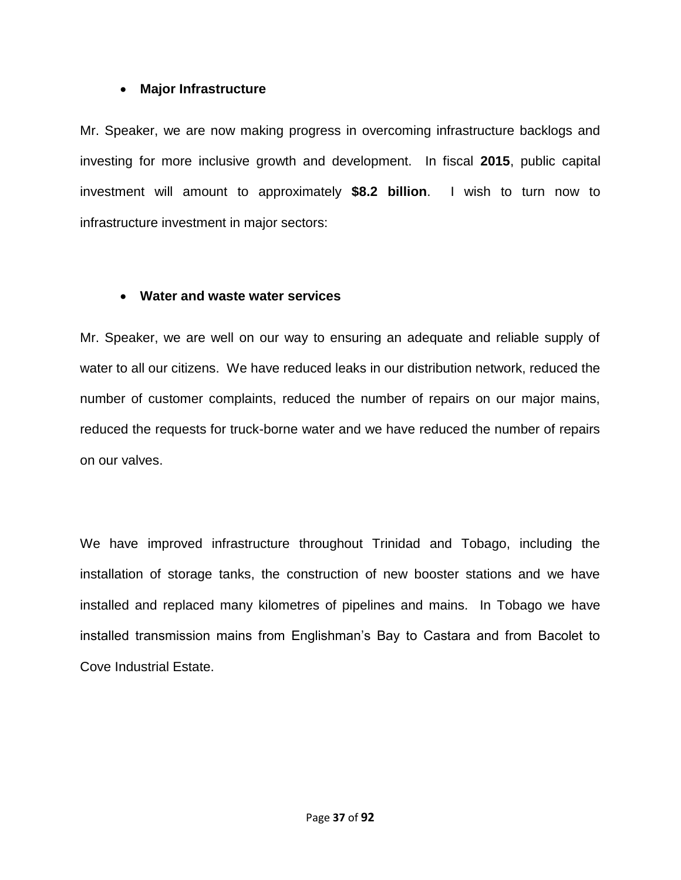### **Major Infrastructure**

Mr. Speaker, we are now making progress in overcoming infrastructure backlogs and investing for more inclusive growth and development. In fiscal **2015**, public capital investment will amount to approximately **\$8.2 billion**. I wish to turn now to infrastructure investment in major sectors:

### **Water and waste water services**

Mr. Speaker, we are well on our way to ensuring an adequate and reliable supply of water to all our citizens. We have reduced leaks in our distribution network, reduced the number of customer complaints, reduced the number of repairs on our major mains, reduced the requests for truck-borne water and we have reduced the number of repairs on our valves.

We have improved infrastructure throughout Trinidad and Tobago, including the installation of storage tanks, the construction of new booster stations and we have installed and replaced many kilometres of pipelines and mains. In Tobago we have installed transmission mains from Englishman's Bay to Castara and from Bacolet to Cove Industrial Estate.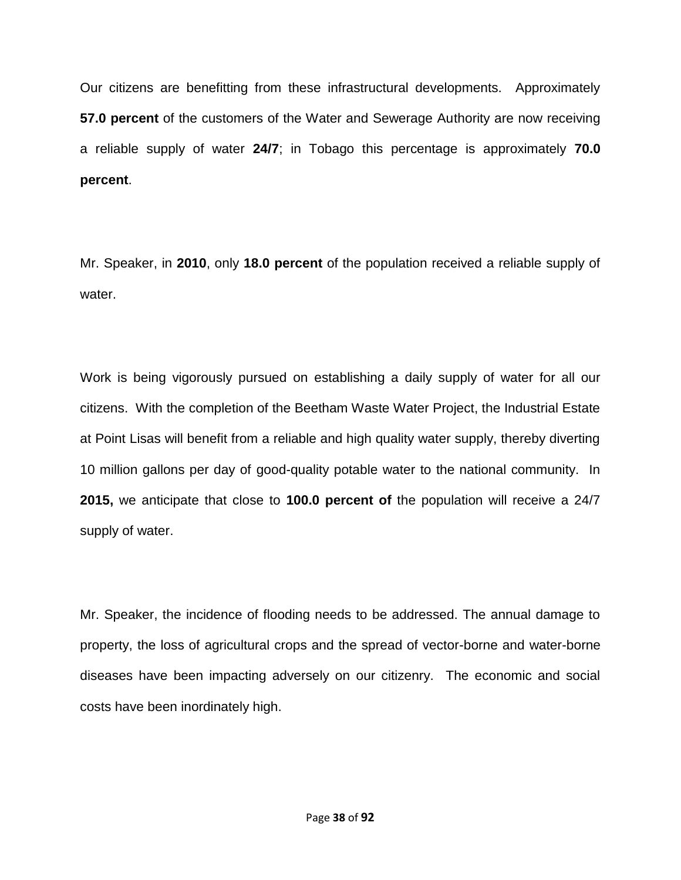Our citizens are benefitting from these infrastructural developments. Approximately **57.0 percent** of the customers of the Water and Sewerage Authority are now receiving a reliable supply of water **24/7**; in Tobago this percentage is approximately **70.0 percent**.

Mr. Speaker, in **2010**, only **18.0 percent** of the population received a reliable supply of water.

Work is being vigorously pursued on establishing a daily supply of water for all our citizens. With the completion of the Beetham Waste Water Project, the Industrial Estate at Point Lisas will benefit from a reliable and high quality water supply, thereby diverting 10 million gallons per day of good-quality potable water to the national community. In **2015,** we anticipate that close to **100.0 percent of** the population will receive a 24/7 supply of water.

Mr. Speaker, the incidence of flooding needs to be addressed. The annual damage to property, the loss of agricultural crops and the spread of vector-borne and water-borne diseases have been impacting adversely on our citizenry. The economic and social costs have been inordinately high.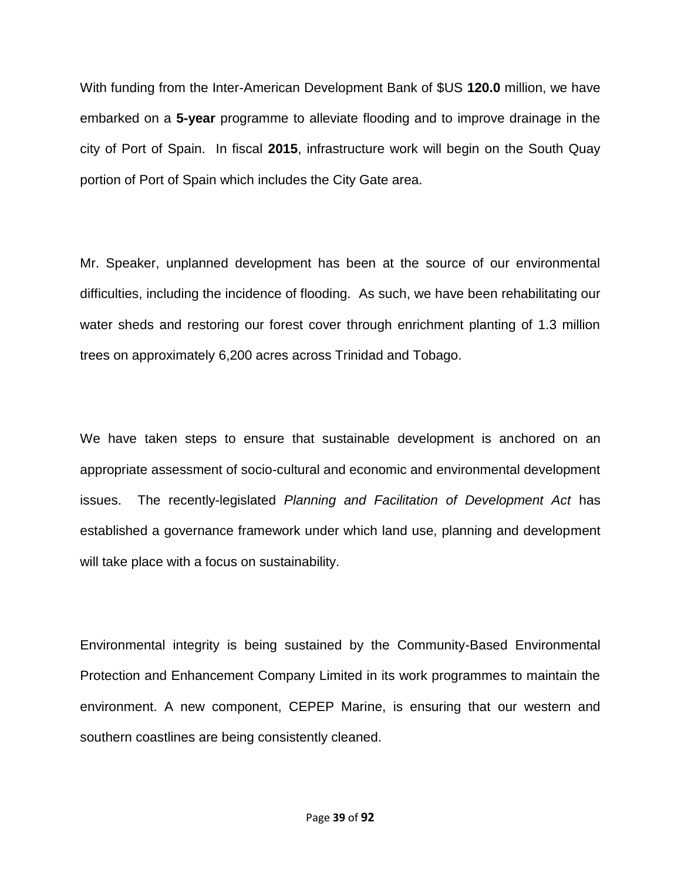With funding from the Inter-American Development Bank of \$US **120.0** million, we have embarked on a **5-year** programme to alleviate flooding and to improve drainage in the city of Port of Spain. In fiscal **2015**, infrastructure work will begin on the South Quay portion of Port of Spain which includes the City Gate area.

Mr. Speaker, unplanned development has been at the source of our environmental difficulties, including the incidence of flooding. As such, we have been rehabilitating our water sheds and restoring our forest cover through enrichment planting of 1.3 million trees on approximately 6,200 acres across Trinidad and Tobago.

We have taken steps to ensure that sustainable development is anchored on an appropriate assessment of socio-cultural and economic and environmental development issues. The recently-legislated *Planning and Facilitation of Development Act* has established a governance framework under which land use, planning and development will take place with a focus on sustainability.

Environmental integrity is being sustained by the Community-Based Environmental Protection and Enhancement Company Limited in its work programmes to maintain the environment. A new component, CEPEP Marine, is ensuring that our western and southern coastlines are being consistently cleaned.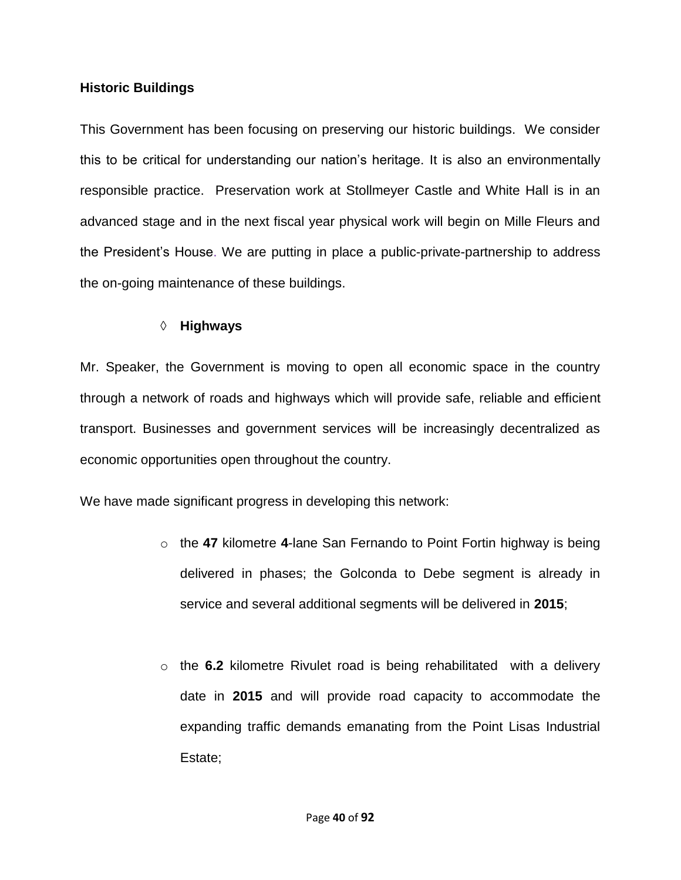## **Historic Buildings**

This Government has been focusing on preserving our historic buildings. We consider this to be critical for understanding our nation's heritage. It is also an environmentally responsible practice. Preservation work at Stollmeyer Castle and White Hall is in an advanced stage and in the next fiscal year physical work will begin on Mille Fleurs and the President's House. We are putting in place a public-private-partnership to address the on-going maintenance of these buildings.

# **Highways**

Mr. Speaker, the Government is moving to open all economic space in the country through a network of roads and highways which will provide safe, reliable and efficient transport. Businesses and government services will be increasingly decentralized as economic opportunities open throughout the country.

We have made significant progress in developing this network:

- o the **47** kilometre **4**-lane San Fernando to Point Fortin highway is being delivered in phases; the Golconda to Debe segment is already in service and several additional segments will be delivered in **2015**;
- o the **6.2** kilometre Rivulet road is being rehabilitated with a delivery date in **2015** and will provide road capacity to accommodate the expanding traffic demands emanating from the Point Lisas Industrial Estate;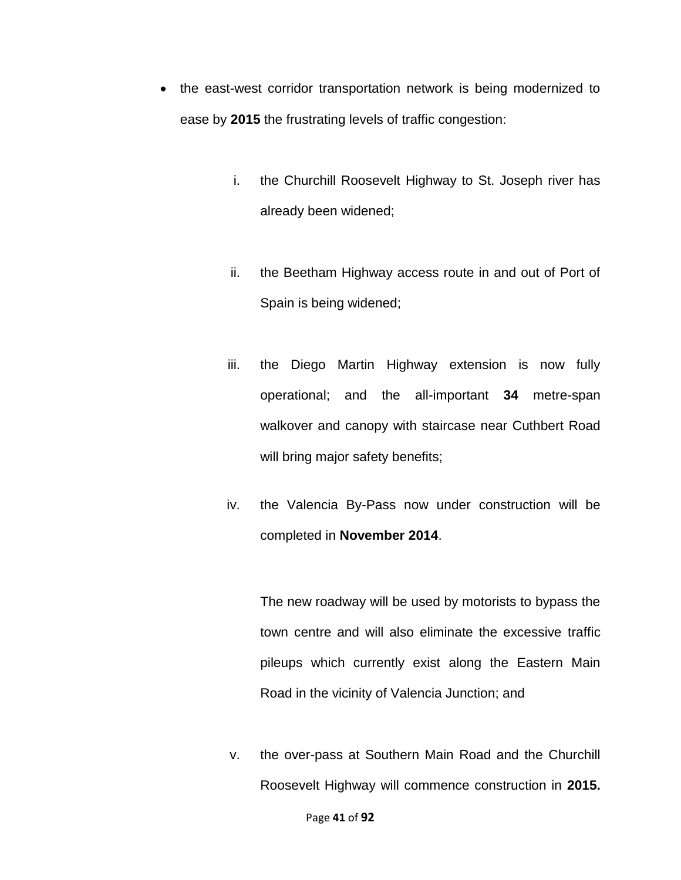- the east-west corridor transportation network is being modernized to ease by **2015** the frustrating levels of traffic congestion:
	- i. the Churchill Roosevelt Highway to St. Joseph river has already been widened;
	- ii. the Beetham Highway access route in and out of Port of Spain is being widened;
	- iii. the Diego Martin Highway extension is now fully operational; and the all-important **34** metre-span walkover and canopy with staircase near Cuthbert Road will bring major safety benefits;
	- iv. the Valencia By-Pass now under construction will be completed in **November 2014**.

The new roadway will be used by motorists to bypass the town centre and will also eliminate the excessive traffic pileups which currently exist along the Eastern Main Road in the vicinity of Valencia Junction; and

v. the over-pass at Southern Main Road and the Churchill Roosevelt Highway will commence construction in **2015.**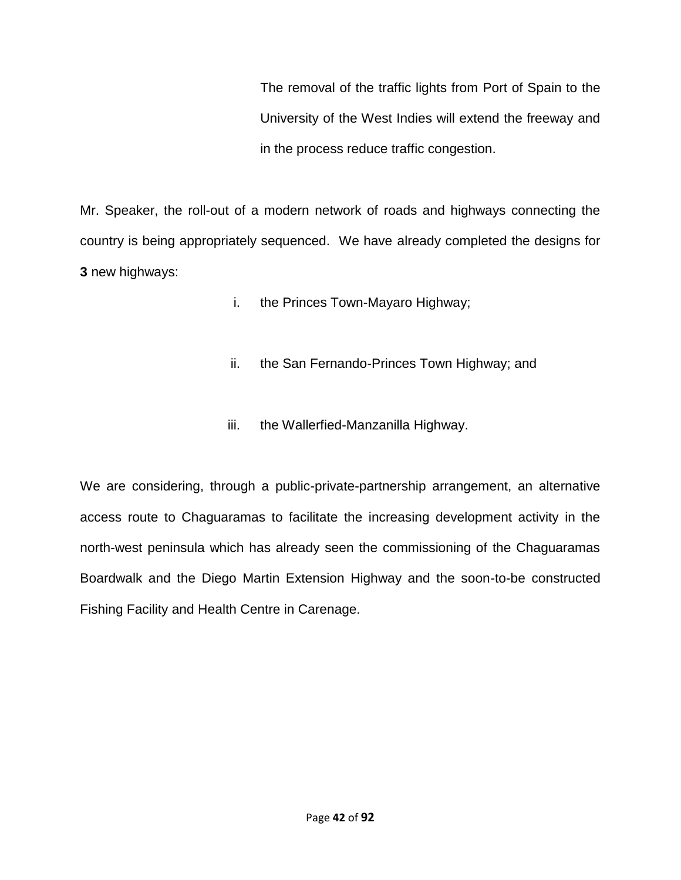The removal of the traffic lights from Port of Spain to the University of the West Indies will extend the freeway and in the process reduce traffic congestion.

Mr. Speaker, the roll-out of a modern network of roads and highways connecting the country is being appropriately sequenced. We have already completed the designs for **3** new highways:

- i. the Princes Town-Mayaro Highway;
- ii. the San Fernando-Princes Town Highway; and
- iii. the Wallerfied-Manzanilla Highway.

We are considering, through a public-private-partnership arrangement, an alternative access route to Chaguaramas to facilitate the increasing development activity in the north-west peninsula which has already seen the commissioning of the Chaguaramas Boardwalk and the Diego Martin Extension Highway and the soon-to-be constructed Fishing Facility and Health Centre in Carenage.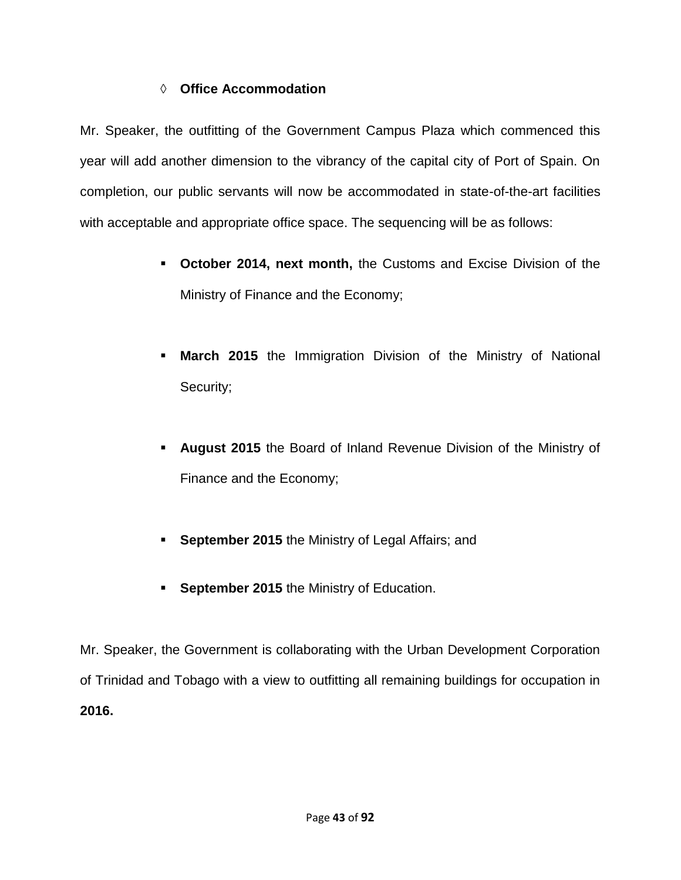# **Office Accommodation**

Mr. Speaker, the outfitting of the Government Campus Plaza which commenced this year will add another dimension to the vibrancy of the capital city of Port of Spain. On completion, our public servants will now be accommodated in state-of-the-art facilities with acceptable and appropriate office space. The sequencing will be as follows:

- **October 2014, next month,** the Customs and Excise Division of the Ministry of Finance and the Economy;
- **March 2015** the Immigration Division of the Ministry of National Security;
- **August 2015** the Board of Inland Revenue Division of the Ministry of Finance and the Economy;
- **September 2015** the Ministry of Legal Affairs; and
- **September 2015** the Ministry of Education.

Mr. Speaker, the Government is collaborating with the Urban Development Corporation of Trinidad and Tobago with a view to outfitting all remaining buildings for occupation in **2016.**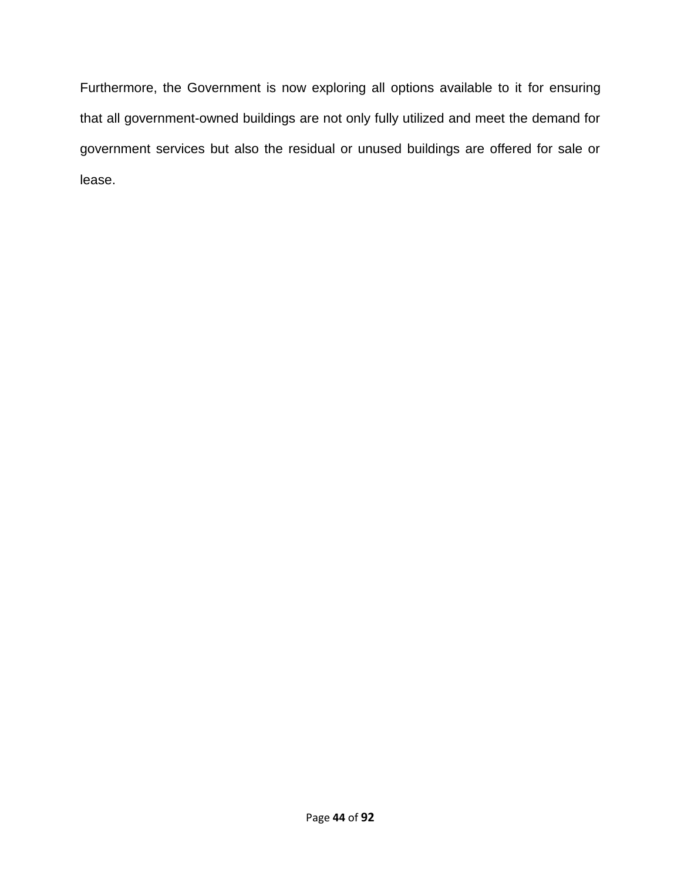Furthermore, the Government is now exploring all options available to it for ensuring that all government-owned buildings are not only fully utilized and meet the demand for government services but also the residual or unused buildings are offered for sale or lease.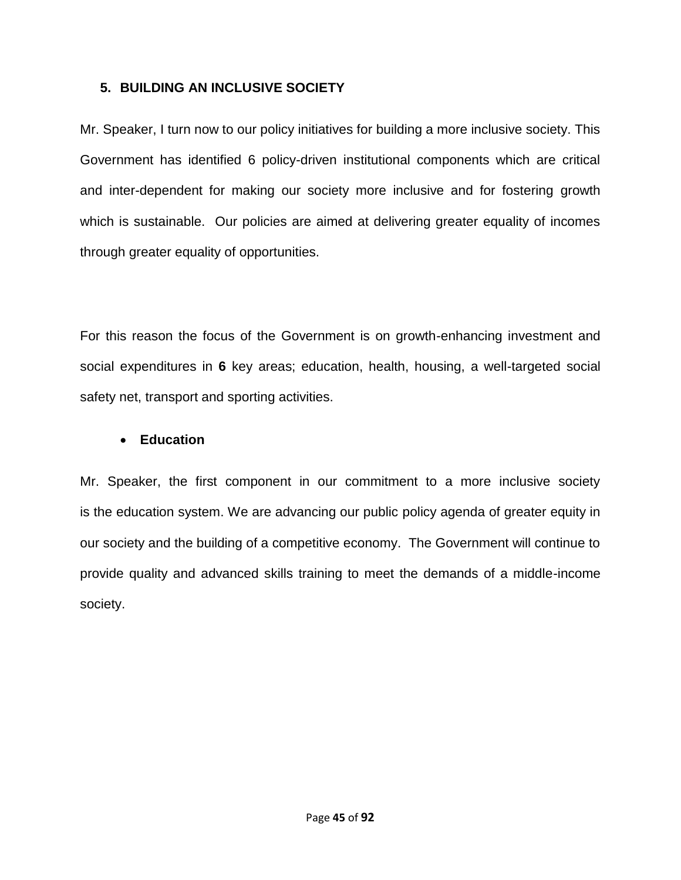## **5. BUILDING AN INCLUSIVE SOCIETY**

Mr. Speaker, I turn now to our policy initiatives for building a more inclusive society. This Government has identified 6 policy-driven institutional components which are critical and inter-dependent for making our society more inclusive and for fostering growth which is sustainable. Our policies are aimed at delivering greater equality of incomes through greater equality of opportunities.

For this reason the focus of the Government is on growth-enhancing investment and social expenditures in **6** key areas; education, health, housing, a well-targeted social safety net, transport and sporting activities.

# **Education**

Mr. Speaker, the first component in our commitment to a more inclusive society is the education system. We are advancing our public policy agenda of greater equity in our society and the building of a competitive economy. The Government will continue to provide quality and advanced skills training to meet the demands of a middle-income society.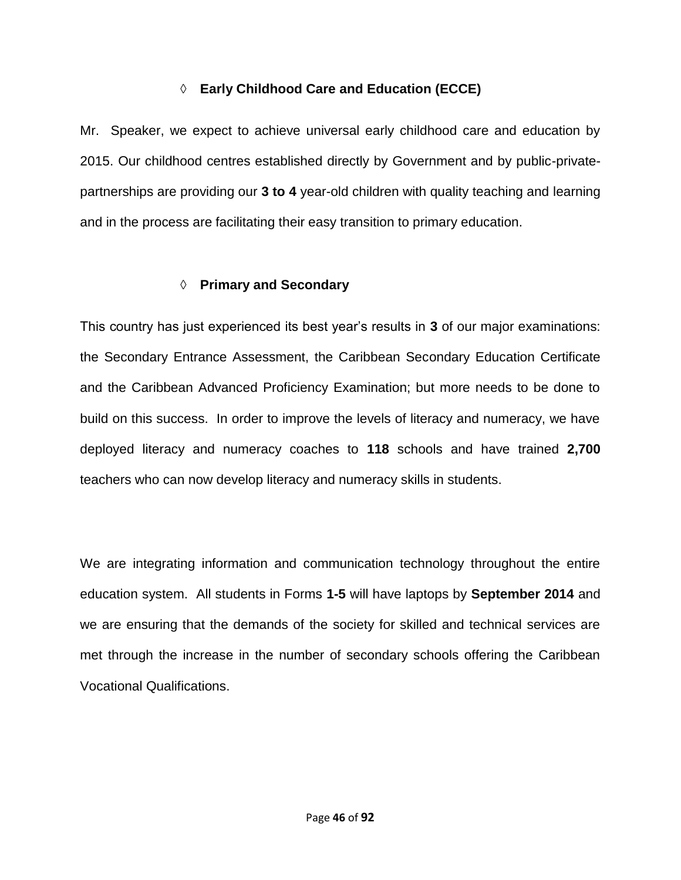# **Early Childhood Care and Education (ECCE)**

Mr. Speaker, we expect to achieve universal early childhood care and education by 2015. Our childhood centres established directly by Government and by public-privatepartnerships are providing our **3 to 4** year-old children with quality teaching and learning and in the process are facilitating their easy transition to primary education.

# **Primary and Secondary**

This country has just experienced its best year's results in **3** of our major examinations: the Secondary Entrance Assessment, the Caribbean Secondary Education Certificate and the Caribbean Advanced Proficiency Examination; but more needs to be done to build on this success. In order to improve the levels of literacy and numeracy, we have deployed literacy and numeracy coaches to **118** schools and have trained **2,700** teachers who can now develop literacy and numeracy skills in students.

We are integrating information and communication technology throughout the entire education system. All students in Forms **1-5** will have laptops by **September 2014** and we are ensuring that the demands of the society for skilled and technical services are met through the increase in the number of secondary schools offering the Caribbean Vocational Qualifications.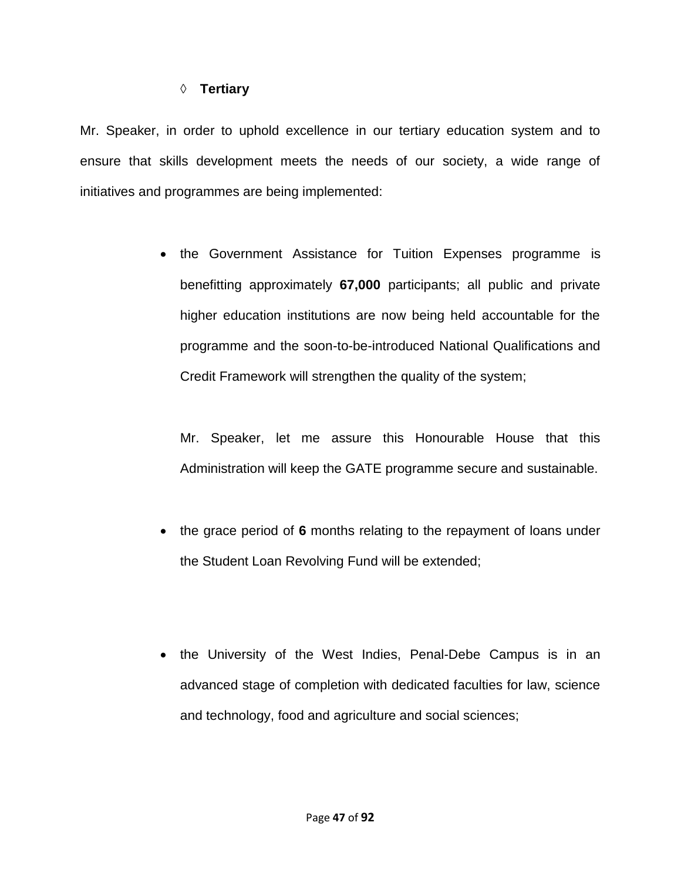#### **Tertiary**

Mr. Speaker, in order to uphold excellence in our tertiary education system and to ensure that skills development meets the needs of our society, a wide range of initiatives and programmes are being implemented:

> • the Government Assistance for Tuition Expenses programme is benefitting approximately **67,000** participants; all public and private higher education institutions are now being held accountable for the programme and the soon-to-be-introduced National Qualifications and Credit Framework will strengthen the quality of the system;

Mr. Speaker, let me assure this Honourable House that this Administration will keep the GATE programme secure and sustainable.

- the grace period of **6** months relating to the repayment of loans under the Student Loan Revolving Fund will be extended;
- the University of the West Indies, Penal-Debe Campus is in an advanced stage of completion with dedicated faculties for law, science and technology, food and agriculture and social sciences;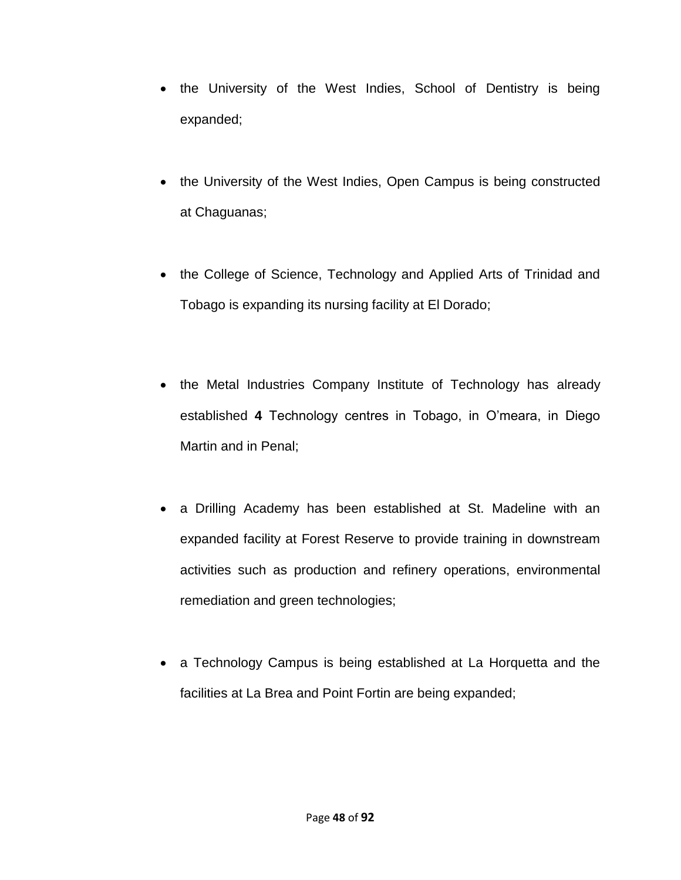- the University of the West Indies, School of Dentistry is being expanded;
- the University of the West Indies, Open Campus is being constructed at Chaguanas;
- the College of Science, Technology and Applied Arts of Trinidad and Tobago is expanding its nursing facility at El Dorado;
- the Metal Industries Company Institute of Technology has already established **4** Technology centres in Tobago, in O'meara, in Diego Martin and in Penal;
- a Drilling Academy has been established at St. Madeline with an expanded facility at Forest Reserve to provide training in downstream activities such as production and refinery operations, environmental remediation and green technologies;
- a Technology Campus is being established at La Horquetta and the facilities at La Brea and Point Fortin are being expanded;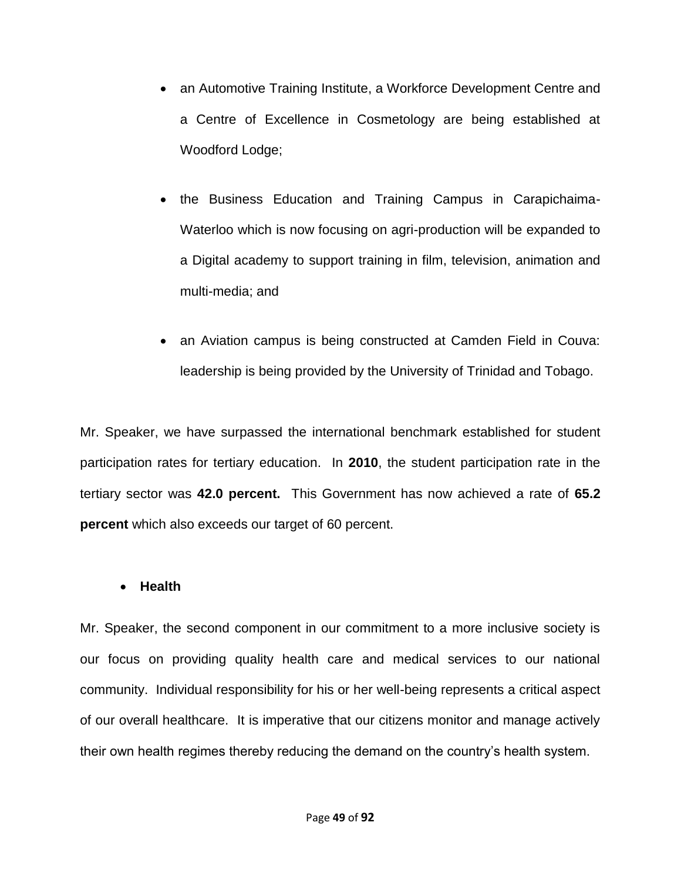- an Automotive Training Institute, a Workforce Development Centre and a Centre of Excellence in Cosmetology are being established at Woodford Lodge;
- the Business Education and Training Campus in Carapichaima-Waterloo which is now focusing on agri-production will be expanded to a Digital academy to support training in film, television, animation and multi-media; and
- an Aviation campus is being constructed at Camden Field in Couva: leadership is being provided by the University of Trinidad and Tobago.

Mr. Speaker, we have surpassed the international benchmark established for student participation rates for tertiary education. In **2010**, the student participation rate in the tertiary sector was **42.0 percent.** This Government has now achieved a rate of **65.2 percent** which also exceeds our target of 60 percent.

### **Health**

Mr. Speaker, the second component in our commitment to a more inclusive society is our focus on providing quality health care and medical services to our national community. Individual responsibility for his or her well-being represents a critical aspect of our overall healthcare. It is imperative that our citizens monitor and manage actively their own health regimes thereby reducing the demand on the country's health system.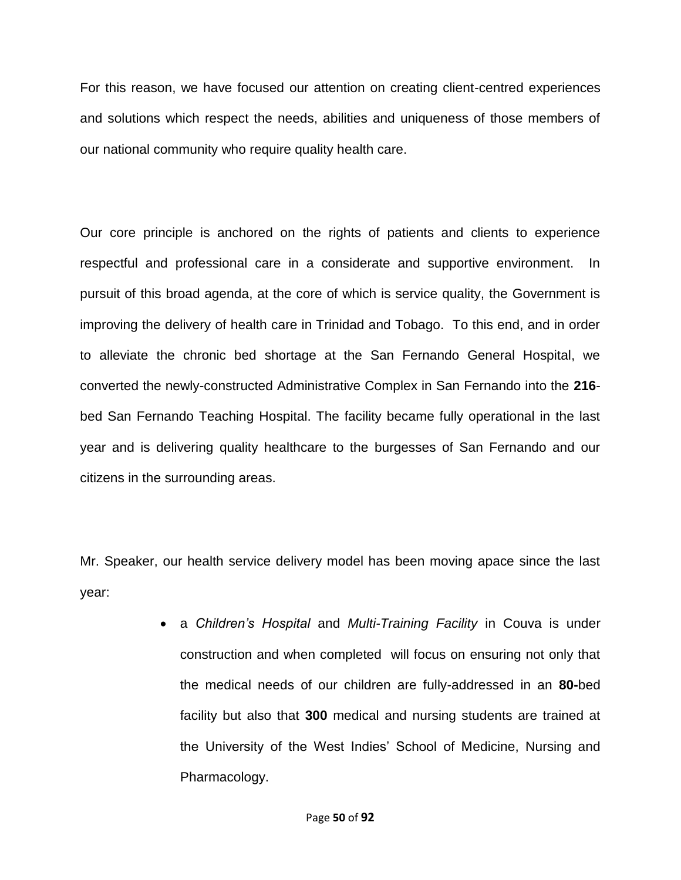For this reason, we have focused our attention on creating client-centred experiences and solutions which respect the needs, abilities and uniqueness of those members of our national community who require quality health care.

Our core principle is anchored on the rights of patients and clients to experience respectful and professional care in a considerate and supportive environment. In pursuit of this broad agenda, at the core of which is service quality, the Government is improving the delivery of health care in Trinidad and Tobago. To this end, and in order to alleviate the chronic bed shortage at the San Fernando General Hospital, we converted the newly-constructed Administrative Complex in San Fernando into the **216** bed San Fernando Teaching Hospital. The facility became fully operational in the last year and is delivering quality healthcare to the burgesses of San Fernando and our citizens in the surrounding areas.

Mr. Speaker, our health service delivery model has been moving apace since the last year:

> a *Children's Hospital* and *Multi-Training Facility* in Couva is under construction and when completed will focus on ensuring not only that the medical needs of our children are fully-addressed in an **80-**bed facility but also that **300** medical and nursing students are trained at the University of the West Indies' School of Medicine, Nursing and Pharmacology.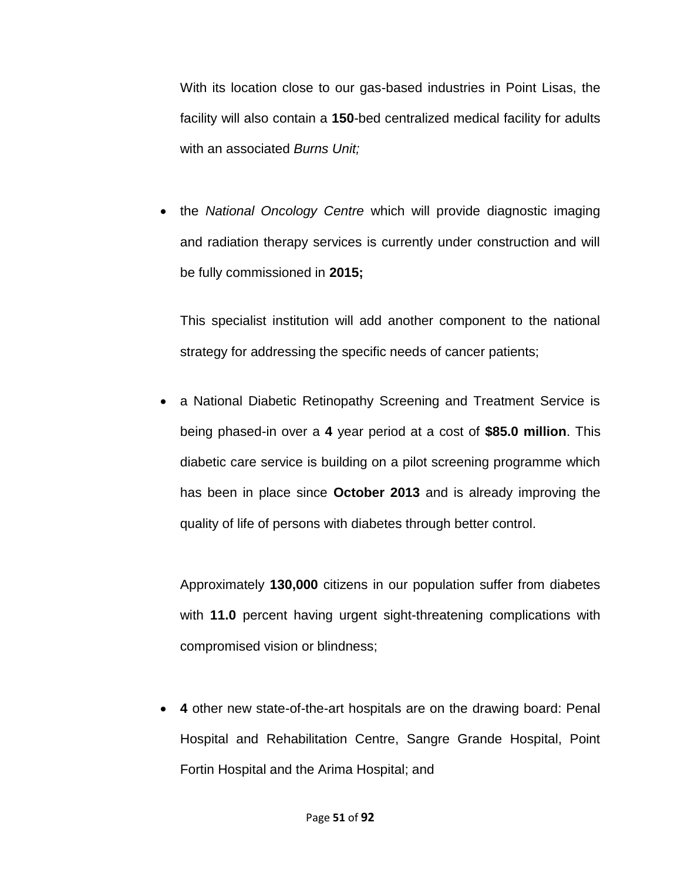With its location close to our gas-based industries in Point Lisas, the facility will also contain a **150**-bed centralized medical facility for adults with an associated *Burns Unit;*

 the *National Oncology Centre* which will provide diagnostic imaging and radiation therapy services is currently under construction and will be fully commissioned in **2015;**

This specialist institution will add another component to the national strategy for addressing the specific needs of cancer patients;

 a National Diabetic Retinopathy Screening and Treatment Service is being phased-in over a **4** year period at a cost of **\$85.0 million**. This diabetic care service is building on a pilot screening programme which has been in place since **October 2013** and is already improving the quality of life of persons with diabetes through better control.

Approximately **130,000** citizens in our population suffer from diabetes with **11.0** percent having urgent sight-threatening complications with compromised vision or blindness;

 **4** other new state-of-the-art hospitals are on the drawing board: Penal Hospital and Rehabilitation Centre, Sangre Grande Hospital, Point Fortin Hospital and the Arima Hospital; and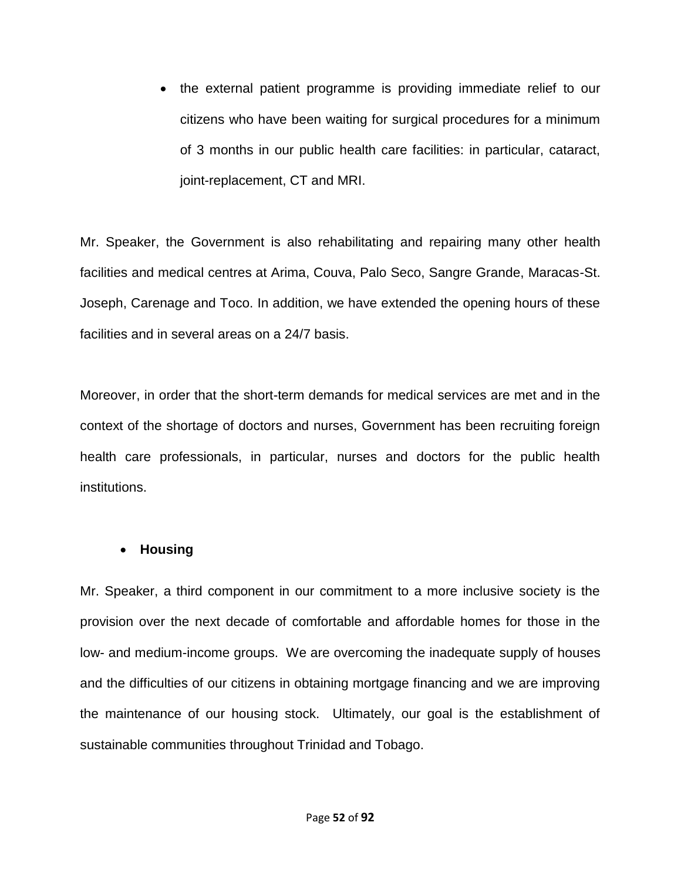• the external patient programme is providing immediate relief to our citizens who have been waiting for surgical procedures for a minimum of 3 months in our public health care facilities: in particular, cataract, joint-replacement, CT and MRI.

Mr. Speaker, the Government is also rehabilitating and repairing many other health facilities and medical centres at Arima, Couva, Palo Seco, Sangre Grande, Maracas-St. Joseph, Carenage and Toco. In addition, we have extended the opening hours of these facilities and in several areas on a 24/7 basis.

Moreover, in order that the short-term demands for medical services are met and in the context of the shortage of doctors and nurses, Government has been recruiting foreign health care professionals, in particular, nurses and doctors for the public health institutions.

### **Housing**

Mr. Speaker, a third component in our commitment to a more inclusive society is the provision over the next decade of comfortable and affordable homes for those in the low- and medium-income groups. We are overcoming the inadequate supply of houses and the difficulties of our citizens in obtaining mortgage financing and we are improving the maintenance of our housing stock. Ultimately, our goal is the establishment of sustainable communities throughout Trinidad and Tobago.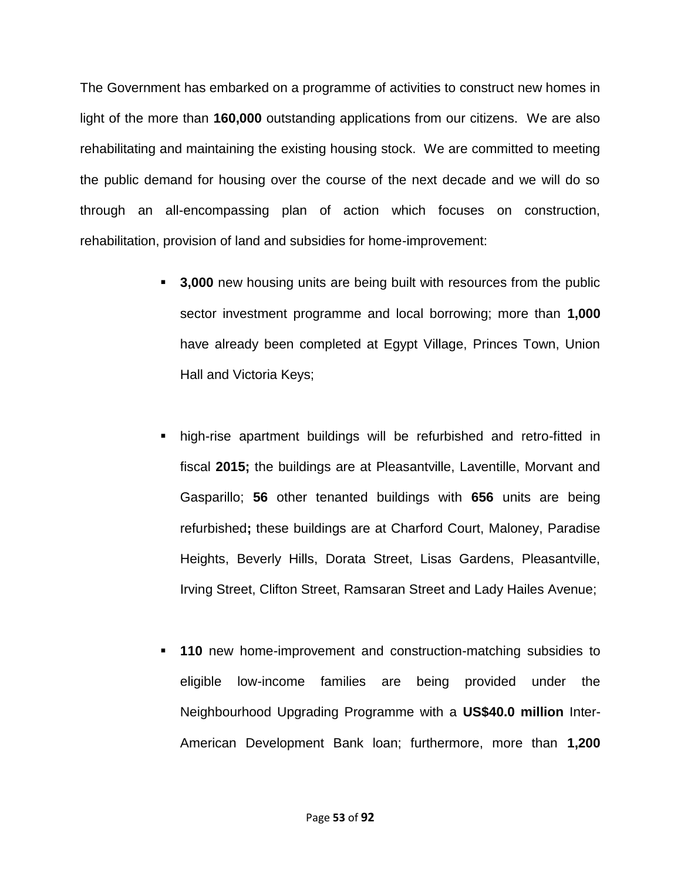The Government has embarked on a programme of activities to construct new homes in light of the more than **160,000** outstanding applications from our citizens. We are also rehabilitating and maintaining the existing housing stock. We are committed to meeting the public demand for housing over the course of the next decade and we will do so through an all-encompassing plan of action which focuses on construction, rehabilitation, provision of land and subsidies for home-improvement:

- **3,000** new housing units are being built with resources from the public sector investment programme and local borrowing; more than **1,000** have already been completed at Egypt Village, Princes Town, Union Hall and Victoria Keys;
- high-rise apartment buildings will be refurbished and retro-fitted in fiscal **2015;** the buildings are at Pleasantville, Laventille, Morvant and Gasparillo; **56** other tenanted buildings with **656** units are being refurbished**;** these buildings are at Charford Court, Maloney, Paradise Heights, Beverly Hills, Dorata Street, Lisas Gardens, Pleasantville, Irving Street, Clifton Street, Ramsaran Street and Lady Hailes Avenue;
- **110** new home-improvement and construction-matching subsidies to eligible low-income families are being provided under the Neighbourhood Upgrading Programme with a **US\$40.0 million** Inter-American Development Bank loan; furthermore, more than **1,200**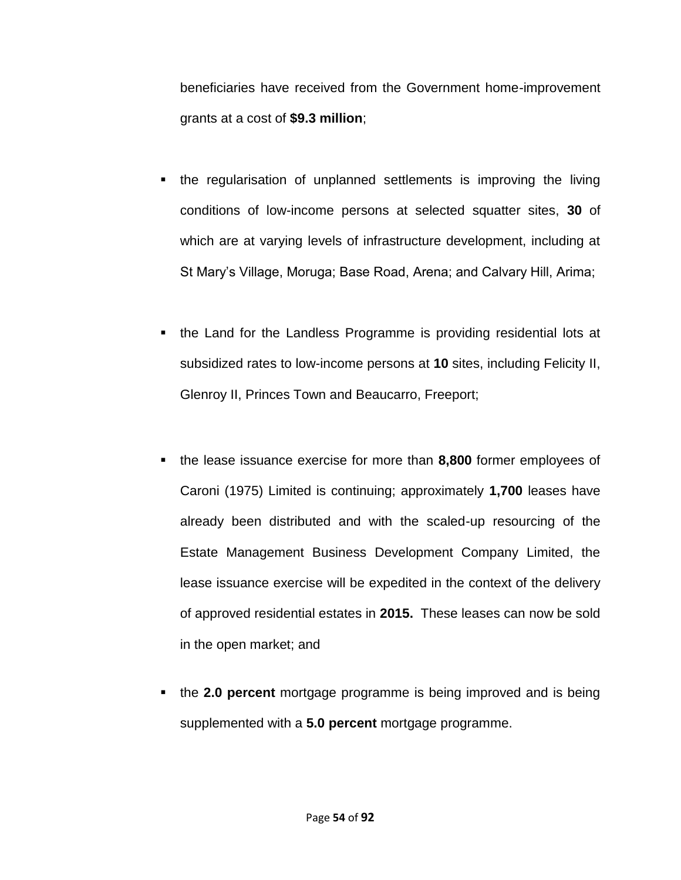beneficiaries have received from the Government home-improvement grants at a cost of **\$9.3 million**;

- the regularisation of unplanned settlements is improving the living conditions of low-income persons at selected squatter sites, **30** of which are at varying levels of infrastructure development, including at St Mary's Village, Moruga; Base Road, Arena; and Calvary Hill, Arima;
- the Land for the Landless Programme is providing residential lots at subsidized rates to low-income persons at **10** sites, including Felicity II, Glenroy II, Princes Town and Beaucarro, Freeport;
- the lease issuance exercise for more than **8,800** former employees of Caroni (1975) Limited is continuing; approximately **1,700** leases have already been distributed and with the scaled-up resourcing of the Estate Management Business Development Company Limited, the lease issuance exercise will be expedited in the context of the delivery of approved residential estates in **2015.** These leases can now be sold in the open market; and
- the **2.0 percent** mortgage programme is being improved and is being supplemented with a **5.0 percent** mortgage programme.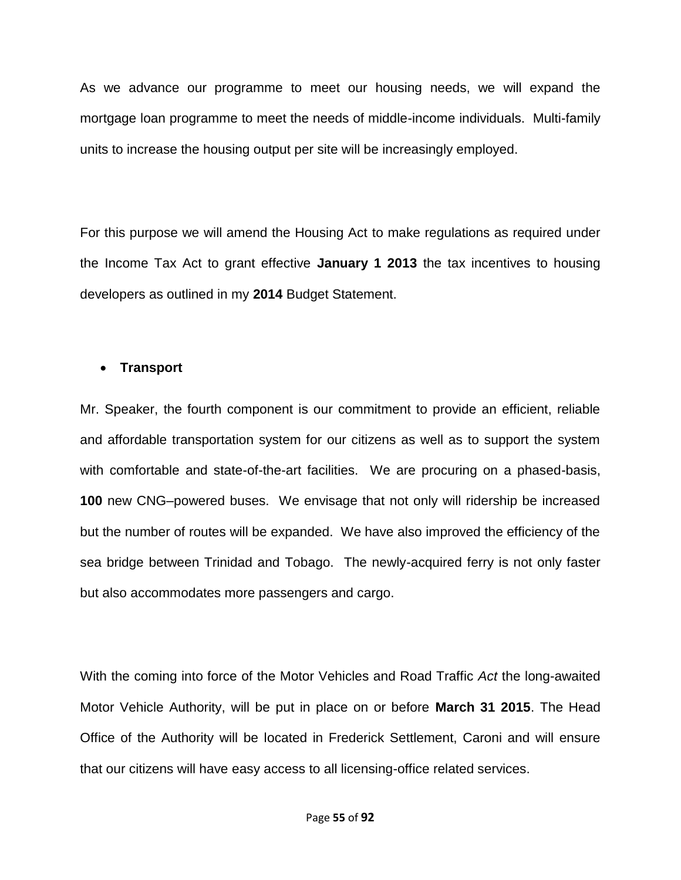As we advance our programme to meet our housing needs, we will expand the mortgage loan programme to meet the needs of middle-income individuals. Multi-family units to increase the housing output per site will be increasingly employed.

For this purpose we will amend the Housing Act to make regulations as required under the Income Tax Act to grant effective **January 1 2013** the tax incentives to housing developers as outlined in my **2014** Budget Statement.

#### **Transport**

Mr. Speaker, the fourth component is our commitment to provide an efficient, reliable and affordable transportation system for our citizens as well as to support the system with comfortable and state-of-the-art facilities. We are procuring on a phased-basis, **100** new CNG–powered buses. We envisage that not only will ridership be increased but the number of routes will be expanded. We have also improved the efficiency of the sea bridge between Trinidad and Tobago. The newly-acquired ferry is not only faster but also accommodates more passengers and cargo.

With the coming into force of the Motor Vehicles and Road Traffic *Act* the long-awaited Motor Vehicle Authority, will be put in place on or before **March 31 2015**. The Head Office of the Authority will be located in Frederick Settlement, Caroni and will ensure that our citizens will have easy access to all licensing-office related services.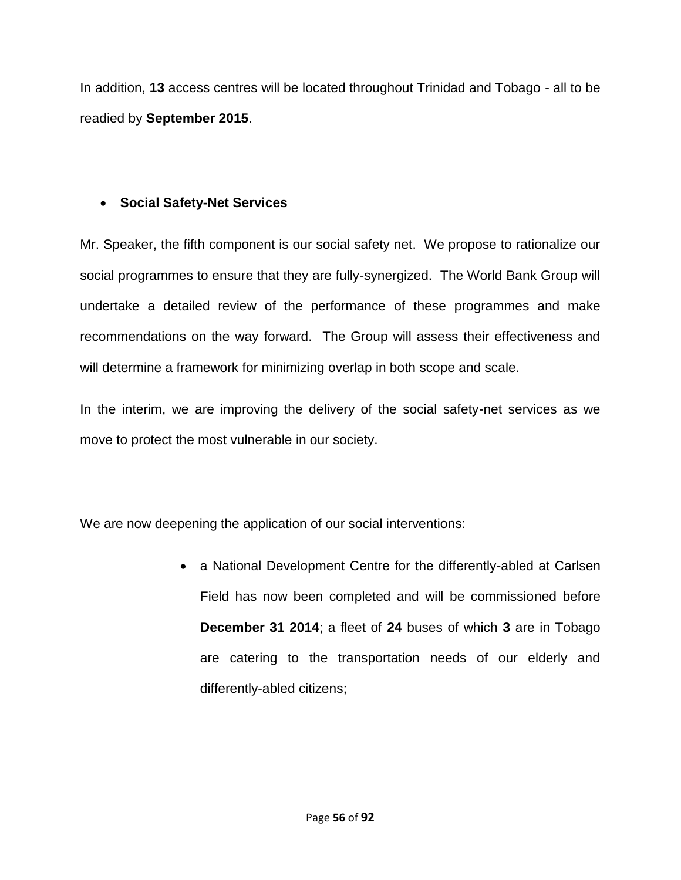In addition, **13** access centres will be located throughout Trinidad and Tobago - all to be readied by **September 2015**.

# **Social Safety-Net Services**

Mr. Speaker, the fifth component is our social safety net. We propose to rationalize our social programmes to ensure that they are fully-synergized. The World Bank Group will undertake a detailed review of the performance of these programmes and make recommendations on the way forward. The Group will assess their effectiveness and will determine a framework for minimizing overlap in both scope and scale.

In the interim, we are improving the delivery of the social safety-net services as we move to protect the most vulnerable in our society.

We are now deepening the application of our social interventions:

• a National Development Centre for the differently-abled at Carlsen Field has now been completed and will be commissioned before **December 31 2014**; a fleet of **24** buses of which **3** are in Tobago are catering to the transportation needs of our elderly and differently-abled citizens;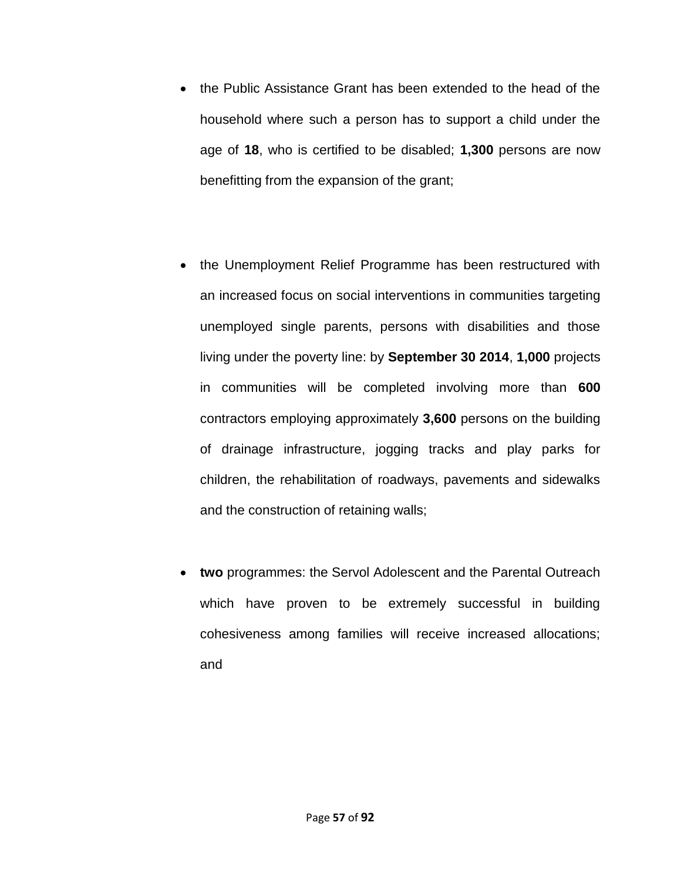- the Public Assistance Grant has been extended to the head of the household where such a person has to support a child under the age of **18**, who is certified to be disabled; **1,300** persons are now benefitting from the expansion of the grant;
- the Unemployment Relief Programme has been restructured with an increased focus on social interventions in communities targeting unemployed single parents, persons with disabilities and those living under the poverty line: by **September 30 2014**, **1,000** projects in communities will be completed involving more than **600** contractors employing approximately **3,600** persons on the building of drainage infrastructure, jogging tracks and play parks for children, the rehabilitation of roadways, pavements and sidewalks and the construction of retaining walls;
- **two** programmes: the Servol Adolescent and the Parental Outreach which have proven to be extremely successful in building cohesiveness among families will receive increased allocations; and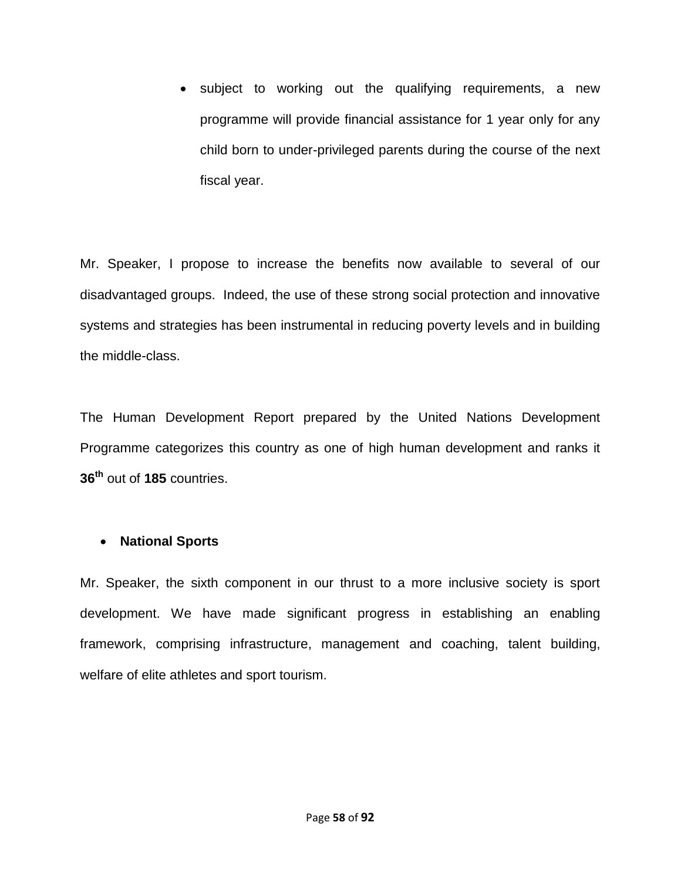• subject to working out the qualifying requirements, a new programme will provide financial assistance for 1 year only for any child born to under-privileged parents during the course of the next fiscal year.

Mr. Speaker, I propose to increase the benefits now available to several of our disadvantaged groups. Indeed, the use of these strong social protection and innovative systems and strategies has been instrumental in reducing poverty levels and in building the middle-class.

The Human Development Report prepared by the United Nations Development Programme categorizes this country as one of high human development and ranks it **36th** out of **185** countries.

### **National Sports**

Mr. Speaker, the sixth component in our thrust to a more inclusive society is sport development. We have made significant progress in establishing an enabling framework, comprising infrastructure, management and coaching, talent building, welfare of elite athletes and sport tourism.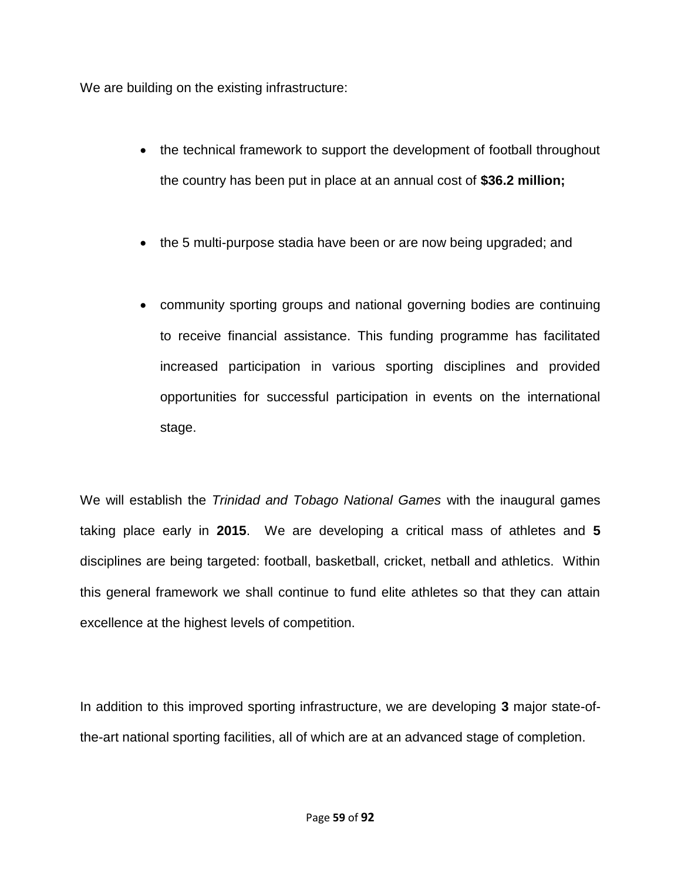We are building on the existing infrastructure:

- the technical framework to support the development of football throughout the country has been put in place at an annual cost of **\$36.2 million;**
- the 5 multi-purpose stadia have been or are now being upgraded; and
- community sporting groups and national governing bodies are continuing to receive financial assistance. This funding programme has facilitated increased participation in various sporting disciplines and provided opportunities for successful participation in events on the international stage.

We will establish the *Trinidad and Tobago National Games* with the inaugural games taking place early in **2015**. We are developing a critical mass of athletes and **5** disciplines are being targeted: football, basketball, cricket, netball and athletics. Within this general framework we shall continue to fund elite athletes so that they can attain excellence at the highest levels of competition.

In addition to this improved sporting infrastructure, we are developing **3** major state-ofthe-art national sporting facilities, all of which are at an advanced stage of completion.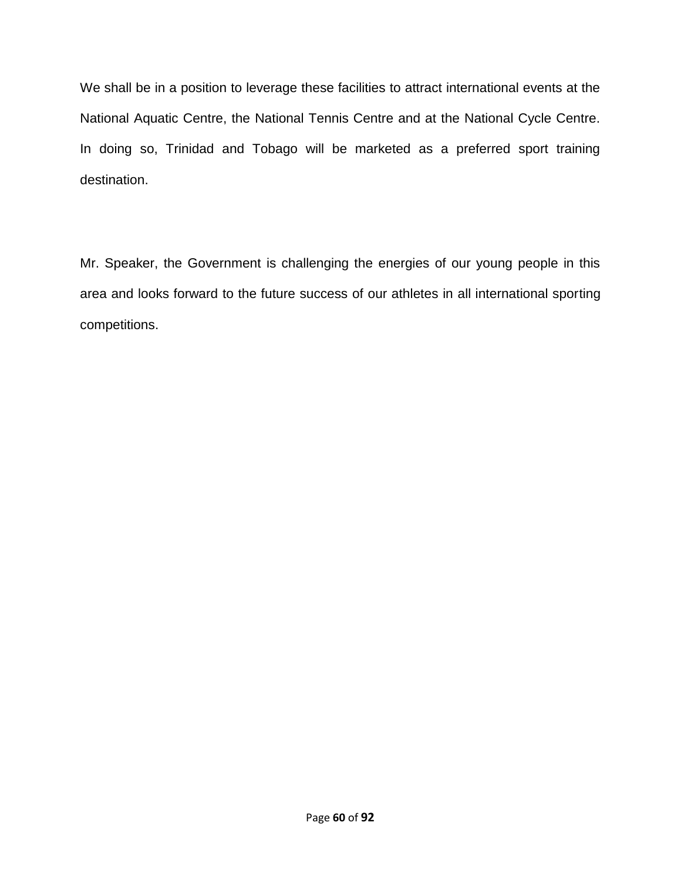We shall be in a position to leverage these facilities to attract international events at the National Aquatic Centre, the National Tennis Centre and at the National Cycle Centre. In doing so, Trinidad and Tobago will be marketed as a preferred sport training destination.

Mr. Speaker, the Government is challenging the energies of our young people in this area and looks forward to the future success of our athletes in all international sporting competitions.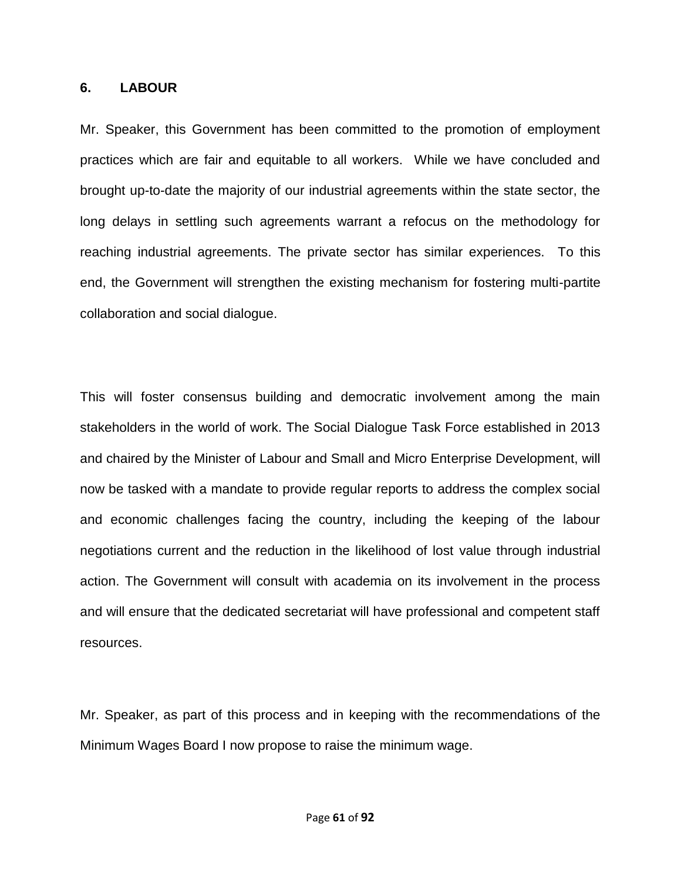#### **6. LABOUR**

Mr. Speaker, this Government has been committed to the promotion of employment practices which are fair and equitable to all workers. While we have concluded and brought up-to-date the majority of our industrial agreements within the state sector, the long delays in settling such agreements warrant a refocus on the methodology for reaching industrial agreements. The private sector has similar experiences. To this end, the Government will strengthen the existing mechanism for fostering multi-partite collaboration and social dialogue.

This will foster consensus building and democratic involvement among the main stakeholders in the world of work. The Social Dialogue Task Force established in 2013 and chaired by the Minister of Labour and Small and Micro Enterprise Development, will now be tasked with a mandate to provide regular reports to address the complex social and economic challenges facing the country, including the keeping of the labour negotiations current and the reduction in the likelihood of lost value through industrial action. The Government will consult with academia on its involvement in the process and will ensure that the dedicated secretariat will have professional and competent staff resources.

Mr. Speaker, as part of this process and in keeping with the recommendations of the Minimum Wages Board I now propose to raise the minimum wage.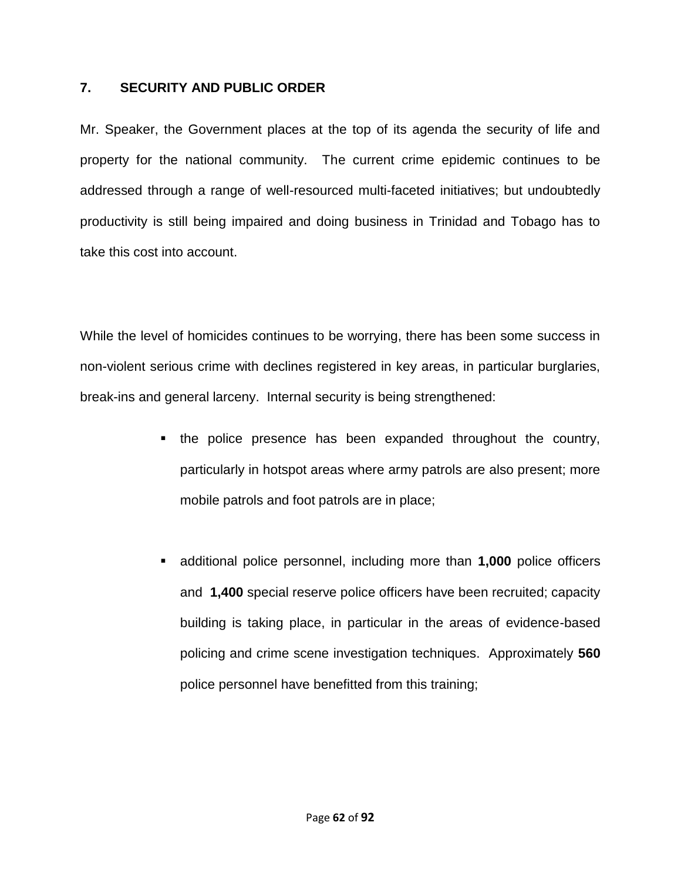## **7. SECURITY AND PUBLIC ORDER**

Mr. Speaker, the Government places at the top of its agenda the security of life and property for the national community. The current crime epidemic continues to be addressed through a range of well-resourced multi-faceted initiatives; but undoubtedly productivity is still being impaired and doing business in Trinidad and Tobago has to take this cost into account.

While the level of homicides continues to be worrying, there has been some success in non-violent serious crime with declines registered in key areas, in particular burglaries, break-ins and general larceny. Internal security is being strengthened:

- the police presence has been expanded throughout the country, particularly in hotspot areas where army patrols are also present; more mobile patrols and foot patrols are in place;
- additional police personnel, including more than **1,000** police officers and **1,400** special reserve police officers have been recruited; capacity building is taking place, in particular in the areas of evidence-based policing and crime scene investigation techniques. Approximately **560** police personnel have benefitted from this training;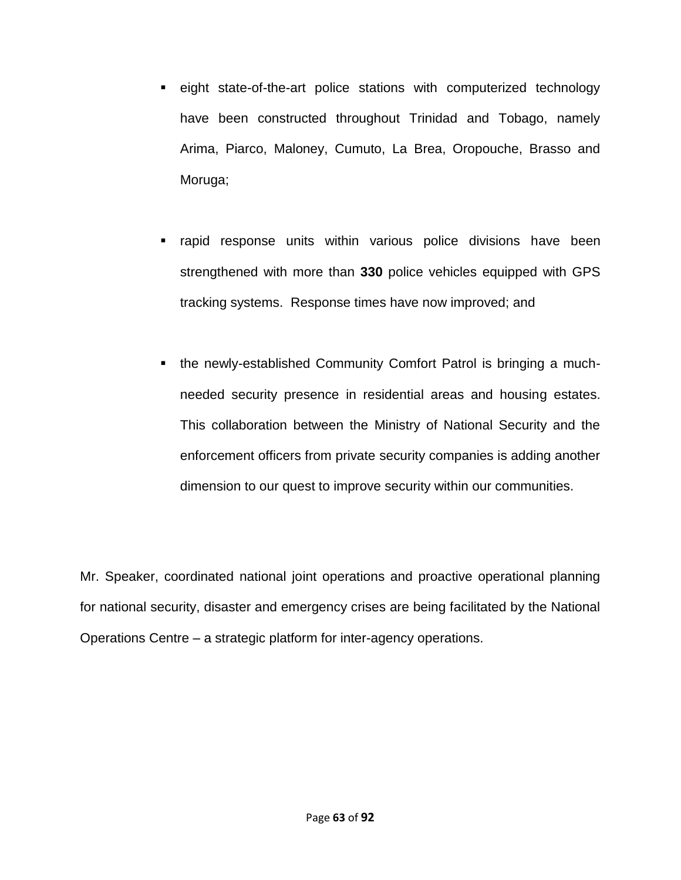- eight state-of-the-art police stations with computerized technology have been constructed throughout Trinidad and Tobago, namely Arima, Piarco, Maloney, Cumuto, La Brea, Oropouche, Brasso and Moruga;
- rapid response units within various police divisions have been strengthened with more than **330** police vehicles equipped with GPS tracking systems. Response times have now improved; and
- the newly-established Community Comfort Patrol is bringing a muchneeded security presence in residential areas and housing estates. This collaboration between the Ministry of National Security and the enforcement officers from private security companies is adding another dimension to our quest to improve security within our communities.

Mr. Speaker, coordinated national joint operations and proactive operational planning for national security, disaster and emergency crises are being facilitated by the National Operations Centre – a strategic platform for inter-agency operations.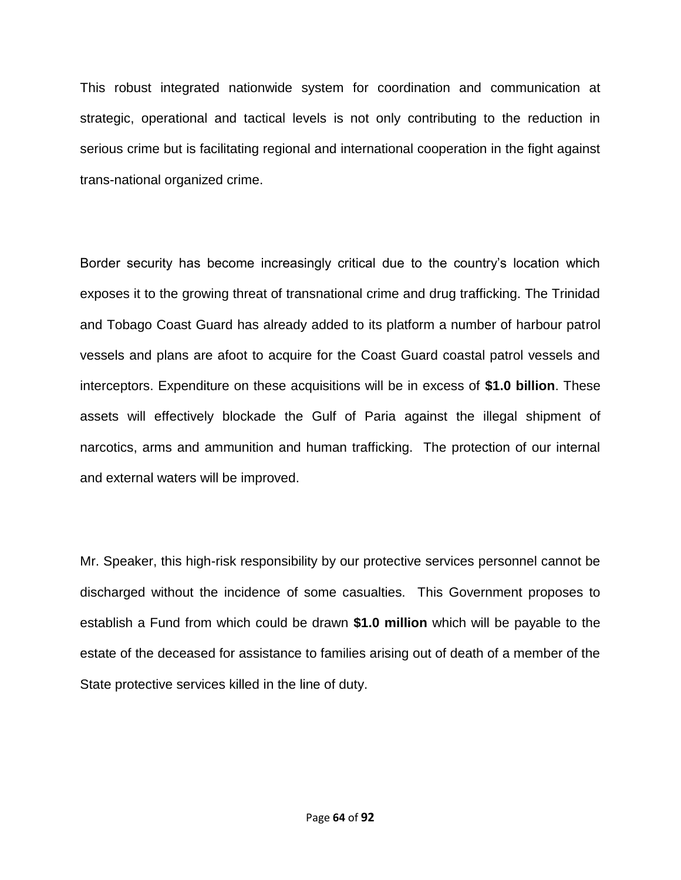This robust integrated nationwide system for coordination and communication at strategic, operational and tactical levels is not only contributing to the reduction in serious crime but is facilitating regional and international cooperation in the fight against trans-national organized crime.

Border security has become increasingly critical due to the country's location which exposes it to the growing threat of transnational crime and drug trafficking. The Trinidad and Tobago Coast Guard has already added to its platform a number of harbour patrol vessels and plans are afoot to acquire for the Coast Guard coastal patrol vessels and interceptors. Expenditure on these acquisitions will be in excess of **\$1.0 billion**. These assets will effectively blockade the Gulf of Paria against the illegal shipment of narcotics, arms and ammunition and human trafficking. The protection of our internal and external waters will be improved.

Mr. Speaker, this high-risk responsibility by our protective services personnel cannot be discharged without the incidence of some casualties. This Government proposes to establish a Fund from which could be drawn **\$1.0 million** which will be payable to the estate of the deceased for assistance to families arising out of death of a member of the State protective services killed in the line of duty.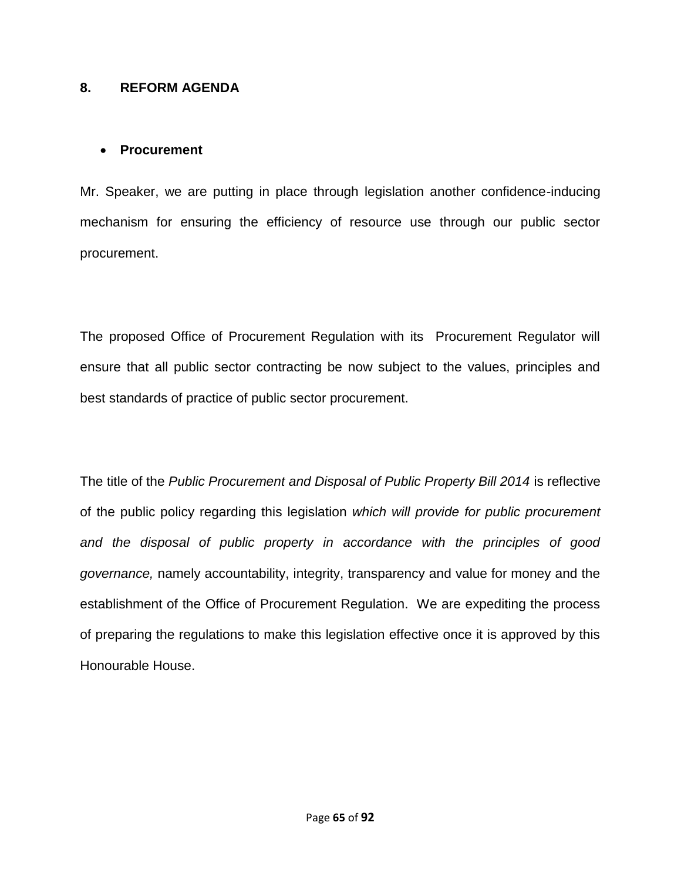#### **8. REFORM AGENDA**

#### **Procurement**

Mr. Speaker, we are putting in place through legislation another confidence-inducing mechanism for ensuring the efficiency of resource use through our public sector procurement.

The proposed Office of Procurement Regulation with its Procurement Regulator will ensure that all public sector contracting be now subject to the values, principles and best standards of practice of public sector procurement.

The title of the *Public Procurement and Disposal of Public Property Bill 2014* is reflective of the public policy regarding this legislation *which will provide for public procurement and the disposal of public property in accordance with the principles of good governance,* namely accountability, integrity, transparency and value for money and the establishment of the Office of Procurement Regulation. We are expediting the process of preparing the regulations to make this legislation effective once it is approved by this Honourable House.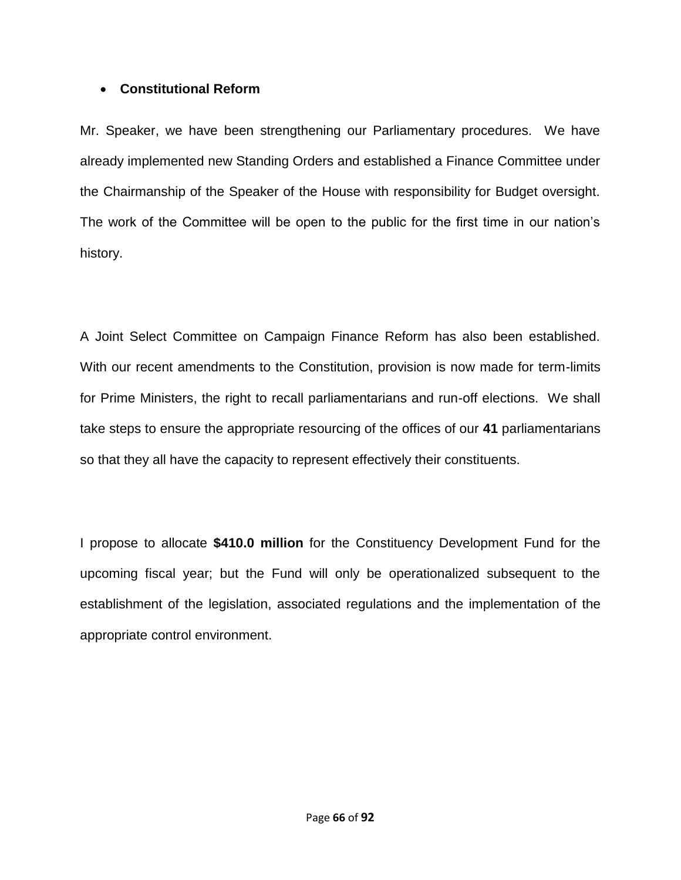## **Constitutional Reform**

Mr. Speaker, we have been strengthening our Parliamentary procedures. We have already implemented new Standing Orders and established a Finance Committee under the Chairmanship of the Speaker of the House with responsibility for Budget oversight. The work of the Committee will be open to the public for the first time in our nation's history.

A Joint Select Committee on Campaign Finance Reform has also been established. With our recent amendments to the Constitution, provision is now made for term-limits for Prime Ministers, the right to recall parliamentarians and run-off elections. We shall take steps to ensure the appropriate resourcing of the offices of our **41** parliamentarians so that they all have the capacity to represent effectively their constituents.

I propose to allocate **\$410.0 million** for the Constituency Development Fund for the upcoming fiscal year; but the Fund will only be operationalized subsequent to the establishment of the legislation, associated regulations and the implementation of the appropriate control environment.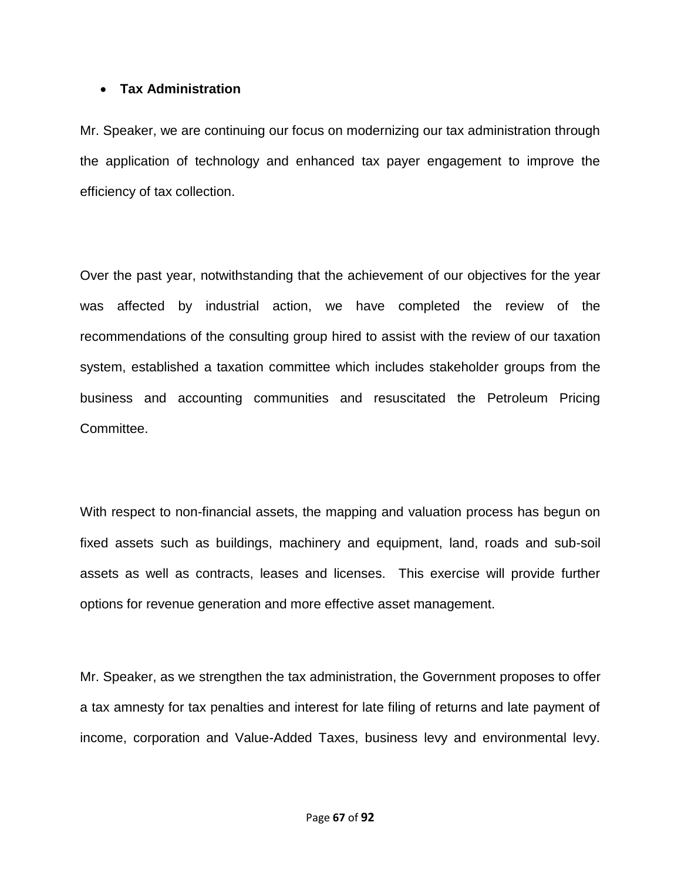#### **Tax Administration**

Mr. Speaker, we are continuing our focus on modernizing our tax administration through the application of technology and enhanced tax payer engagement to improve the efficiency of tax collection.

Over the past year, notwithstanding that the achievement of our objectives for the year was affected by industrial action, we have completed the review of the recommendations of the consulting group hired to assist with the review of our taxation system, established a taxation committee which includes stakeholder groups from the business and accounting communities and resuscitated the Petroleum Pricing Committee.

With respect to non-financial assets, the mapping and valuation process has begun on fixed assets such as buildings, machinery and equipment, land, roads and sub-soil assets as well as contracts, leases and licenses. This exercise will provide further options for revenue generation and more effective asset management.

Mr. Speaker, as we strengthen the tax administration, the Government proposes to offer a tax amnesty for tax penalties and interest for late filing of returns and late payment of income, corporation and Value-Added Taxes, business levy and environmental levy.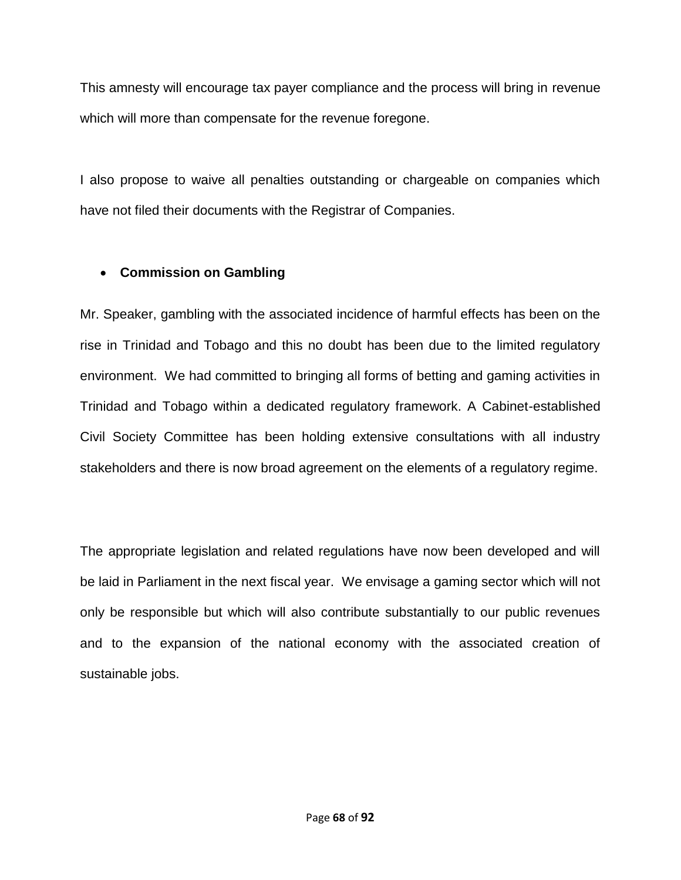This amnesty will encourage tax payer compliance and the process will bring in revenue which will more than compensate for the revenue foregone.

I also propose to waive all penalties outstanding or chargeable on companies which have not filed their documents with the Registrar of Companies.

# **Commission on Gambling**

Mr. Speaker, gambling with the associated incidence of harmful effects has been on the rise in Trinidad and Tobago and this no doubt has been due to the limited regulatory environment. We had committed to bringing all forms of betting and gaming activities in Trinidad and Tobago within a dedicated regulatory framework. A Cabinet-established Civil Society Committee has been holding extensive consultations with all industry stakeholders and there is now broad agreement on the elements of a regulatory regime.

The appropriate legislation and related regulations have now been developed and will be laid in Parliament in the next fiscal year.We envisage a gaming sector which will not only be responsible but which will also contribute substantially to our public revenues and to the expansion of the national economy with the associated creation of sustainable jobs.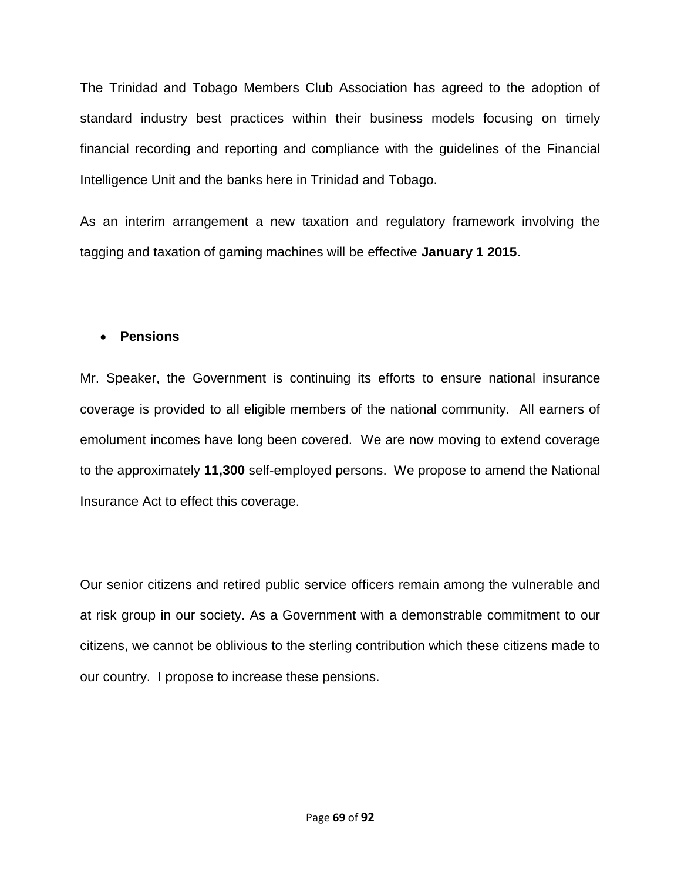The Trinidad and Tobago Members Club Association has agreed to the adoption of standard industry best practices within their business models focusing on timely financial recording and reporting and compliance with the guidelines of the Financial Intelligence Unit and the banks here in Trinidad and Tobago.

As an interim arrangement a new taxation and regulatory framework involving the tagging and taxation of gaming machines will be effective **January 1 2015**.

## **Pensions**

Mr. Speaker, the Government is continuing its efforts to ensure national insurance coverage is provided to all eligible members of the national community. All earners of emolument incomes have long been covered. We are now moving to extend coverage to the approximately **11,300** self-employed persons. We propose to amend the National Insurance Act to effect this coverage.

Our senior citizens and retired public service officers remain among the vulnerable and at risk group in our society. As a Government with a demonstrable commitment to our citizens, we cannot be oblivious to the sterling contribution which these citizens made to our country. I propose to increase these pensions.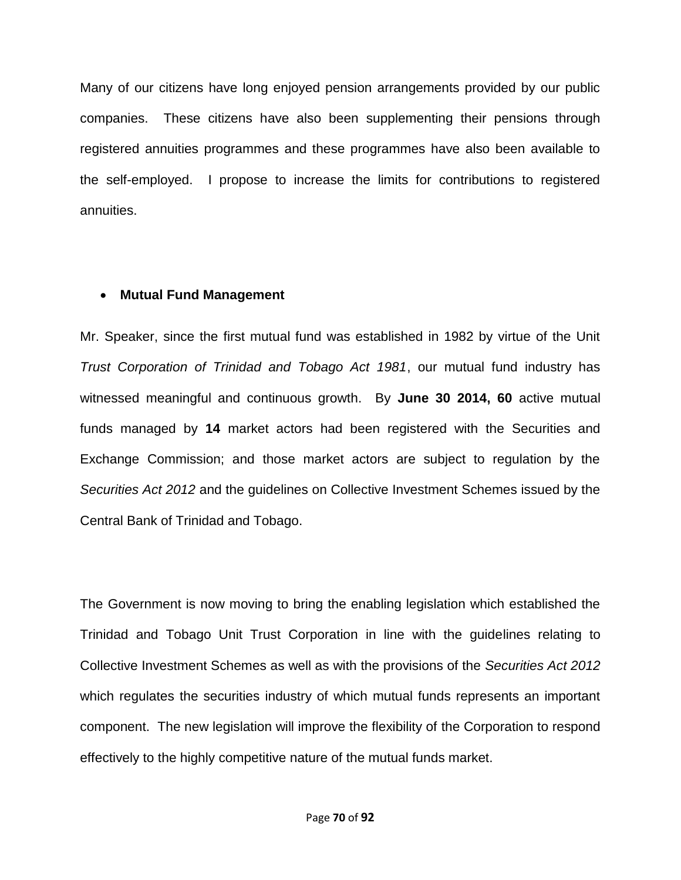Many of our citizens have long enjoyed pension arrangements provided by our public companies. These citizens have also been supplementing their pensions through registered annuities programmes and these programmes have also been available to the self-employed. I propose to increase the limits for contributions to registered annuities.

#### **Mutual Fund Management**

Mr. Speaker, since the first mutual fund was established in 1982 by virtue of the Unit *Trust Corporation of Trinidad and Tobago Act 1981*, our mutual fund industry has witnessed meaningful and continuous growth. By **June 30 2014, 60** active mutual funds managed by **14** market actors had been registered with the Securities and Exchange Commission; and those market actors are subject to regulation by the *Securities Act 2012* and the guidelines on Collective Investment Schemes issued by the Central Bank of Trinidad and Tobago.

The Government is now moving to bring the enabling legislation which established the Trinidad and Tobago Unit Trust Corporation in line with the guidelines relating to Collective Investment Schemes as well as with the provisions of the *Securities Act 2012* which regulates the securities industry of which mutual funds represents an important component. The new legislation will improve the flexibility of the Corporation to respond effectively to the highly competitive nature of the mutual funds market.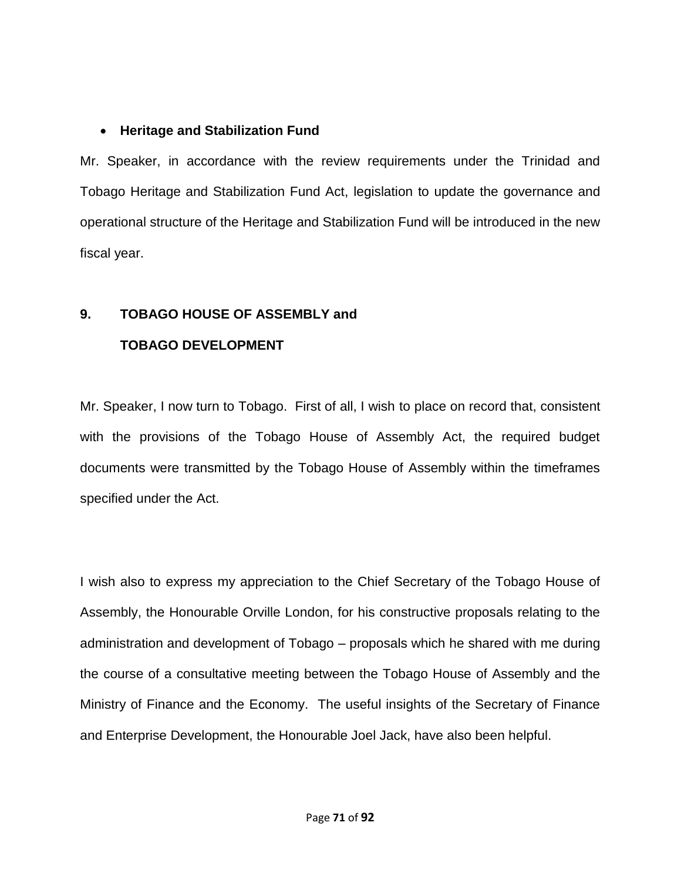## **Heritage and Stabilization Fund**

Mr. Speaker, in accordance with the review requirements under the Trinidad and Tobago Heritage and Stabilization Fund Act, legislation to update the governance and operational structure of the Heritage and Stabilization Fund will be introduced in the new fiscal year.

# **9. TOBAGO HOUSE OF ASSEMBLY and TOBAGO DEVELOPMENT**

Mr. Speaker, I now turn to Tobago. First of all, I wish to place on record that, consistent with the provisions of the Tobago House of Assembly Act, the required budget documents were transmitted by the Tobago House of Assembly within the timeframes specified under the Act.

I wish also to express my appreciation to the Chief Secretary of the Tobago House of Assembly, the Honourable Orville London, for his constructive proposals relating to the administration and development of Tobago – proposals which he shared with me during the course of a consultative meeting between the Tobago House of Assembly and the Ministry of Finance and the Economy. The useful insights of the Secretary of Finance and Enterprise Development, the Honourable Joel Jack, have also been helpful.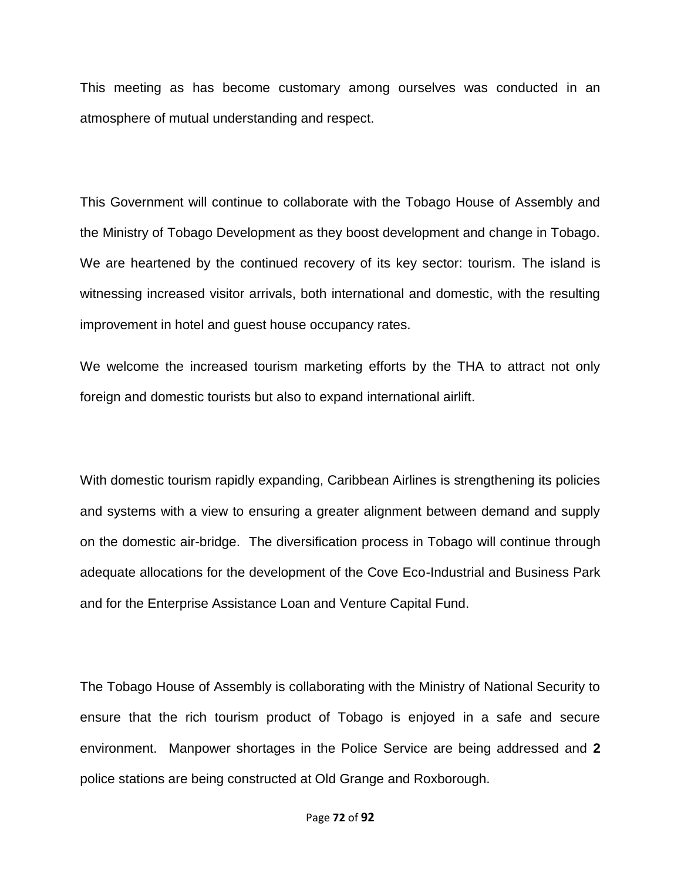This meeting as has become customary among ourselves was conducted in an atmosphere of mutual understanding and respect.

This Government will continue to collaborate with the Tobago House of Assembly and the Ministry of Tobago Development as they boost development and change in Tobago. We are heartened by the continued recovery of its key sector: tourism. The island is witnessing increased visitor arrivals, both international and domestic, with the resulting improvement in hotel and guest house occupancy rates.

We welcome the increased tourism marketing efforts by the THA to attract not only foreign and domestic tourists but also to expand international airlift.

With domestic tourism rapidly expanding, Caribbean Airlines is strengthening its policies and systems with a view to ensuring a greater alignment between demand and supply on the domestic air-bridge. The diversification process in Tobago will continue through adequate allocations for the development of the Cove Eco-Industrial and Business Park and for the Enterprise Assistance Loan and Venture Capital Fund.

The Tobago House of Assembly is collaborating with the Ministry of National Security to ensure that the rich tourism product of Tobago is enjoyed in a safe and secure environment. Manpower shortages in the Police Service are being addressed and **2**  police stations are being constructed at Old Grange and Roxborough.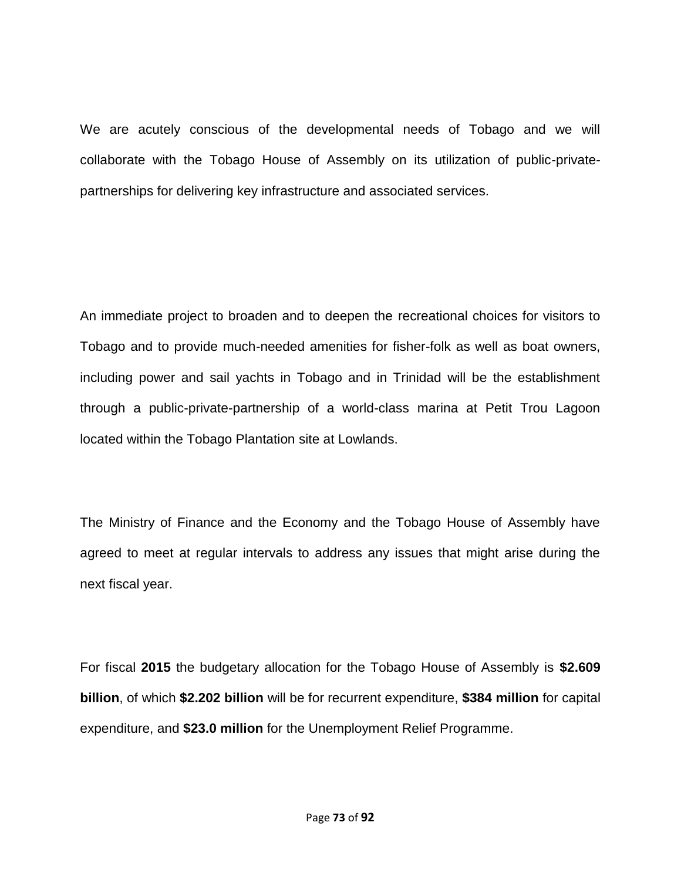We are acutely conscious of the developmental needs of Tobago and we will collaborate with the Tobago House of Assembly on its utilization of public-privatepartnerships for delivering key infrastructure and associated services.

An immediate project to broaden and to deepen the recreational choices for visitors to Tobago and to provide much-needed amenities for fisher-folk as well as boat owners, including power and sail yachts in Tobago and in Trinidad will be the establishment through a public-private-partnership of a world-class marina at Petit Trou Lagoon located within the Tobago Plantation site at Lowlands.

The Ministry of Finance and the Economy and the Tobago House of Assembly have agreed to meet at regular intervals to address any issues that might arise during the next fiscal year.

For fiscal **2015** the budgetary allocation for the Tobago House of Assembly is **\$2.609 billion**, of which **\$2.202 billion** will be for recurrent expenditure, **\$384 million** for capital expenditure, and **\$23.0 million** for the Unemployment Relief Programme.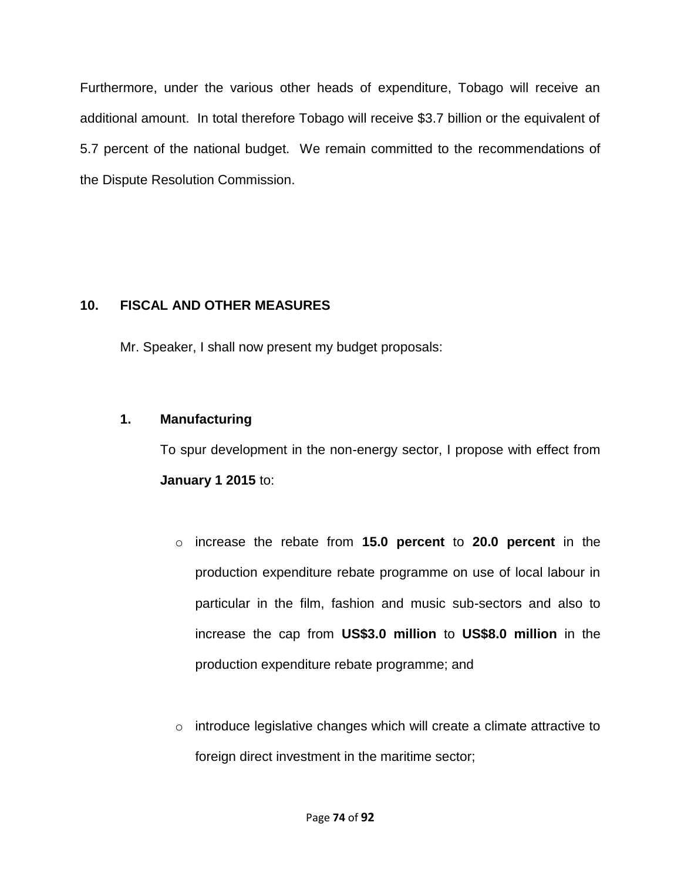Furthermore, under the various other heads of expenditure, Tobago will receive an additional amount. In total therefore Tobago will receive \$3.7 billion or the equivalent of 5.7 percent of the national budget. We remain committed to the recommendations of the Dispute Resolution Commission.

# **10. FISCAL AND OTHER MEASURES**

Mr. Speaker, I shall now present my budget proposals:

# **1. Manufacturing**

To spur development in the non-energy sector, I propose with effect from **January 1 2015** to:

- o increase the rebate from **15.0 percent** to **20.0 percent** in the production expenditure rebate programme on use of local labour in particular in the film, fashion and music sub-sectors and also to increase the cap from **US\$3.0 million** to **US\$8.0 million** in the production expenditure rebate programme; and
- o introduce legislative changes which will create a climate attractive to foreign direct investment in the maritime sector;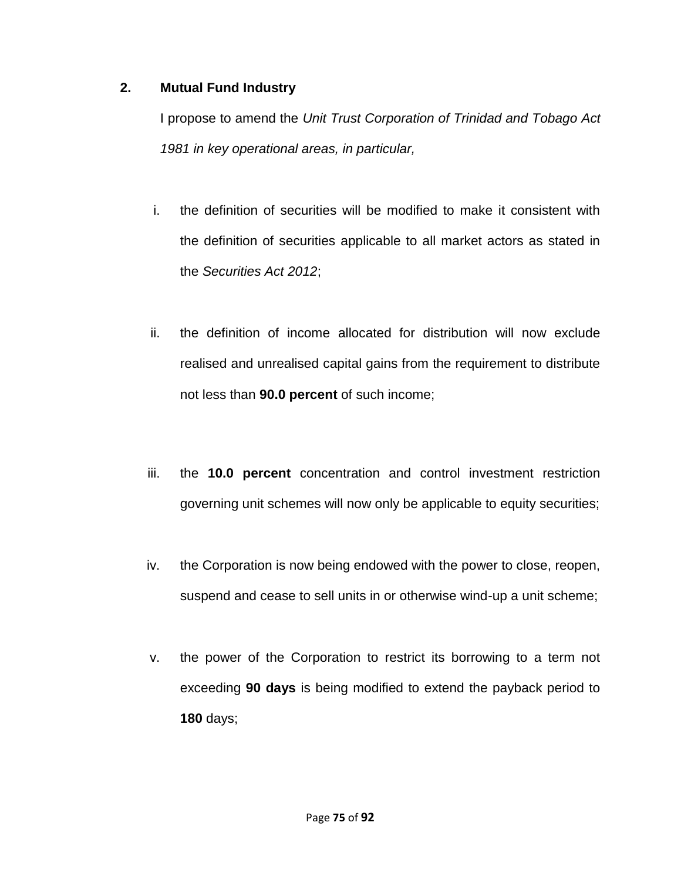## **2. Mutual Fund Industry**

I propose to amend the *Unit Trust Corporation of Trinidad and Tobago Act 1981 in key operational areas, in particular,* 

- i. the definition of securities will be modified to make it consistent with the definition of securities applicable to all market actors as stated in the *Securities Act 2012*;
- ii. the definition of income allocated for distribution will now exclude realised and unrealised capital gains from the requirement to distribute not less than **90.0 percent** of such income;
- iii. the **10.0 percent** concentration and control investment restriction governing unit schemes will now only be applicable to equity securities;
- iv. the Corporation is now being endowed with the power to close, reopen, suspend and cease to sell units in or otherwise wind-up a unit scheme;
- v. the power of the Corporation to restrict its borrowing to a term not exceeding **90 days** is being modified to extend the payback period to **180** days;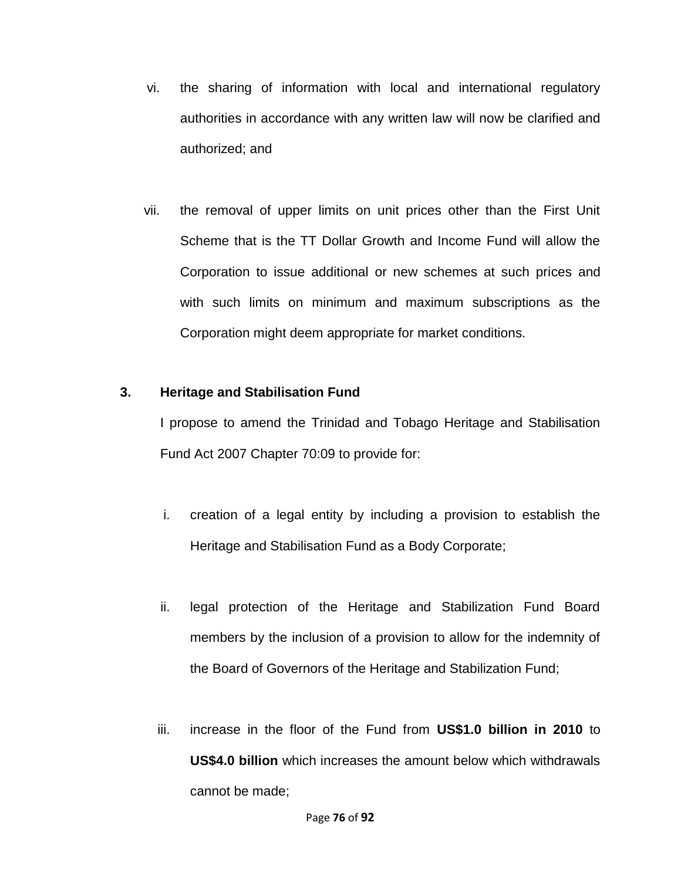- vi. the sharing of information with local and international regulatory authorities in accordance with any written law will now be clarified and authorized; and
- vii. the removal of upper limits on unit prices other than the First Unit Scheme that is the TT Dollar Growth and Income Fund will allow the Corporation to issue additional or new schemes at such prices and with such limits on minimum and maximum subscriptions as the Corporation might deem appropriate for market conditions.

## **3. Heritage and Stabilisation Fund**

I propose to amend the Trinidad and Tobago Heritage and Stabilisation Fund Act 2007 Chapter 70:09 to provide for:

- i. creation of a legal entity by including a provision to establish the Heritage and Stabilisation Fund as a Body Corporate;
- ii. legal protection of the Heritage and Stabilization Fund Board members by the inclusion of a provision to allow for the indemnity of the Board of Governors of the Heritage and Stabilization Fund;
- iii. increase in the floor of the Fund from **US\$1.0 billion in 2010** to **US\$4.0 billion** which increases the amount below which withdrawals cannot be made;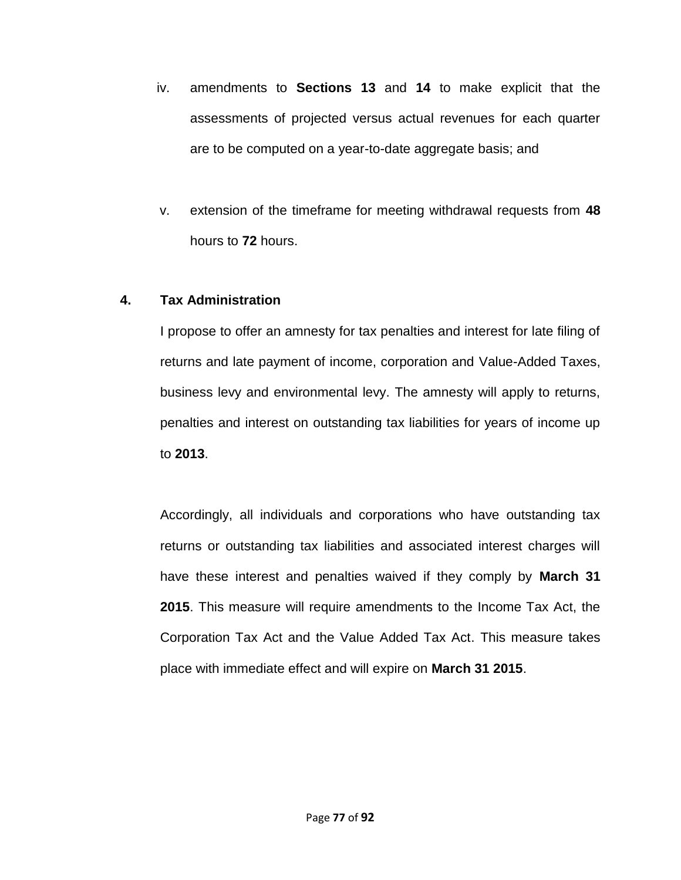- iv. amendments to **Sections 13** and **14** to make explicit that the assessments of projected versus actual revenues for each quarter are to be computed on a year-to-date aggregate basis; and
- v. extension of the timeframe for meeting withdrawal requests from **48**  hours to **72** hours.

## **4. Tax Administration**

I propose to offer an amnesty for tax penalties and interest for late filing of returns and late payment of income, corporation and Value-Added Taxes, business levy and environmental levy. The amnesty will apply to returns, penalties and interest on outstanding tax liabilities for years of income up to **2013**.

Accordingly, all individuals and corporations who have outstanding tax returns or outstanding tax liabilities and associated interest charges will have these interest and penalties waived if they comply by **March 31 2015**. This measure will require amendments to the Income Tax Act, the Corporation Tax Act and the Value Added Tax Act. This measure takes place with immediate effect and will expire on **March 31 2015**.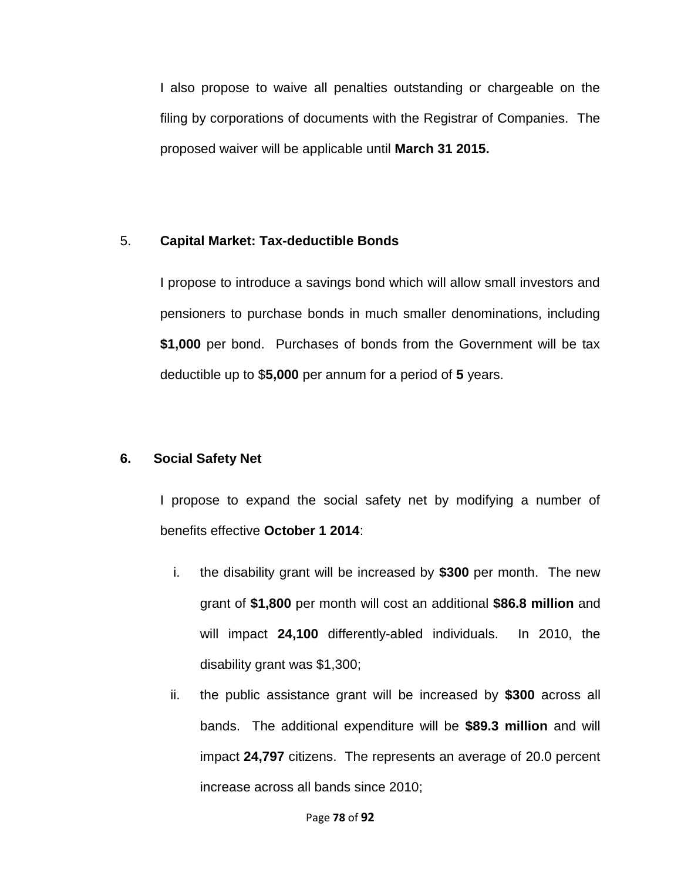I also propose to waive all penalties outstanding or chargeable on the filing by corporations of documents with the Registrar of Companies. The proposed waiver will be applicable until **March 31 2015.**

## 5. **Capital Market: Tax-deductible Bonds**

I propose to introduce a savings bond which will allow small investors and pensioners to purchase bonds in much smaller denominations, including **\$1,000** per bond. Purchases of bonds from the Government will be tax deductible up to \$**5,000** per annum for a period of **5** years.

## **6. Social Safety Net**

I propose to expand the social safety net by modifying a number of benefits effective **October 1 2014**:

- i. the disability grant will be increased by **\$300** per month. The new grant of **\$1,800** per month will cost an additional **\$86.8 million** and will impact **24,100** differently-abled individuals. In 2010, the disability grant was \$1,300;
- ii. the public assistance grant will be increased by **\$300** across all bands. The additional expenditure will be **\$89.3 million** and will impact **24,797** citizens. The represents an average of 20.0 percent increase across all bands since 2010;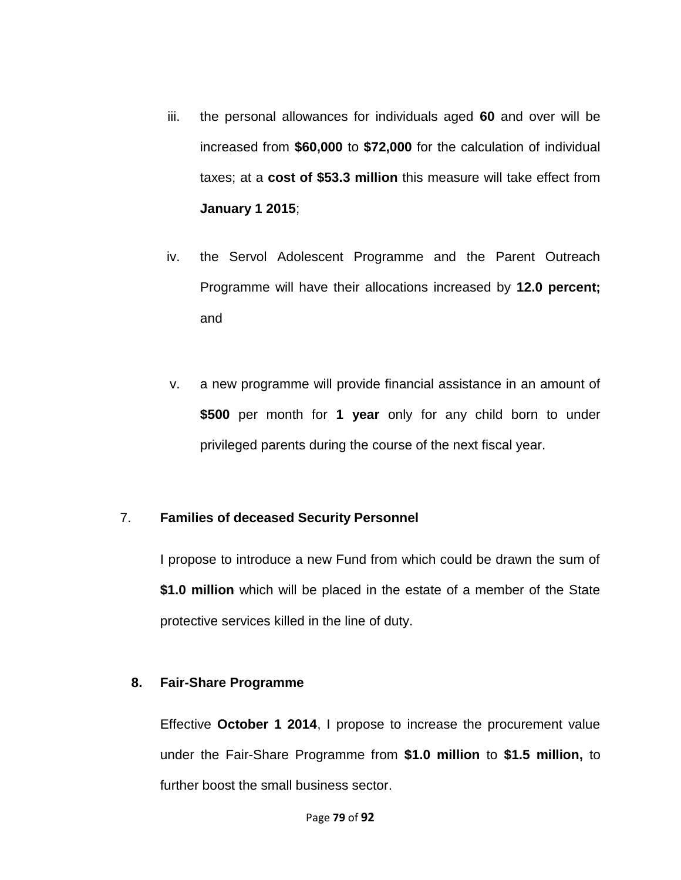- iii. the personal allowances for individuals aged **60** and over will be increased from **\$60,000** to **\$72,000** for the calculation of individual taxes; at a **cost of \$53.3 million** this measure will take effect from **January 1 2015**;
- iv. the Servol Adolescent Programme and the Parent Outreach Programme will have their allocations increased by **12.0 percent;**  and
- v. a new programme will provide financial assistance in an amount of **\$500** per month for **1 year** only for any child born to under privileged parents during the course of the next fiscal year.

#### 7. **Families of deceased Security Personnel**

I propose to introduce a new Fund from which could be drawn the sum of **\$1.0 million** which will be placed in the estate of a member of the State protective services killed in the line of duty.

#### **8. Fair-Share Programme**

Effective **October 1 2014**, I propose to increase the procurement value under the Fair-Share Programme from **\$1.0 million** to **\$1.5 million,** to further boost the small business sector.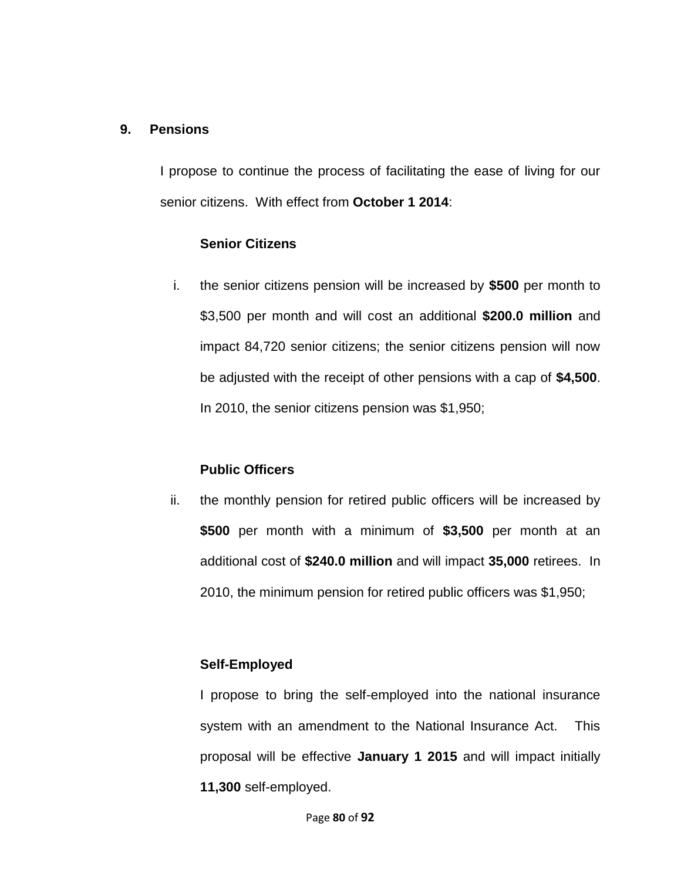#### **9. Pensions**

I propose to continue the process of facilitating the ease of living for our senior citizens. With effect from **October 1 2014**:

#### **Senior Citizens**

i. the senior citizens pension will be increased by **\$500** per month to \$3,500 per month and will cost an additional **\$200.0 million** and impact 84,720 senior citizens; the senior citizens pension will now be adjusted with the receipt of other pensions with a cap of **\$4,500**. In 2010, the senior citizens pension was \$1,950;

## **Public Officers**

ii. the monthly pension for retired public officers will be increased by **\$500** per month with a minimum of **\$3,500** per month at an additional cost of **\$240.0 million** and will impact **35,000** retirees. In 2010, the minimum pension for retired public officers was \$1,950;

## **Self-Employed**

I propose to bring the self-employed into the national insurance system with an amendment to the National Insurance Act. This proposal will be effective **January 1 2015** and will impact initially **11,300** self-employed.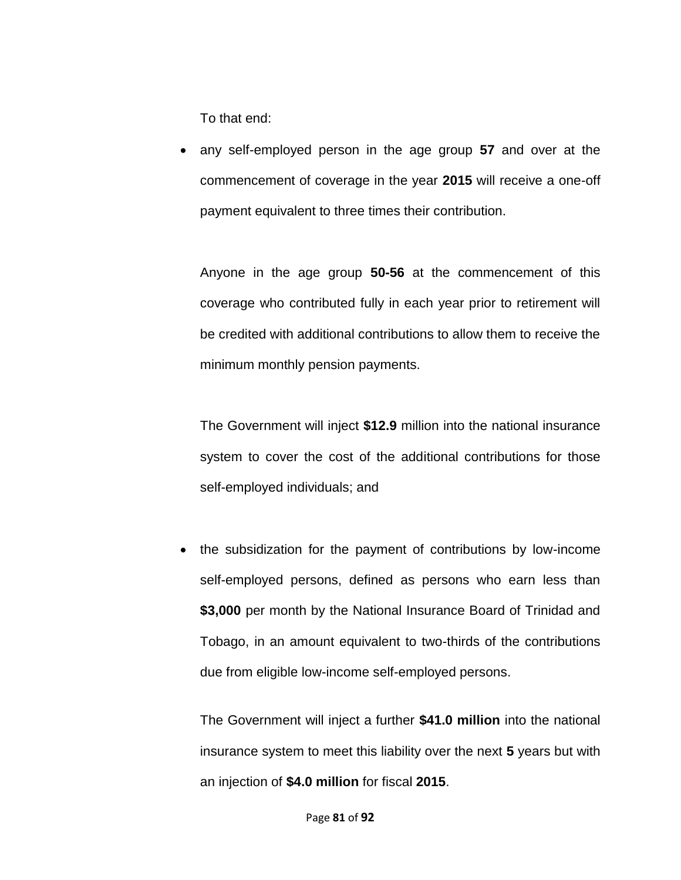To that end:

 any self-employed person in the age group **57** and over at the commencement of coverage in the year **2015** will receive a one-off payment equivalent to three times their contribution.

Anyone in the age group **50-56** at the commencement of this coverage who contributed fully in each year prior to retirement will be credited with additional contributions to allow them to receive the minimum monthly pension payments.

The Government will inject **\$12.9** million into the national insurance system to cover the cost of the additional contributions for those self-employed individuals; and

• the subsidization for the payment of contributions by low-income self-employed persons, defined as persons who earn less than **\$3,000** per month by the National Insurance Board of Trinidad and Tobago, in an amount equivalent to two-thirds of the contributions due from eligible low-income self-employed persons.

The Government will inject a further **\$41.0 million** into the national insurance system to meet this liability over the next **5** years but with an injection of **\$4.0 million** for fiscal **2015**.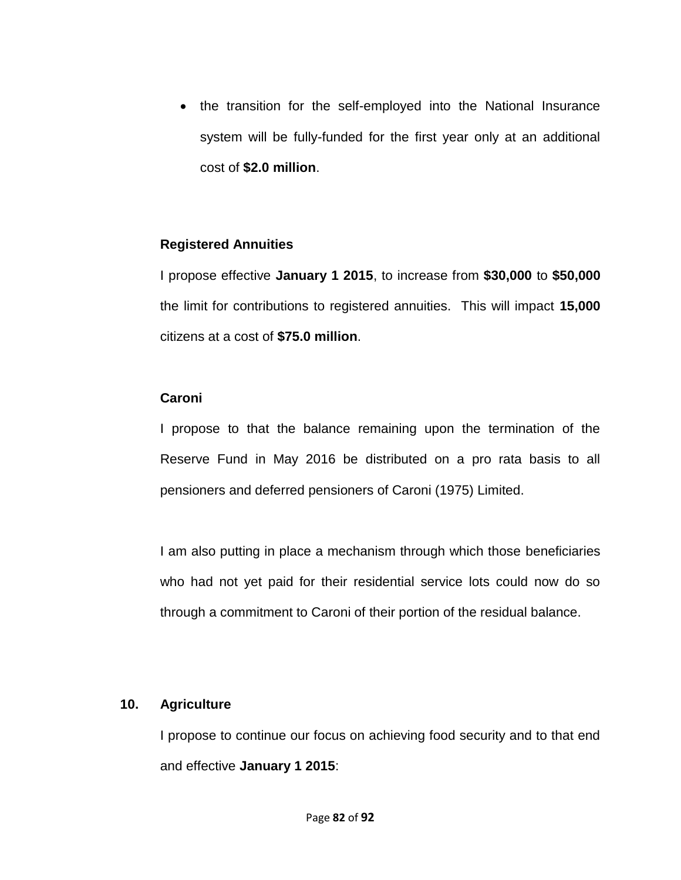• the transition for the self-employed into the National Insurance system will be fully-funded for the first year only at an additional cost of **\$2.0 million**.

#### **Registered Annuities**

I propose effective **January 1 2015**, to increase from **\$30,000** to **\$50,000** the limit for contributions to registered annuities. This will impact **15,000** citizens at a cost of **\$75.0 million**.

#### **Caroni**

I propose to that the balance remaining upon the termination of the Reserve Fund in May 2016 be distributed on a pro rata basis to all pensioners and deferred pensioners of Caroni (1975) Limited.

I am also putting in place a mechanism through which those beneficiaries who had not yet paid for their residential service lots could now do so through a commitment to Caroni of their portion of the residual balance.

#### **10. Agriculture**

I propose to continue our focus on achieving food security and to that end and effective **January 1 2015**: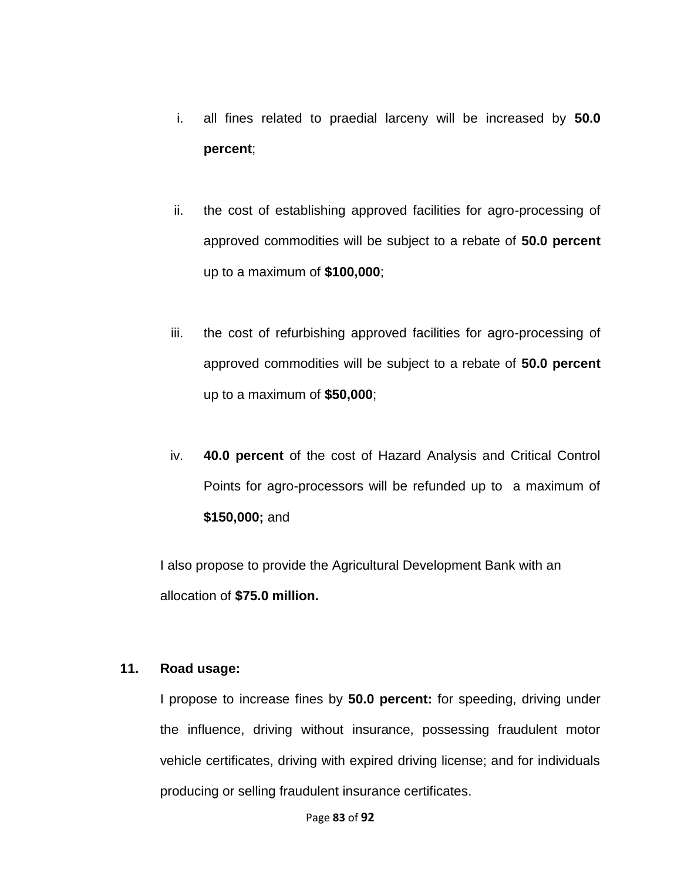- i. all fines related to praedial larceny will be increased by **50.0 percent**;
- ii. the cost of establishing approved facilities for agro-processing of approved commodities will be subject to a rebate of **50.0 percent** up to a maximum of **\$100,000**;
- iii. the cost of refurbishing approved facilities for agro-processing of approved commodities will be subject to a rebate of **50.0 percent** up to a maximum of **\$50,000**;
- iv. **40.0 percent** of the cost of Hazard Analysis and Critical Control Points for agro-processors will be refunded up to a maximum of **\$150,000;** and

I also propose to provide the Agricultural Development Bank with an allocation of **\$75.0 million.**

## **11. Road usage:**

I propose to increase fines by **50.0 percent:** for speeding, driving under the influence, driving without insurance, possessing fraudulent motor vehicle certificates, driving with expired driving license; and for individuals producing or selling fraudulent insurance certificates.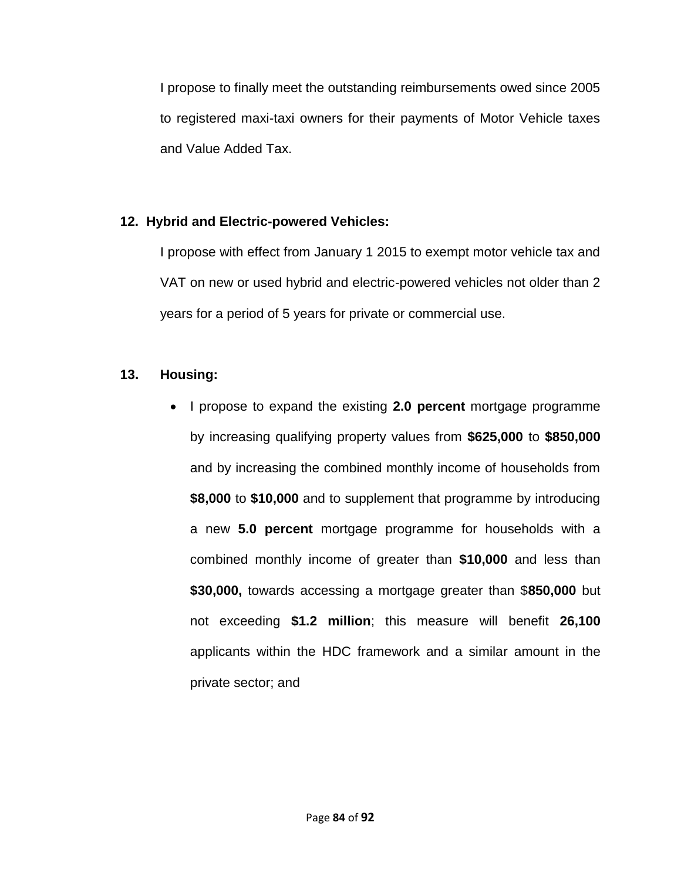I propose to finally meet the outstanding reimbursements owed since 2005 to registered maxi-taxi owners for their payments of Motor Vehicle taxes and Value Added Tax.

# **12. Hybrid and Electric-powered Vehicles:**

I propose with effect from January 1 2015 to exempt motor vehicle tax and VAT on new or used hybrid and electric-powered vehicles not older than 2 years for a period of 5 years for private or commercial use.

# **13. Housing:**

 I propose to expand the existing **2.0 percent** mortgage programme by increasing qualifying property values from **\$625,000** to **\$850,000** and by increasing the combined monthly income of households from **\$8,000** to **\$10,000** and to supplement that programme by introducing a new **5.0 percent** mortgage programme for households with a combined monthly income of greater than **\$10,000** and less than **\$30,000,** towards accessing a mortgage greater than \$**850,000** but not exceeding **\$1.2 million**; this measure will benefit **26,100** applicants within the HDC framework and a similar amount in the private sector; and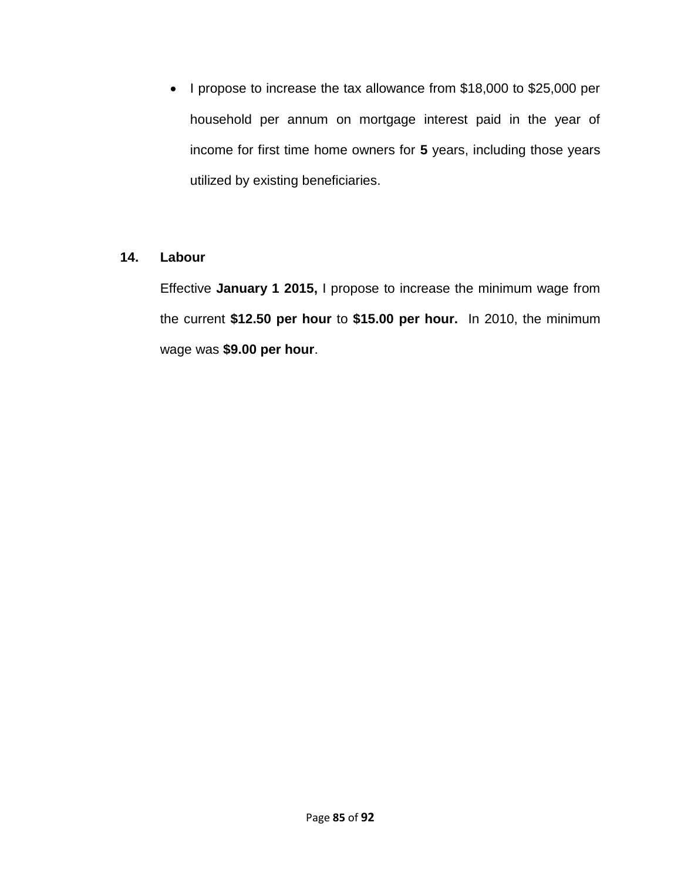• I propose to increase the tax allowance from \$18,000 to \$25,000 per household per annum on mortgage interest paid in the year of income for first time home owners for **5** years, including those years utilized by existing beneficiaries.

# **14. Labour**

Effective **January 1 2015,** I propose to increase the minimum wage from the current **\$12.50 per hour** to **\$15.00 per hour.** In 2010, the minimum wage was **\$9.00 per hour**.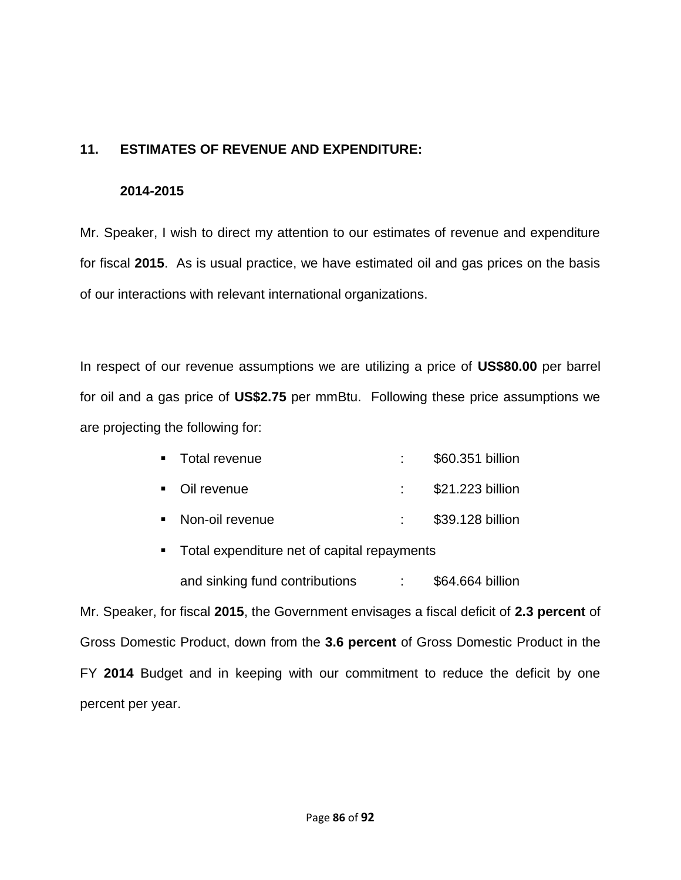## **11. ESTIMATES OF REVENUE AND EXPENDITURE:**

#### **2014-2015**

Mr. Speaker, I wish to direct my attention to our estimates of revenue and expenditure for fiscal **2015**. As is usual practice, we have estimated oil and gas prices on the basis of our interactions with relevant international organizations.

In respect of our revenue assumptions we are utilizing a price of **US\$80.00** per barrel for oil and a gas price of **US\$2.75** per mmBtu. Following these price assumptions we are projecting the following for:

- Total revenue : \$60.351 billion
- Oil revenue : \$21.223 billion
- Non-oil revenue : \$39.128 billion
- **Total expenditure net of capital repayments** and sinking fund contributions : \$64.664 billion

Mr. Speaker, for fiscal **2015**, the Government envisages a fiscal deficit of **2.3 percent** of Gross Domestic Product, down from the **3.6 percent** of Gross Domestic Product in the FY **2014** Budget and in keeping with our commitment to reduce the deficit by one percent per year.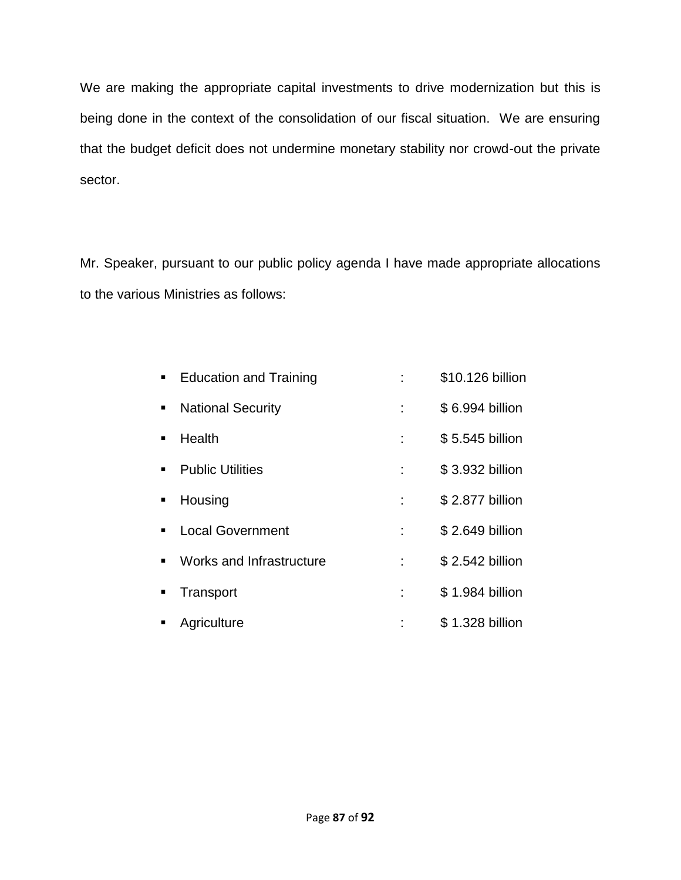We are making the appropriate capital investments to drive modernization but this is being done in the context of the consolidation of our fiscal situation. We are ensuring that the budget deficit does not undermine monetary stability nor crowd-out the private sector.

Mr. Speaker, pursuant to our public policy agenda I have made appropriate allocations to the various Ministries as follows:

| $\blacksquare$ | <b>Education and Training</b> |   | \$10.126 billion |
|----------------|-------------------------------|---|------------------|
| $\blacksquare$ | <b>National Security</b>      |   | \$6.994 billion  |
| $\blacksquare$ | Health                        |   | \$5.545 billion  |
| ٠              | <b>Public Utilities</b>       |   | \$3.932 billion  |
| $\blacksquare$ | Housing                       |   | \$2.877 billion  |
| ٠              | <b>Local Government</b>       |   | \$2.649 billion  |
| $\blacksquare$ | Works and Infrastructure      | ÷ | \$2.542 billion  |
| ٠              | Transport                     |   | \$1.984 billion  |
|                | Agriculture                   |   | \$1.328 billion  |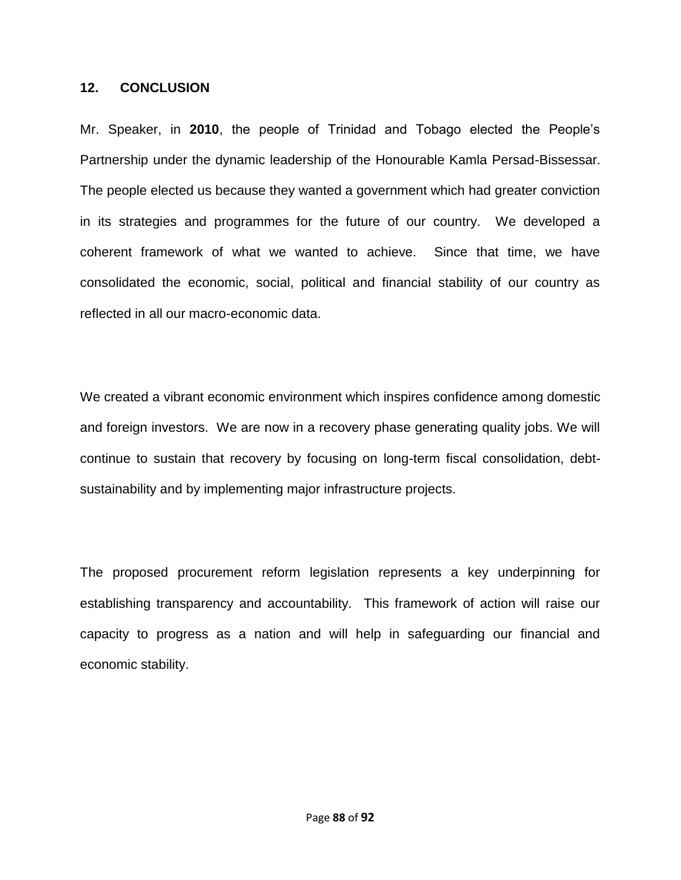#### **12. CONCLUSION**

Mr. Speaker, in **2010**, the people of Trinidad and Tobago elected the People's Partnership under the dynamic leadership of the Honourable Kamla Persad-Bissessar. The people elected us because they wanted a government which had greater conviction in its strategies and programmes for the future of our country. We developed a coherent framework of what we wanted to achieve. Since that time, we have consolidated the economic, social, political and financial stability of our country as reflected in all our macro-economic data.

We created a vibrant economic environment which inspires confidence among domestic and foreign investors. We are now in a recovery phase generating quality jobs. We will continue to sustain that recovery by focusing on long-term fiscal consolidation, debtsustainability and by implementing major infrastructure projects.

The proposed procurement reform legislation represents a key underpinning for establishing transparency and accountability. This framework of action will raise our capacity to progress as a nation and will help in safeguarding our financial and economic stability.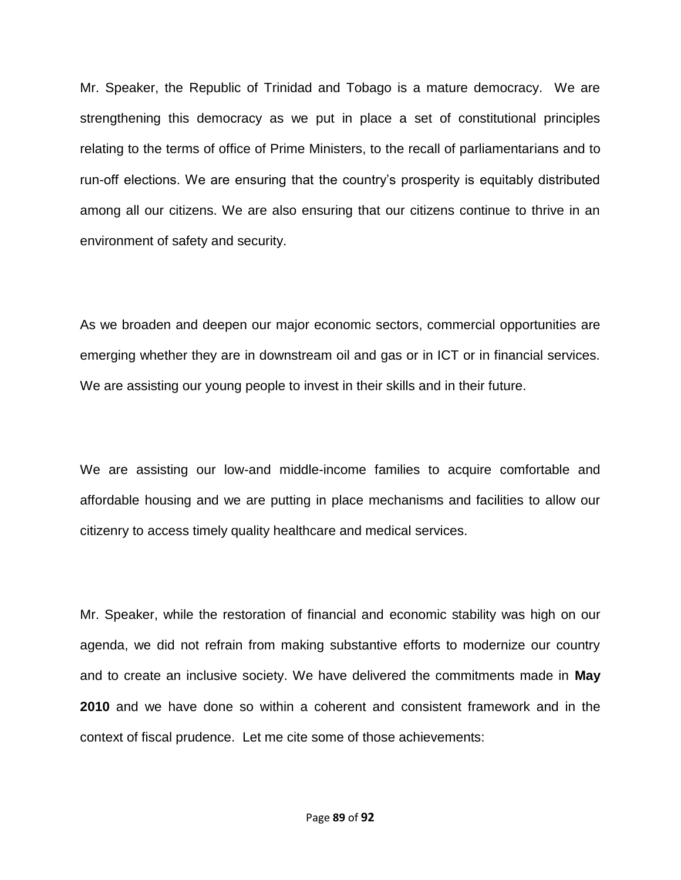Mr. Speaker, the Republic of Trinidad and Tobago is a mature democracy. We are strengthening this democracy as we put in place a set of constitutional principles relating to the terms of office of Prime Ministers, to the recall of parliamentarians and to run-off elections. We are ensuring that the country's prosperity is equitably distributed among all our citizens. We are also ensuring that our citizens continue to thrive in an environment of safety and security.

As we broaden and deepen our major economic sectors, commercial opportunities are emerging whether they are in downstream oil and gas or in ICT or in financial services. We are assisting our young people to invest in their skills and in their future.

We are assisting our low-and middle-income families to acquire comfortable and affordable housing and we are putting in place mechanisms and facilities to allow our citizenry to access timely quality healthcare and medical services.

Mr. Speaker, while the restoration of financial and economic stability was high on our agenda, we did not refrain from making substantive efforts to modernize our country and to create an inclusive society. We have delivered the commitments made in **May 2010** and we have done so within a coherent and consistent framework and in the context of fiscal prudence. Let me cite some of those achievements: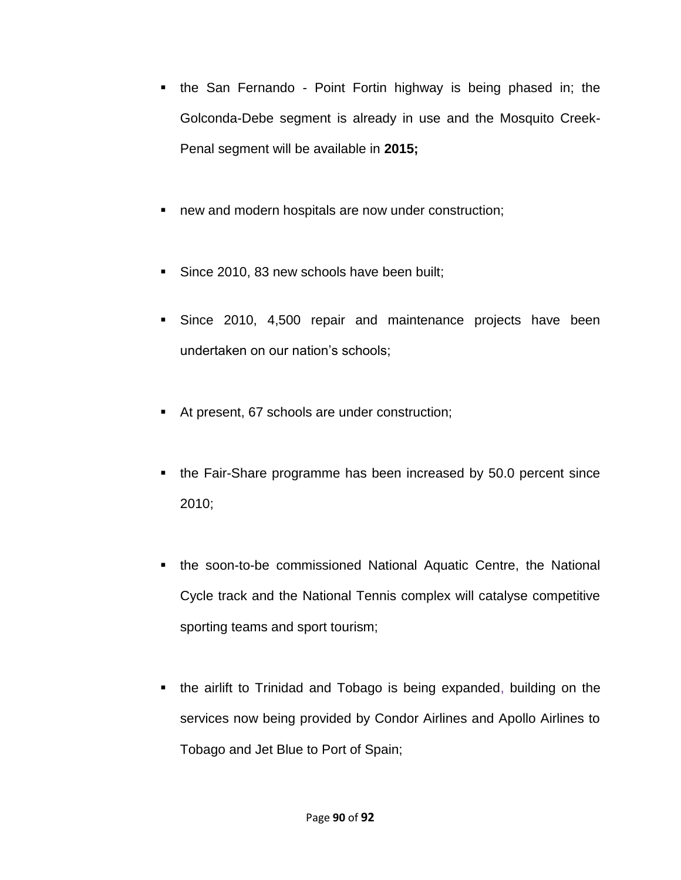- the San Fernando Point Fortin highway is being phased in; the Golconda-Debe segment is already in use and the Mosquito Creek-Penal segment will be available in **2015;**
- **new and modern hospitals are now under construction;**
- Since 2010, 83 new schools have been built;
- Since 2010, 4,500 repair and maintenance projects have been undertaken on our nation's schools;
- At present, 67 schools are under construction;
- the Fair-Share programme has been increased by 50.0 percent since 2010;
- the soon-to-be commissioned National Aquatic Centre, the National Cycle track and the National Tennis complex will catalyse competitive sporting teams and sport tourism;
- the airlift to Trinidad and Tobago is being expanded, building on the services now being provided by Condor Airlines and Apollo Airlines to Tobago and Jet Blue to Port of Spain;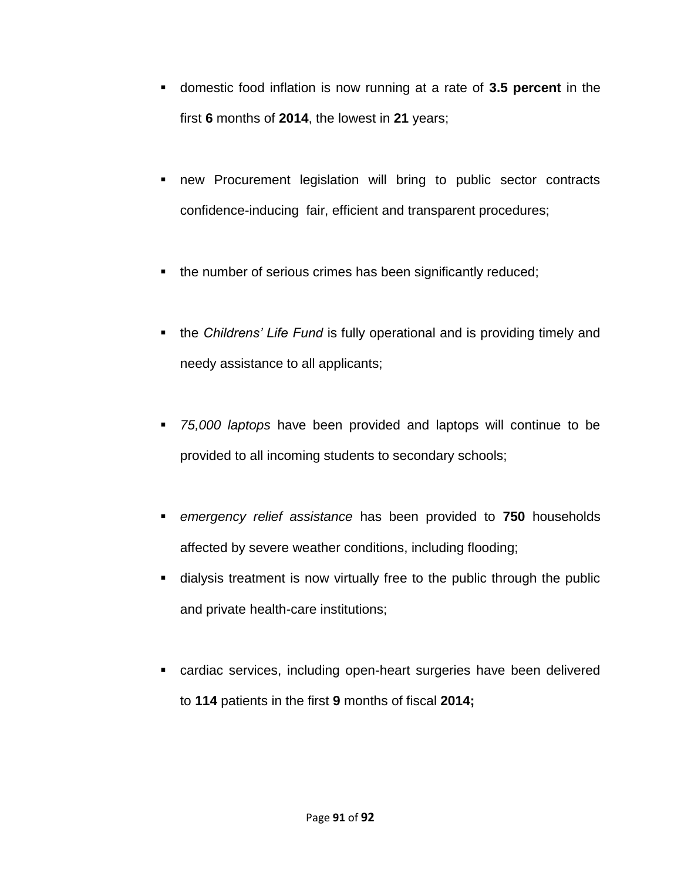- domestic food inflation is now running at a rate of **3.5 percent** in the first **6** months of **2014**, the lowest in **21** years;
- new Procurement legislation will bring to public sector contracts confidence-inducing fair, efficient and transparent procedures;
- the number of serious crimes has been significantly reduced;
- the *Childrens' Life Fund* is fully operational and is providing timely and needy assistance to all applicants;
- *75,000 laptops* have been provided and laptops will continue to be provided to all incoming students to secondary schools;
- *emergency relief assistance* has been provided to **750** households affected by severe weather conditions, including flooding;
- dialysis treatment is now virtually free to the public through the public and private health-care institutions;
- cardiac services, including open-heart surgeries have been delivered to **114** patients in the first **9** months of fiscal **2014;**